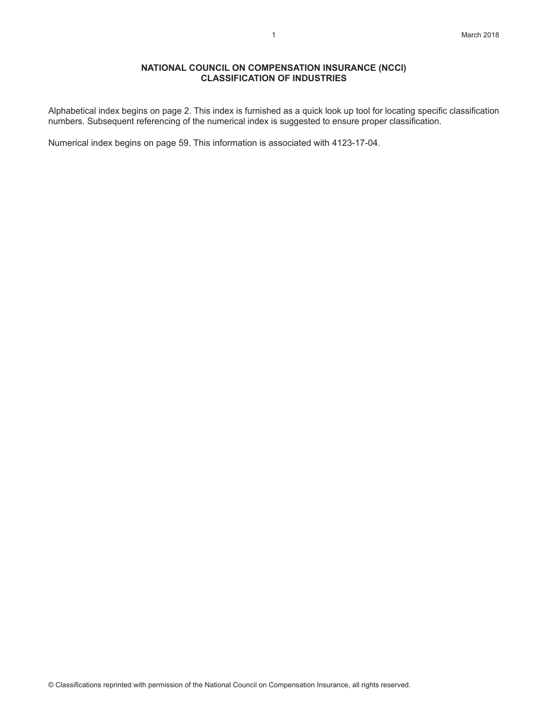### **NATIONAL COUNCIL ON COMPENSATION INSURANCE (NCCI) CLASSIFICATION OF INDUSTRIES**

Alphabetical index begins on page 2. This index is furnished as a quick look up tool for locating specific classification numbers. Subsequent referencing of the numerical index is suggested to ensure proper classification.

Numerical index begins on page 59. This information is associated with 4123-17-04.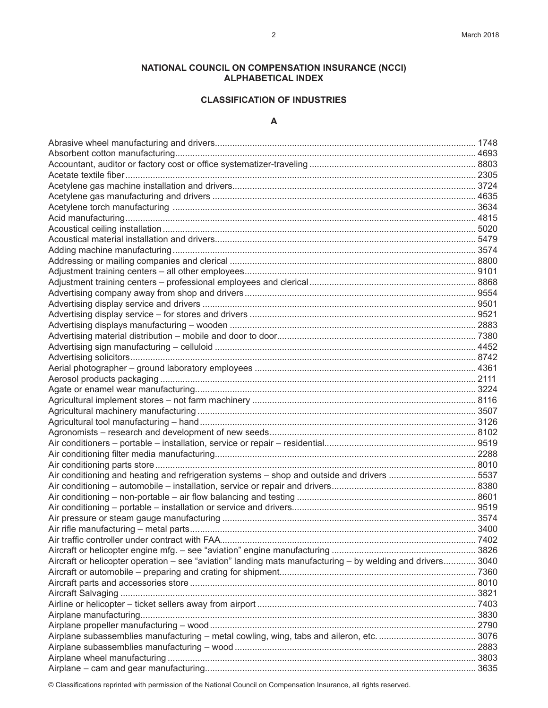# **NATIONAL COUNCIL ON COMPENSATION INSURANCE (NCCI) ALPHABETICAL INDEX**

## **CLASSIFICATION OF INDUSTRIES**

### **A**

| Air conditioning and heating and refrigeration systems - shop and outside and drivers 5537                 |  |
|------------------------------------------------------------------------------------------------------------|--|
|                                                                                                            |  |
|                                                                                                            |  |
|                                                                                                            |  |
|                                                                                                            |  |
|                                                                                                            |  |
|                                                                                                            |  |
|                                                                                                            |  |
| Aircraft or helicopter operation – see "aviation" landing mats manufacturing – by welding and drivers 3040 |  |
|                                                                                                            |  |
|                                                                                                            |  |
|                                                                                                            |  |
|                                                                                                            |  |
|                                                                                                            |  |
|                                                                                                            |  |
|                                                                                                            |  |
|                                                                                                            |  |
|                                                                                                            |  |
|                                                                                                            |  |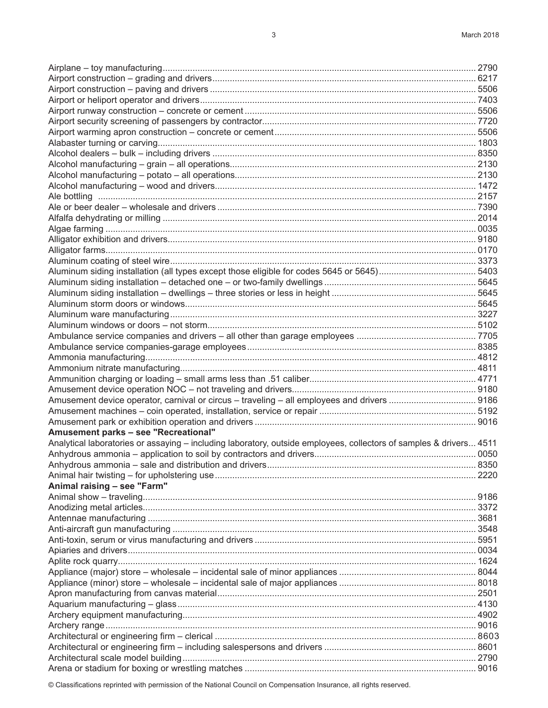| Amusement parks - see "Recreational"                                                                                |      |
|---------------------------------------------------------------------------------------------------------------------|------|
| Analytical laboratories or assaying - including laboratory, outside employees, collectors of samples & drivers 4511 |      |
|                                                                                                                     |      |
|                                                                                                                     | 8350 |
|                                                                                                                     |      |
| Animal raising - see "Farm"                                                                                         |      |
|                                                                                                                     |      |
|                                                                                                                     |      |
|                                                                                                                     |      |
|                                                                                                                     |      |
|                                                                                                                     |      |
|                                                                                                                     |      |
|                                                                                                                     |      |
|                                                                                                                     |      |
|                                                                                                                     |      |
|                                                                                                                     |      |
|                                                                                                                     |      |
|                                                                                                                     |      |
|                                                                                                                     |      |
|                                                                                                                     |      |
|                                                                                                                     |      |
|                                                                                                                     |      |
|                                                                                                                     |      |
|                                                                                                                     |      |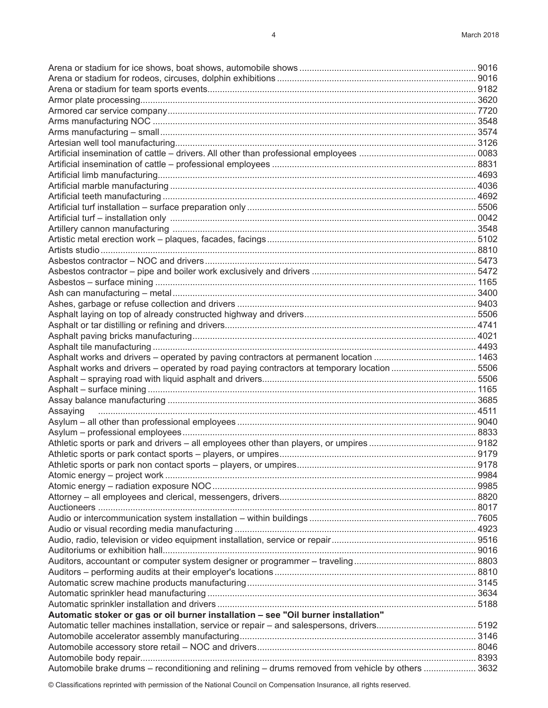| Asphalt works and drivers - operated by road paying contractors at temporary location  5506       |      |
|---------------------------------------------------------------------------------------------------|------|
|                                                                                                   |      |
|                                                                                                   |      |
|                                                                                                   |      |
|                                                                                                   |      |
|                                                                                                   |      |
|                                                                                                   |      |
|                                                                                                   |      |
|                                                                                                   |      |
|                                                                                                   | 9178 |
|                                                                                                   |      |
|                                                                                                   |      |
|                                                                                                   |      |
|                                                                                                   |      |
|                                                                                                   |      |
|                                                                                                   |      |
|                                                                                                   |      |
|                                                                                                   |      |
|                                                                                                   |      |
|                                                                                                   |      |
|                                                                                                   |      |
|                                                                                                   |      |
|                                                                                                   |      |
| Automatic stoker or gas or oil burner installation - see "Oil burner installation"                |      |
|                                                                                                   |      |
|                                                                                                   |      |
|                                                                                                   |      |
|                                                                                                   |      |
| Automobile brake drums - reconditioning and relining - drums removed from vehicle by others  3632 |      |
|                                                                                                   |      |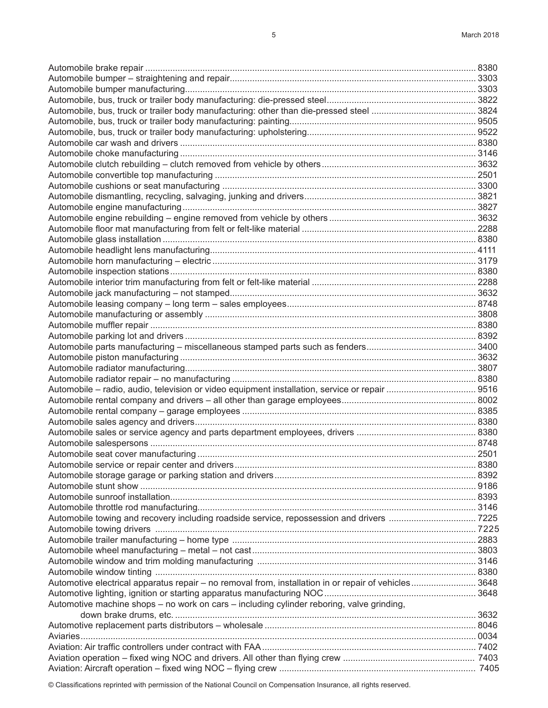Automobile brake repair ..................................................................................................................................... 8380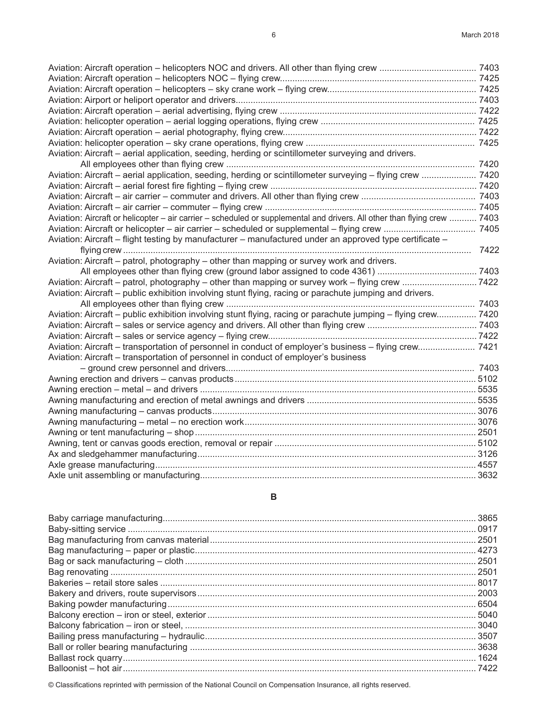| Aviation: Aircraft - aerial application, seeding, herding or scintillometer surveying and drivers.                       |  |
|--------------------------------------------------------------------------------------------------------------------------|--|
|                                                                                                                          |  |
| Aviation: Aircraft - aerial application, seeding, herding or scintillometer surveying - flying crew  7420                |  |
|                                                                                                                          |  |
|                                                                                                                          |  |
|                                                                                                                          |  |
| Aviation: Aircraft or helicopter – air carrier – scheduled or supplemental and drivers. All other than flying crew  7403 |  |
|                                                                                                                          |  |
| Aviation: Aircraft – flight testing by manufacturer – manufactured under an approved type certificate –                  |  |
|                                                                                                                          |  |
| Aviation: Aircraft – patrol, photography – other than mapping or survey work and drivers.                                |  |
|                                                                                                                          |  |
|                                                                                                                          |  |
| Aviation: Aircraft - public exhibition involving stunt flying, racing or parachute jumping and drivers.                  |  |
|                                                                                                                          |  |
| Aviation: Aircraft - public exhibition involving stunt flying, racing or parachute jumping - flying crew 7420            |  |
|                                                                                                                          |  |
|                                                                                                                          |  |
| Aviation: Aircraft – transportation of personnel in conduct of employer's business – flying crew 7421                    |  |
| Aviation: Aircraft – transportation of personnel in conduct of employer's business                                       |  |
|                                                                                                                          |  |
|                                                                                                                          |  |
|                                                                                                                          |  |
|                                                                                                                          |  |
|                                                                                                                          |  |
|                                                                                                                          |  |
|                                                                                                                          |  |
|                                                                                                                          |  |
|                                                                                                                          |  |
|                                                                                                                          |  |
|                                                                                                                          |  |

### **B**

| . 2003 |
|--------|
|        |
|        |
|        |
|        |
|        |
| 1624   |
| 7422   |
|        |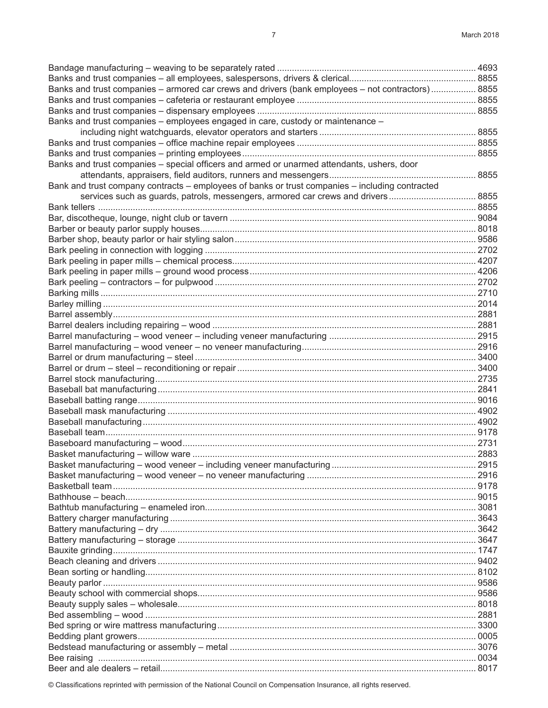| Banks and trust companies - armored car crews and drivers (bank employees - not contractors) 8855 |      |
|---------------------------------------------------------------------------------------------------|------|
|                                                                                                   |      |
|                                                                                                   |      |
| Banks and trust companies - employees engaged in care, custody or maintenance -                   |      |
|                                                                                                   |      |
|                                                                                                   |      |
|                                                                                                   |      |
| Banks and trust companies - special officers and armed or unarmed attendants, ushers, door        |      |
|                                                                                                   |      |
| Bank and trust company contracts – employees of banks or trust companies – including contracted   |      |
| services such as guards, patrols, messengers, armored car crews and drivers 8855                  |      |
|                                                                                                   |      |
|                                                                                                   |      |
|                                                                                                   |      |
|                                                                                                   |      |
|                                                                                                   |      |
|                                                                                                   |      |
|                                                                                                   |      |
|                                                                                                   |      |
|                                                                                                   |      |
|                                                                                                   |      |
|                                                                                                   |      |
|                                                                                                   |      |
|                                                                                                   |      |
|                                                                                                   |      |
|                                                                                                   |      |
|                                                                                                   |      |
|                                                                                                   |      |
|                                                                                                   |      |
|                                                                                                   |      |
|                                                                                                   |      |
|                                                                                                   |      |
|                                                                                                   |      |
|                                                                                                   |      |
|                                                                                                   |      |
|                                                                                                   |      |
| Basket manufacturing - wood veneer - including veneer manufacturing                               | 2915 |
|                                                                                                   |      |
|                                                                                                   |      |
|                                                                                                   |      |
|                                                                                                   |      |
|                                                                                                   |      |
|                                                                                                   |      |
|                                                                                                   |      |
|                                                                                                   |      |
|                                                                                                   |      |
|                                                                                                   |      |
|                                                                                                   |      |
|                                                                                                   |      |
|                                                                                                   |      |
|                                                                                                   |      |
|                                                                                                   |      |
|                                                                                                   |      |
|                                                                                                   |      |
|                                                                                                   |      |
|                                                                                                   |      |
|                                                                                                   |      |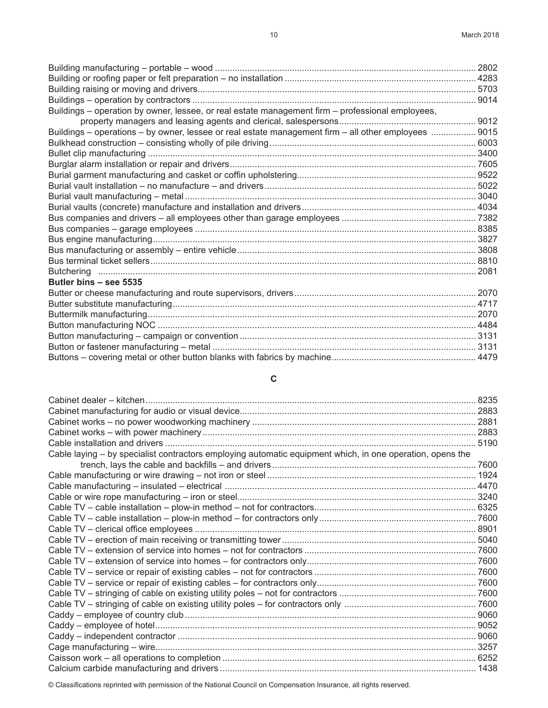| Buildings - operation by owner, lessee, or real estate management firm - professional employees,     |  |
|------------------------------------------------------------------------------------------------------|--|
|                                                                                                      |  |
| Buildings – operations – by owner, lessee or real estate management firm – all other employees  9015 |  |
|                                                                                                      |  |
|                                                                                                      |  |
|                                                                                                      |  |
|                                                                                                      |  |
|                                                                                                      |  |
|                                                                                                      |  |
|                                                                                                      |  |
|                                                                                                      |  |
|                                                                                                      |  |
|                                                                                                      |  |
|                                                                                                      |  |
|                                                                                                      |  |
|                                                                                                      |  |
| Butler bins - see 5535                                                                               |  |
|                                                                                                      |  |
|                                                                                                      |  |
|                                                                                                      |  |
|                                                                                                      |  |
|                                                                                                      |  |
|                                                                                                      |  |
|                                                                                                      |  |

# **C**

| Cable laying – by specialist contractors employing automatic equipment which, in one operation, opens the |  |
|-----------------------------------------------------------------------------------------------------------|--|
|                                                                                                           |  |
|                                                                                                           |  |
|                                                                                                           |  |
|                                                                                                           |  |
|                                                                                                           |  |
|                                                                                                           |  |
|                                                                                                           |  |
|                                                                                                           |  |
|                                                                                                           |  |
|                                                                                                           |  |
|                                                                                                           |  |
|                                                                                                           |  |
|                                                                                                           |  |
|                                                                                                           |  |
|                                                                                                           |  |
|                                                                                                           |  |
|                                                                                                           |  |
|                                                                                                           |  |
|                                                                                                           |  |
|                                                                                                           |  |
|                                                                                                           |  |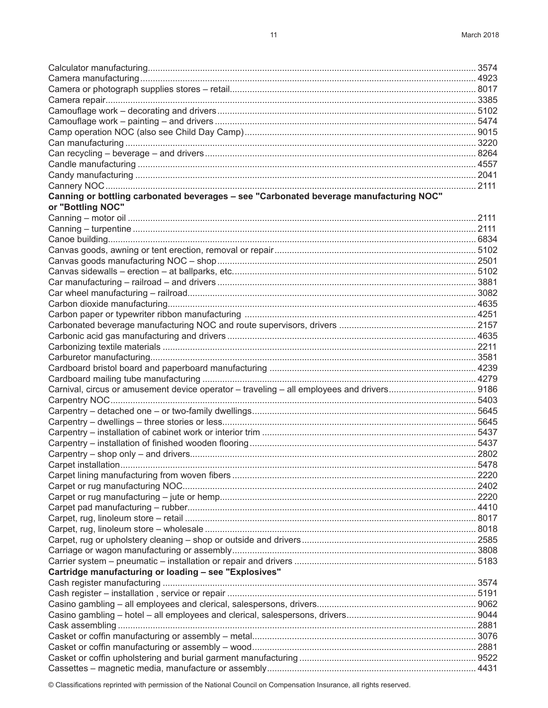| Canning or bottling carbonated beverages - see "Carbonated beverage manufacturing NOC"                                                  |  |
|-----------------------------------------------------------------------------------------------------------------------------------------|--|
| or "Bottling NOC"                                                                                                                       |  |
|                                                                                                                                         |  |
|                                                                                                                                         |  |
|                                                                                                                                         |  |
|                                                                                                                                         |  |
|                                                                                                                                         |  |
|                                                                                                                                         |  |
|                                                                                                                                         |  |
|                                                                                                                                         |  |
|                                                                                                                                         |  |
|                                                                                                                                         |  |
|                                                                                                                                         |  |
|                                                                                                                                         |  |
|                                                                                                                                         |  |
|                                                                                                                                         |  |
|                                                                                                                                         |  |
| Carnival, circus or amusement device operator - traveling - all employees and drivers 9186                                              |  |
| 5403. بالمستند المستند المستند المستند المستند المستند المستند المستند المستند المستند المستند المستند المستند المستند والمستند المستند |  |
|                                                                                                                                         |  |
|                                                                                                                                         |  |
|                                                                                                                                         |  |
|                                                                                                                                         |  |
|                                                                                                                                         |  |
|                                                                                                                                         |  |
|                                                                                                                                         |  |
|                                                                                                                                         |  |
|                                                                                                                                         |  |
|                                                                                                                                         |  |
|                                                                                                                                         |  |
|                                                                                                                                         |  |
|                                                                                                                                         |  |
|                                                                                                                                         |  |
|                                                                                                                                         |  |
| Cartridge manufacturing or loading - see "Explosives"                                                                                   |  |
|                                                                                                                                         |  |
|                                                                                                                                         |  |
|                                                                                                                                         |  |
|                                                                                                                                         |  |
|                                                                                                                                         |  |
|                                                                                                                                         |  |
|                                                                                                                                         |  |
|                                                                                                                                         |  |
|                                                                                                                                         |  |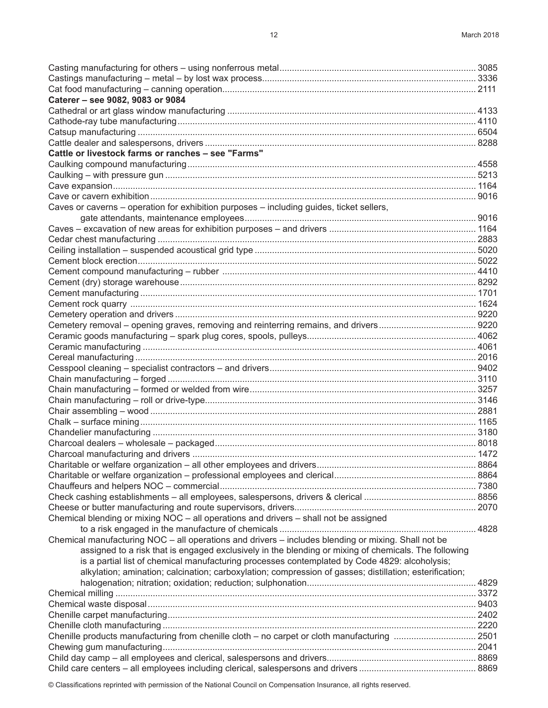| Caterer - see 9082, 9083 or 9084                                                                        |  |
|---------------------------------------------------------------------------------------------------------|--|
|                                                                                                         |  |
|                                                                                                         |  |
|                                                                                                         |  |
|                                                                                                         |  |
| Cattle or livestock farms or ranches - see "Farms"                                                      |  |
|                                                                                                         |  |
|                                                                                                         |  |
|                                                                                                         |  |
|                                                                                                         |  |
| Caves or caverns - operation for exhibition purposes - including guides, ticket sellers,                |  |
|                                                                                                         |  |
|                                                                                                         |  |
|                                                                                                         |  |
|                                                                                                         |  |
|                                                                                                         |  |
|                                                                                                         |  |
|                                                                                                         |  |
|                                                                                                         |  |
|                                                                                                         |  |
|                                                                                                         |  |
|                                                                                                         |  |
|                                                                                                         |  |
|                                                                                                         |  |
|                                                                                                         |  |
|                                                                                                         |  |
|                                                                                                         |  |
|                                                                                                         |  |
|                                                                                                         |  |
|                                                                                                         |  |
|                                                                                                         |  |
|                                                                                                         |  |
|                                                                                                         |  |
|                                                                                                         |  |
|                                                                                                         |  |
|                                                                                                         |  |
|                                                                                                         |  |
|                                                                                                         |  |
|                                                                                                         |  |
| Chemical blending or mixing NOC - all operations and drivers - shall not be assigned                    |  |
|                                                                                                         |  |
| Chemical manufacturing NOC - all operations and drivers - includes blending or mixing. Shall not be     |  |
| assigned to a risk that is engaged exclusively in the blending or mixing of chemicals. The following    |  |
| is a partial list of chemical manufacturing processes contemplated by Code 4829: alcoholysis;           |  |
| alkylation; amination; calcination; carboxylation; compression of gasses; distillation; esterification; |  |
|                                                                                                         |  |
|                                                                                                         |  |
|                                                                                                         |  |
|                                                                                                         |  |
|                                                                                                         |  |
| Chenille products manufacturing from chenille cloth - no carpet or cloth manufacturing  2501            |  |
|                                                                                                         |  |
|                                                                                                         |  |
|                                                                                                         |  |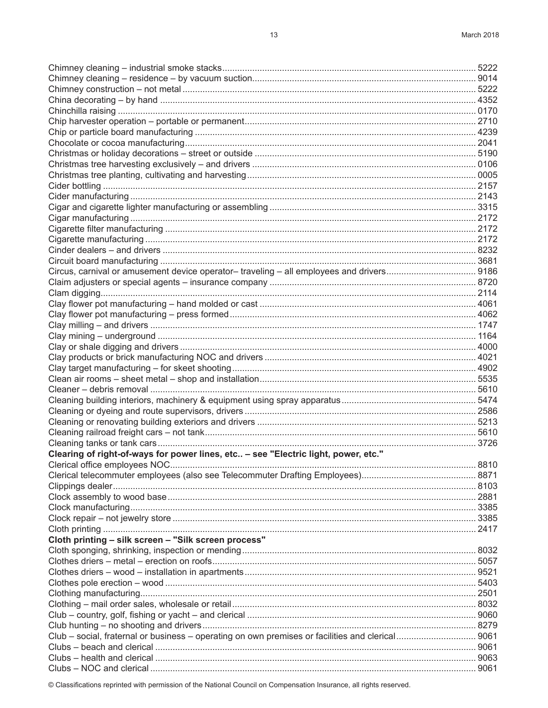| Circus, carnival or amusement device operator-traveling - all employees and drivers 9186         |  |
|--------------------------------------------------------------------------------------------------|--|
|                                                                                                  |  |
|                                                                                                  |  |
|                                                                                                  |  |
|                                                                                                  |  |
|                                                                                                  |  |
|                                                                                                  |  |
|                                                                                                  |  |
|                                                                                                  |  |
|                                                                                                  |  |
|                                                                                                  |  |
|                                                                                                  |  |
|                                                                                                  |  |
|                                                                                                  |  |
|                                                                                                  |  |
|                                                                                                  |  |
|                                                                                                  |  |
| Clearing of right-of-ways for power lines, etc - see "Electric light, power, etc."               |  |
|                                                                                                  |  |
|                                                                                                  |  |
|                                                                                                  |  |
|                                                                                                  |  |
|                                                                                                  |  |
|                                                                                                  |  |
|                                                                                                  |  |
| Cloth printing - silk screen - "Silk screen process"                                             |  |
|                                                                                                  |  |
|                                                                                                  |  |
|                                                                                                  |  |
|                                                                                                  |  |
|                                                                                                  |  |
|                                                                                                  |  |
|                                                                                                  |  |
|                                                                                                  |  |
| Club - social, fraternal or business - operating on own premises or facilities and clerical 9061 |  |
|                                                                                                  |  |
|                                                                                                  |  |
|                                                                                                  |  |
|                                                                                                  |  |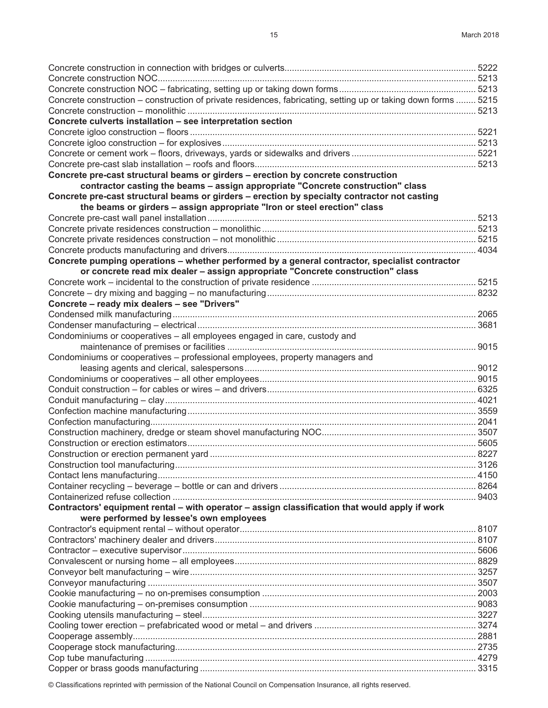| Concrete construction – construction of private residences, fabricating, setting up or taking down forms  5215 |       |
|----------------------------------------------------------------------------------------------------------------|-------|
|                                                                                                                |       |
| Concrete culverts installation - see interpretation section                                                    |       |
|                                                                                                                |       |
|                                                                                                                |       |
|                                                                                                                |       |
|                                                                                                                |       |
| Concrete pre-cast structural beams or girders - erection by concrete construction                              |       |
| contractor casting the beams - assign appropriate "Concrete construction" class                                |       |
| Concrete pre-cast structural beams or girders - erection by specialty contractor not casting                   |       |
| the beams or girders - assign appropriate "Iron or steel erection" class                                       |       |
|                                                                                                                |       |
|                                                                                                                |       |
|                                                                                                                |       |
|                                                                                                                |       |
| Concrete pumping operations - whether performed by a general contractor, specialist contractor                 |       |
| or concrete read mix dealer - assign appropriate "Concrete construction" class                                 |       |
|                                                                                                                |       |
|                                                                                                                |       |
| Concrete - ready mix dealers - see "Drivers"                                                                   |       |
|                                                                                                                |       |
|                                                                                                                |       |
| Condominiums or cooperatives - all employees engaged in care, custody and                                      |       |
|                                                                                                                |       |
| Condominiums or cooperatives - professional employees, property managers and                                   |       |
|                                                                                                                |       |
|                                                                                                                |       |
|                                                                                                                |       |
|                                                                                                                |       |
|                                                                                                                |       |
|                                                                                                                |       |
|                                                                                                                |       |
|                                                                                                                |       |
|                                                                                                                |       |
|                                                                                                                | .3126 |
|                                                                                                                |       |
|                                                                                                                |       |
|                                                                                                                |       |
|                                                                                                                |       |
| Contractors' equipment rental – with operator – assign classification that would apply if work                 |       |
| were performed by lessee's own employees                                                                       |       |
|                                                                                                                |       |
|                                                                                                                |       |
|                                                                                                                |       |
|                                                                                                                |       |
|                                                                                                                |       |
|                                                                                                                |       |
|                                                                                                                |       |
|                                                                                                                |       |
|                                                                                                                |       |
|                                                                                                                |       |
|                                                                                                                |       |
|                                                                                                                |       |
|                                                                                                                |       |
|                                                                                                                |       |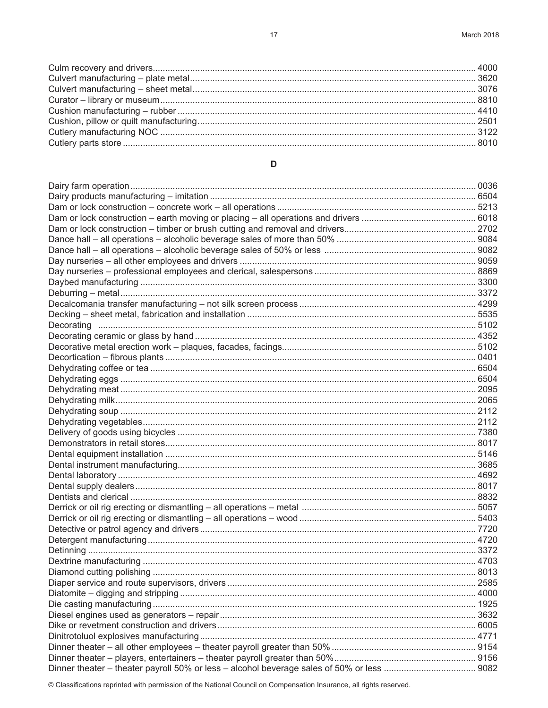$17$ 

## $\mathsf D$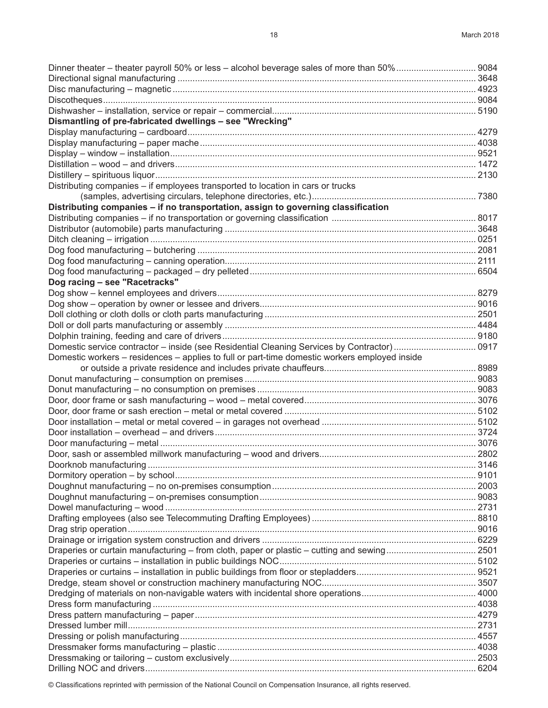| Dismantling of pre-fabricated dwellings - see "Wrecking"                                      |  |
|-----------------------------------------------------------------------------------------------|--|
|                                                                                               |  |
|                                                                                               |  |
|                                                                                               |  |
|                                                                                               |  |
|                                                                                               |  |
| Distributing companies - if employees transported to location in cars or trucks               |  |
|                                                                                               |  |
| Distributing companies - if no transportation, assign to governing classification             |  |
|                                                                                               |  |
|                                                                                               |  |
|                                                                                               |  |
|                                                                                               |  |
|                                                                                               |  |
|                                                                                               |  |
| Dog racing - see "Racetracks"                                                                 |  |
|                                                                                               |  |
|                                                                                               |  |
|                                                                                               |  |
|                                                                                               |  |
|                                                                                               |  |
| Domestic service contractor – inside (see Residential Cleaning Services by Contractor)  0917  |  |
| Domestic workers – residences – applies to full or part-time domestic workers employed inside |  |
|                                                                                               |  |
|                                                                                               |  |
|                                                                                               |  |
|                                                                                               |  |
|                                                                                               |  |
|                                                                                               |  |
|                                                                                               |  |
|                                                                                               |  |
|                                                                                               |  |
|                                                                                               |  |
|                                                                                               |  |
|                                                                                               |  |
|                                                                                               |  |
|                                                                                               |  |
|                                                                                               |  |
|                                                                                               |  |
|                                                                                               |  |
| Draperies or curtain manufacturing - from cloth, paper or plastic - cutting and sewing 2501   |  |
|                                                                                               |  |
|                                                                                               |  |
|                                                                                               |  |
|                                                                                               |  |
|                                                                                               |  |
|                                                                                               |  |
|                                                                                               |  |
|                                                                                               |  |
|                                                                                               |  |
|                                                                                               |  |
|                                                                                               |  |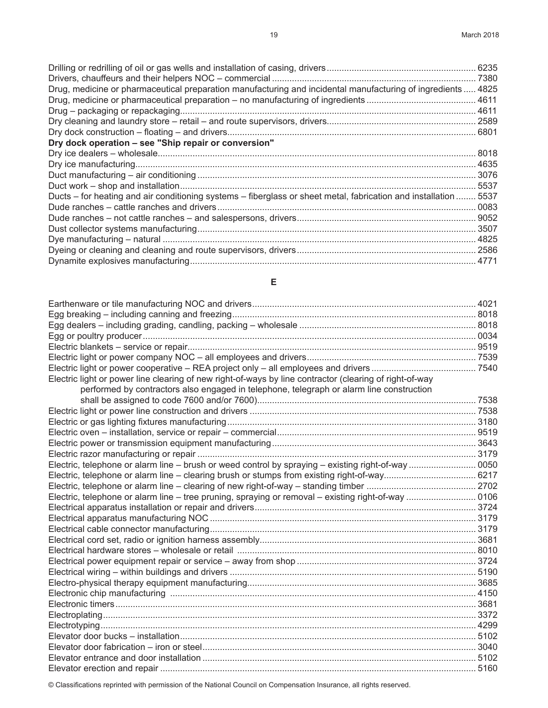| Drug, medicine or pharmaceutical preparation manufacturing and incidental manufacturing of ingredients  4825     |      |
|------------------------------------------------------------------------------------------------------------------|------|
|                                                                                                                  |      |
|                                                                                                                  |      |
|                                                                                                                  |      |
|                                                                                                                  |      |
| Dry dock operation - see "Ship repair or conversion"                                                             |      |
|                                                                                                                  | 8018 |
|                                                                                                                  |      |
|                                                                                                                  |      |
|                                                                                                                  | 5537 |
| Ducts – for heating and air conditioning systems – fiberglass or sheet metal, fabrication and installation  5537 |      |
|                                                                                                                  |      |
|                                                                                                                  |      |
|                                                                                                                  |      |
|                                                                                                                  |      |
|                                                                                                                  |      |
|                                                                                                                  |      |

## **E**

| Electric light or power line clearing of new right-of-ways by line contractor (clearing of right-of-way |  |
|---------------------------------------------------------------------------------------------------------|--|
| performed by contractors also engaged in telephone, telegraph or alarm line construction                |  |
|                                                                                                         |  |
|                                                                                                         |  |
|                                                                                                         |  |
|                                                                                                         |  |
|                                                                                                         |  |
|                                                                                                         |  |
|                                                                                                         |  |
|                                                                                                         |  |
|                                                                                                         |  |
| Electric, telephone or alarm line - tree pruning, spraying or removal - existing right-of-way  0106     |  |
|                                                                                                         |  |
|                                                                                                         |  |
|                                                                                                         |  |
|                                                                                                         |  |
|                                                                                                         |  |
|                                                                                                         |  |
|                                                                                                         |  |
|                                                                                                         |  |
|                                                                                                         |  |
|                                                                                                         |  |
|                                                                                                         |  |
|                                                                                                         |  |
|                                                                                                         |  |
|                                                                                                         |  |
|                                                                                                         |  |
|                                                                                                         |  |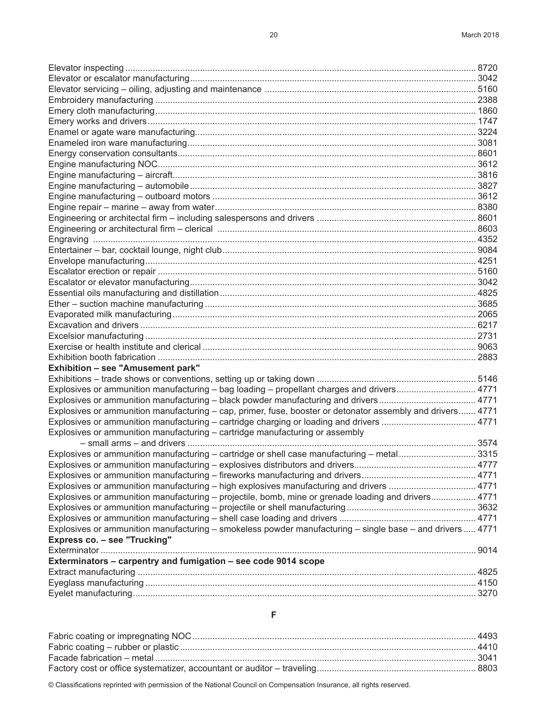| Exhibition - see "Amusement park"                                                                          |  |
|------------------------------------------------------------------------------------------------------------|--|
|                                                                                                            |  |
| Explosives or ammunition manufacturing – bag loading – propellant charges and drivers 4771                 |  |
| Explosives or ammunition manufacturing - black powder manufacturing and drivers 4771                       |  |
| Explosives or ammunition manufacturing – cap, primer, fuse, booster or detonator assembly and drivers 4771 |  |
| Explosives or ammunition manufacturing – cartridge charging or loading and drivers  4771                   |  |
| Explosives or ammunition manufacturing - cartridge manufacturing or assembly                               |  |
| Explosives or ammunition manufacturing – cartridge or shell case manufacturing – metal3315                 |  |
|                                                                                                            |  |
|                                                                                                            |  |
| Explosives or ammunition manufacturing – high explosives manufacturing and drivers  4771                   |  |
| Explosives or ammunition manufacturing – projectile, bomb, mine or grenade loading and drivers 4771        |  |
|                                                                                                            |  |
|                                                                                                            |  |
| Explosives or ammunition manufacturing – smokeless powder manufacturing – single base – and drivers  4771  |  |
| Express co. - see "Trucking"                                                                               |  |
|                                                                                                            |  |
| Exterminators - carpentry and fumigation - see code 9014 scope                                             |  |
|                                                                                                            |  |
|                                                                                                            |  |
|                                                                                                            |  |
|                                                                                                            |  |

**F**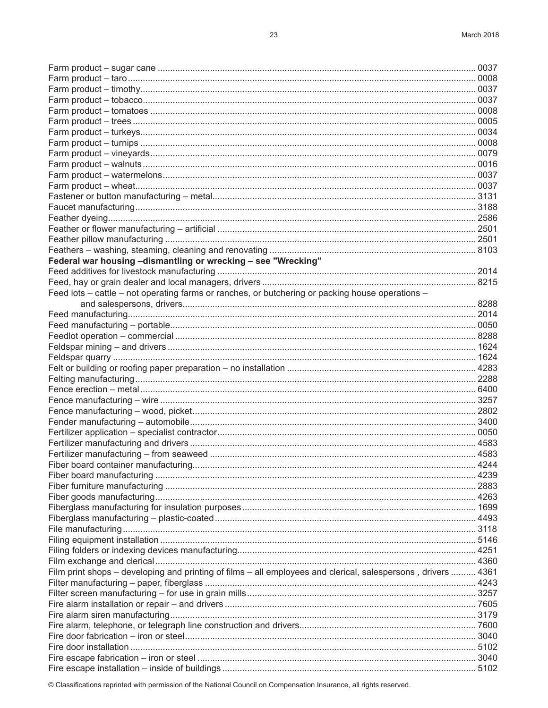| Federal war housing -dismantling or wrecking - see "Wrecking"                                                 |  |
|---------------------------------------------------------------------------------------------------------------|--|
|                                                                                                               |  |
|                                                                                                               |  |
| Feed lots – cattle – not operating farms or ranches, or butchering or packing house operations –              |  |
|                                                                                                               |  |
|                                                                                                               |  |
|                                                                                                               |  |
|                                                                                                               |  |
|                                                                                                               |  |
|                                                                                                               |  |
|                                                                                                               |  |
|                                                                                                               |  |
|                                                                                                               |  |
|                                                                                                               |  |
|                                                                                                               |  |
|                                                                                                               |  |
|                                                                                                               |  |
|                                                                                                               |  |
|                                                                                                               |  |
|                                                                                                               |  |
|                                                                                                               |  |
|                                                                                                               |  |
|                                                                                                               |  |
|                                                                                                               |  |
|                                                                                                               |  |
|                                                                                                               |  |
|                                                                                                               |  |
|                                                                                                               |  |
|                                                                                                               |  |
| Film print shops - developing and printing of films - all employees and clerical, salespersons, drivers  4361 |  |
|                                                                                                               |  |
|                                                                                                               |  |
|                                                                                                               |  |
|                                                                                                               |  |
|                                                                                                               |  |
|                                                                                                               |  |
|                                                                                                               |  |
|                                                                                                               |  |
|                                                                                                               |  |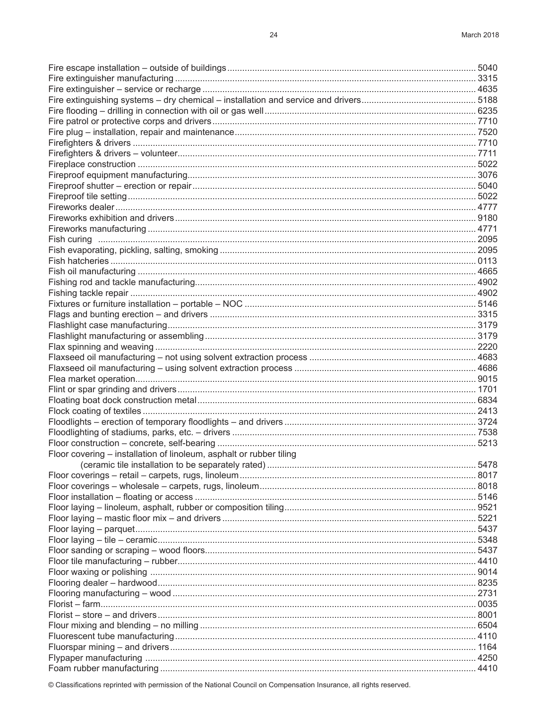| Floor covering - installation of linoleum, asphalt or rubber tiling |  |
|---------------------------------------------------------------------|--|
|                                                                     |  |
|                                                                     |  |
|                                                                     |  |
|                                                                     |  |
|                                                                     |  |
|                                                                     |  |
|                                                                     |  |
|                                                                     |  |
|                                                                     |  |
|                                                                     |  |
|                                                                     |  |
|                                                                     |  |
|                                                                     |  |
|                                                                     |  |
|                                                                     |  |
|                                                                     |  |
|                                                                     |  |
|                                                                     |  |
|                                                                     |  |
|                                                                     |  |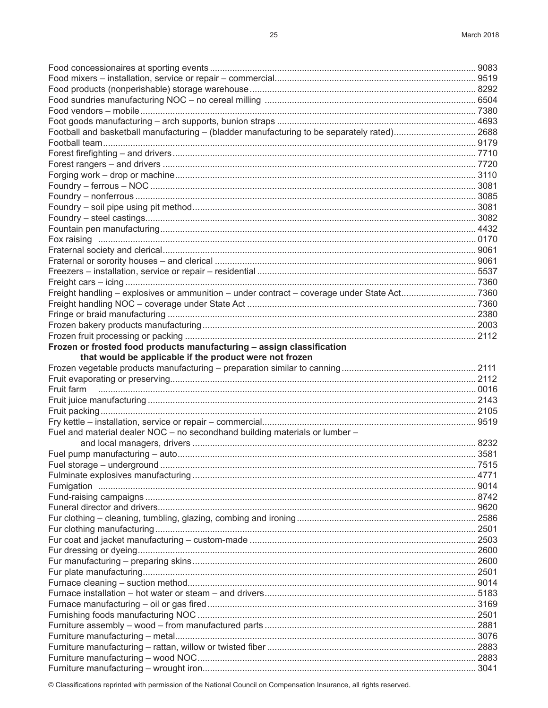| Football and basketball manufacturing - (bladder manufacturing to be separately rated) 2688 |  |
|---------------------------------------------------------------------------------------------|--|
|                                                                                             |  |
|                                                                                             |  |
|                                                                                             |  |
|                                                                                             |  |
|                                                                                             |  |
|                                                                                             |  |
|                                                                                             |  |
|                                                                                             |  |
|                                                                                             |  |
|                                                                                             |  |
|                                                                                             |  |
|                                                                                             |  |
|                                                                                             |  |
|                                                                                             |  |
|                                                                                             |  |
|                                                                                             |  |
|                                                                                             |  |
|                                                                                             |  |
|                                                                                             |  |
| Frozen or frosted food products manufacturing - assign classification                       |  |
| that would be applicable if the product were not frozen                                     |  |
|                                                                                             |  |
|                                                                                             |  |
|                                                                                             |  |
|                                                                                             |  |
|                                                                                             |  |
|                                                                                             |  |
| Fuel and material dealer NOC - no secondhand building materials or lumber -                 |  |
|                                                                                             |  |
|                                                                                             |  |
|                                                                                             |  |
|                                                                                             |  |
|                                                                                             |  |
|                                                                                             |  |
|                                                                                             |  |
|                                                                                             |  |
|                                                                                             |  |
|                                                                                             |  |
|                                                                                             |  |
|                                                                                             |  |
|                                                                                             |  |
|                                                                                             |  |
|                                                                                             |  |
|                                                                                             |  |
|                                                                                             |  |
|                                                                                             |  |
|                                                                                             |  |
|                                                                                             |  |
|                                                                                             |  |
|                                                                                             |  |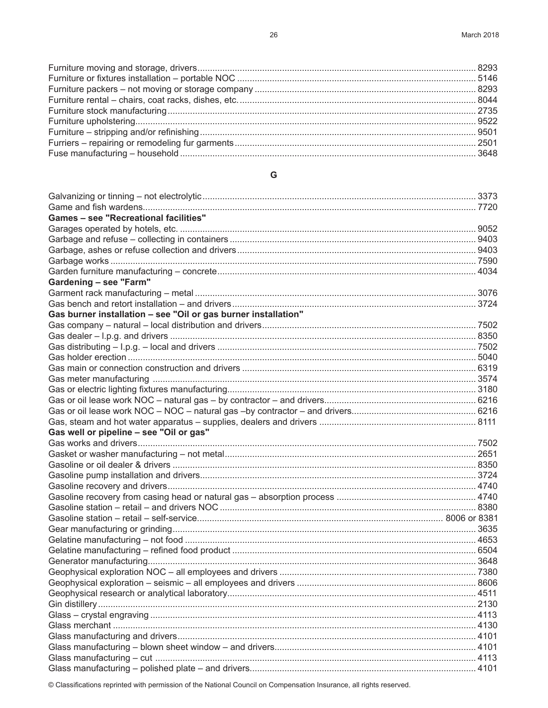### ${\mathsf G}$

| <b>Games - see "Recreational facilities"</b>                   |  |
|----------------------------------------------------------------|--|
|                                                                |  |
|                                                                |  |
|                                                                |  |
|                                                                |  |
|                                                                |  |
| Gardening - see "Farm"                                         |  |
|                                                                |  |
|                                                                |  |
| Gas burner installation - see "Oil or gas burner installation" |  |
|                                                                |  |
|                                                                |  |
|                                                                |  |
|                                                                |  |
|                                                                |  |
|                                                                |  |
|                                                                |  |
|                                                                |  |
|                                                                |  |
|                                                                |  |
| Gas well or pipeline - see "Oil or gas"                        |  |
|                                                                |  |
|                                                                |  |
|                                                                |  |
|                                                                |  |
|                                                                |  |
|                                                                |  |
|                                                                |  |
|                                                                |  |
|                                                                |  |
|                                                                |  |
|                                                                |  |
|                                                                |  |
|                                                                |  |
|                                                                |  |
|                                                                |  |
|                                                                |  |
|                                                                |  |
|                                                                |  |
|                                                                |  |
|                                                                |  |
|                                                                |  |
|                                                                |  |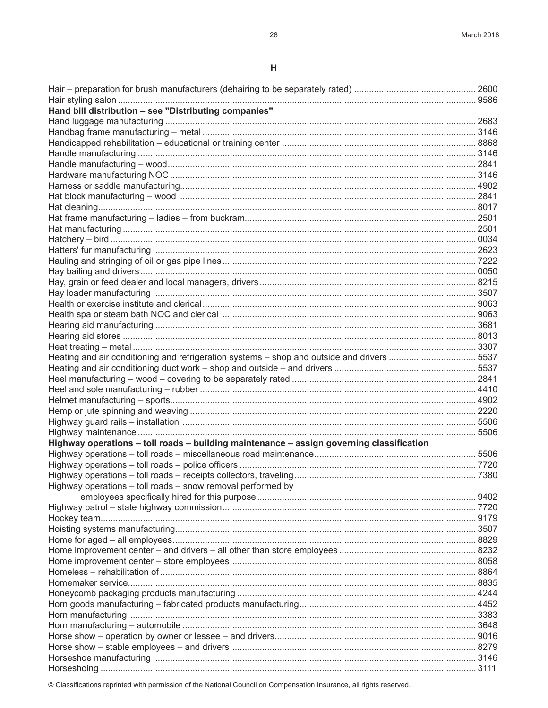| Hand bill distribution - see "Distributing companies"                                      |  |
|--------------------------------------------------------------------------------------------|--|
|                                                                                            |  |
|                                                                                            |  |
|                                                                                            |  |
|                                                                                            |  |
|                                                                                            |  |
|                                                                                            |  |
|                                                                                            |  |
|                                                                                            |  |
|                                                                                            |  |
|                                                                                            |  |
|                                                                                            |  |
|                                                                                            |  |
|                                                                                            |  |
|                                                                                            |  |
|                                                                                            |  |
|                                                                                            |  |
|                                                                                            |  |
|                                                                                            |  |
|                                                                                            |  |
|                                                                                            |  |
|                                                                                            |  |
|                                                                                            |  |
| Heating and air conditioning and refrigeration systems - shop and outside and drivers 5537 |  |
|                                                                                            |  |
|                                                                                            |  |
|                                                                                            |  |
|                                                                                            |  |
|                                                                                            |  |
|                                                                                            |  |
|                                                                                            |  |
| Highway operations - toll roads - building maintenance - assign governing classification   |  |
|                                                                                            |  |
|                                                                                            |  |
|                                                                                            |  |
| Highway operations - toll roads - snow removal performed by                                |  |
|                                                                                            |  |
|                                                                                            |  |
|                                                                                            |  |
|                                                                                            |  |
|                                                                                            |  |
|                                                                                            |  |
|                                                                                            |  |
|                                                                                            |  |
|                                                                                            |  |
|                                                                                            |  |
|                                                                                            |  |
|                                                                                            |  |
|                                                                                            |  |
|                                                                                            |  |
|                                                                                            |  |
|                                                                                            |  |
|                                                                                            |  |
|                                                                                            |  |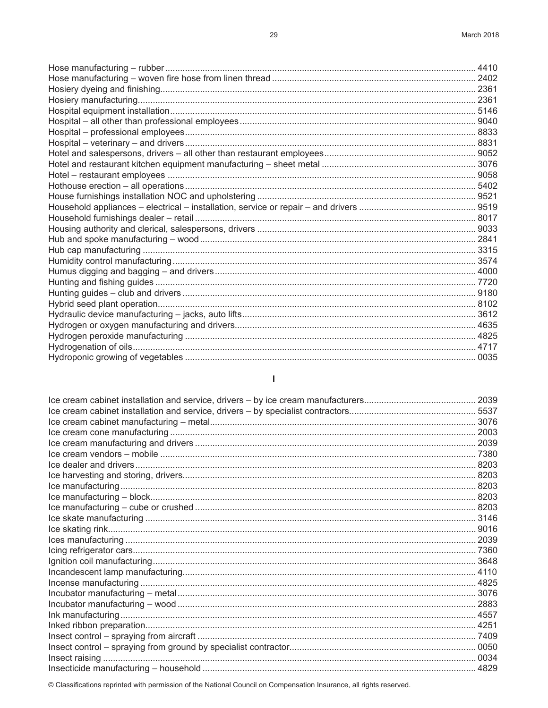$\mathsf I$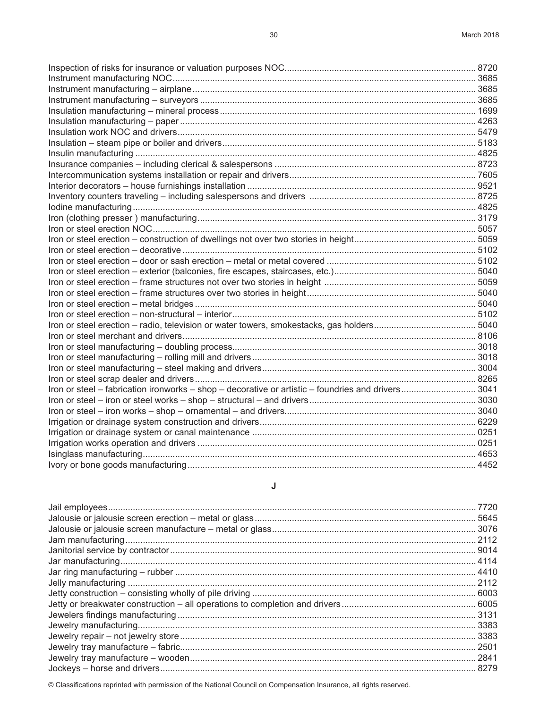#### **J**

| .7720  |
|--------|
|        |
|        |
|        |
|        |
|        |
|        |
|        |
|        |
|        |
|        |
|        |
|        |
| . 2501 |
|        |
|        |
|        |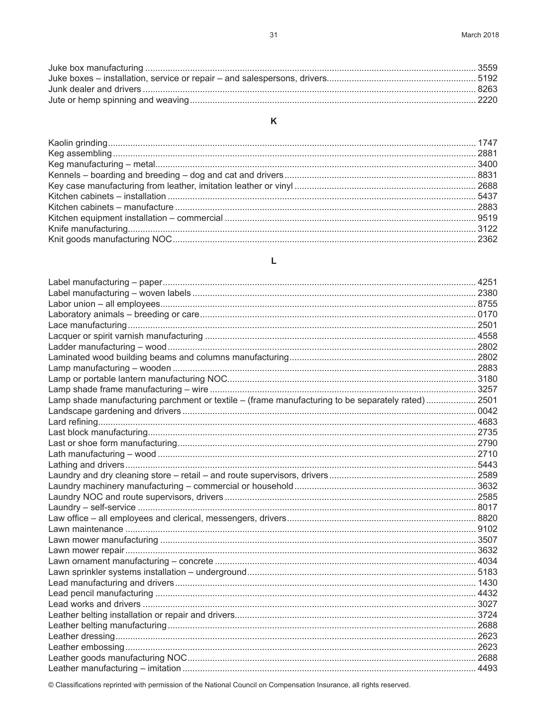#### K

## L

| Lamp shade manufacturing parchment or textile - (frame manufacturing to be separately rated) 2501 |  |
|---------------------------------------------------------------------------------------------------|--|
|                                                                                                   |  |
|                                                                                                   |  |
|                                                                                                   |  |
|                                                                                                   |  |
|                                                                                                   |  |
|                                                                                                   |  |
|                                                                                                   |  |
|                                                                                                   |  |
|                                                                                                   |  |
|                                                                                                   |  |
|                                                                                                   |  |
|                                                                                                   |  |
|                                                                                                   |  |
|                                                                                                   |  |
|                                                                                                   |  |
|                                                                                                   |  |
|                                                                                                   |  |
|                                                                                                   |  |
|                                                                                                   |  |
|                                                                                                   |  |
|                                                                                                   |  |
|                                                                                                   |  |
|                                                                                                   |  |
|                                                                                                   |  |
|                                                                                                   |  |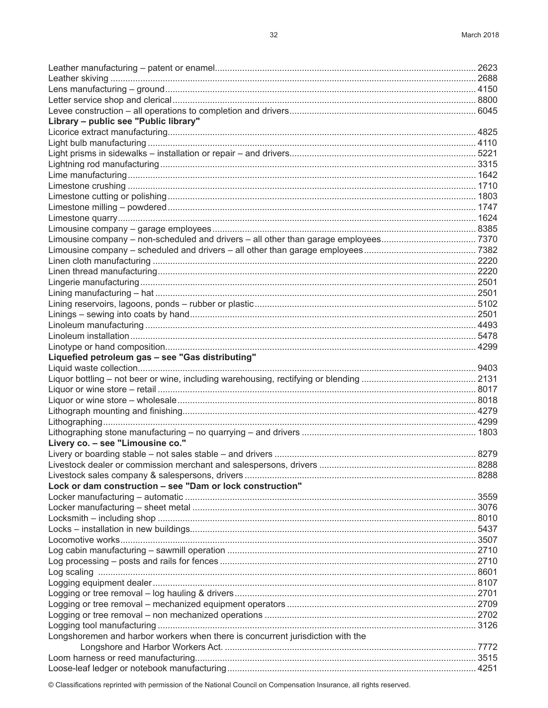| Library - public see "Public library"                                          |  |
|--------------------------------------------------------------------------------|--|
|                                                                                |  |
|                                                                                |  |
|                                                                                |  |
|                                                                                |  |
|                                                                                |  |
|                                                                                |  |
|                                                                                |  |
|                                                                                |  |
|                                                                                |  |
|                                                                                |  |
|                                                                                |  |
|                                                                                |  |
|                                                                                |  |
|                                                                                |  |
|                                                                                |  |
|                                                                                |  |
|                                                                                |  |
|                                                                                |  |
|                                                                                |  |
|                                                                                |  |
|                                                                                |  |
|                                                                                |  |
| Liquefied petroleum gas - see "Gas distributing"                               |  |
|                                                                                |  |
|                                                                                |  |
|                                                                                |  |
|                                                                                |  |
|                                                                                |  |
|                                                                                |  |
|                                                                                |  |
| Livery co. - see "Limousine co."                                               |  |
|                                                                                |  |
|                                                                                |  |
|                                                                                |  |
| Lock or dam construction - see "Dam or lock construction"                      |  |
|                                                                                |  |
|                                                                                |  |
|                                                                                |  |
|                                                                                |  |
|                                                                                |  |
|                                                                                |  |
|                                                                                |  |
|                                                                                |  |
|                                                                                |  |
|                                                                                |  |
|                                                                                |  |
|                                                                                |  |
|                                                                                |  |
| Longshoremen and harbor workers when there is concurrent jurisdiction with the |  |
|                                                                                |  |
|                                                                                |  |
|                                                                                |  |
|                                                                                |  |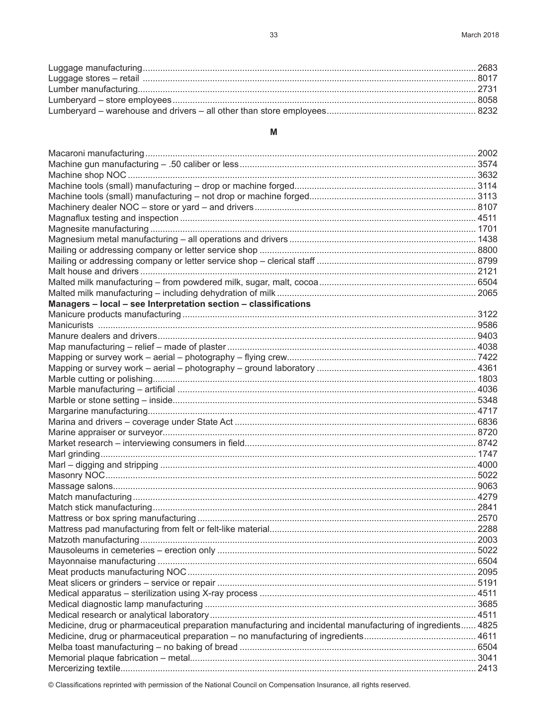### M

| Managers - local - see Interpretation section - classifications                                             |  |
|-------------------------------------------------------------------------------------------------------------|--|
|                                                                                                             |  |
|                                                                                                             |  |
|                                                                                                             |  |
|                                                                                                             |  |
|                                                                                                             |  |
|                                                                                                             |  |
|                                                                                                             |  |
|                                                                                                             |  |
|                                                                                                             |  |
|                                                                                                             |  |
|                                                                                                             |  |
|                                                                                                             |  |
|                                                                                                             |  |
|                                                                                                             |  |
|                                                                                                             |  |
|                                                                                                             |  |
|                                                                                                             |  |
|                                                                                                             |  |
|                                                                                                             |  |
|                                                                                                             |  |
|                                                                                                             |  |
|                                                                                                             |  |
|                                                                                                             |  |
|                                                                                                             |  |
|                                                                                                             |  |
|                                                                                                             |  |
|                                                                                                             |  |
|                                                                                                             |  |
|                                                                                                             |  |
| Medicine, drug or pharmaceutical preparation manufacturing and incidental manufacturing of ingredients 4825 |  |
|                                                                                                             |  |
|                                                                                                             |  |
|                                                                                                             |  |
|                                                                                                             |  |
|                                                                                                             |  |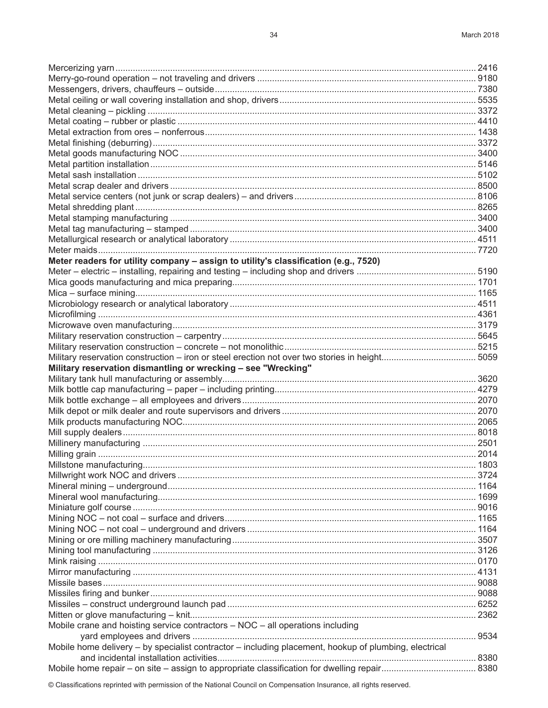| Meter readers for utility company - assign to utility's classification (e.g., 7520)                   |        |
|-------------------------------------------------------------------------------------------------------|--------|
|                                                                                                       |        |
|                                                                                                       |        |
|                                                                                                       |        |
|                                                                                                       |        |
|                                                                                                       |        |
|                                                                                                       |        |
|                                                                                                       |        |
|                                                                                                       |        |
|                                                                                                       |        |
|                                                                                                       |        |
| Military reservation dismantling or wrecking - see "Wrecking"                                         |        |
|                                                                                                       |        |
|                                                                                                       |        |
|                                                                                                       |        |
|                                                                                                       |        |
|                                                                                                       |        |
|                                                                                                       |        |
|                                                                                                       |        |
|                                                                                                       |        |
| Millstone manufacturing                                                                               | . 1803 |
|                                                                                                       |        |
|                                                                                                       |        |
|                                                                                                       |        |
|                                                                                                       |        |
|                                                                                                       |        |
|                                                                                                       |        |
|                                                                                                       |        |
|                                                                                                       |        |
|                                                                                                       |        |
|                                                                                                       |        |
|                                                                                                       |        |
|                                                                                                       |        |
|                                                                                                       |        |
|                                                                                                       |        |
| Mobile crane and hoisting service contractors - NOC - all operations including                        |        |
|                                                                                                       |        |
|                                                                                                       |        |
| Mobile home delivery - by specialist contractor - including placement, hookup of plumbing, electrical |        |
|                                                                                                       |        |
|                                                                                                       |        |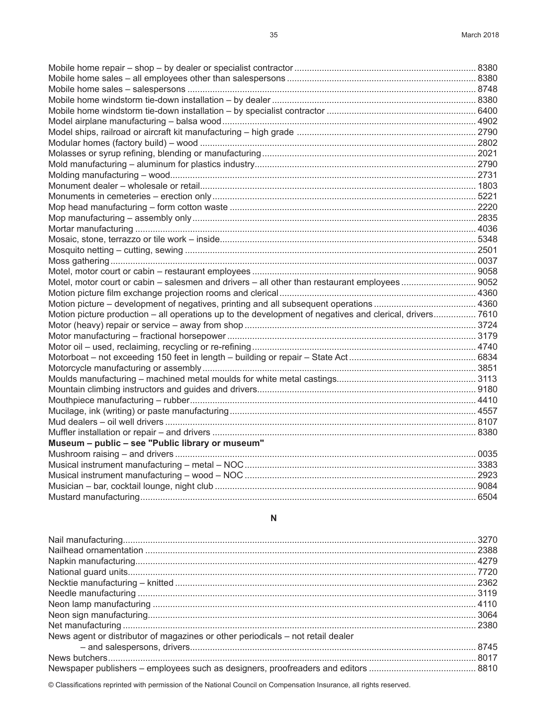| Motion picture production – all operations up to the development of negatives and clerical, drivers 7610 |  |
|----------------------------------------------------------------------------------------------------------|--|
|                                                                                                          |  |
|                                                                                                          |  |
|                                                                                                          |  |
|                                                                                                          |  |
|                                                                                                          |  |
|                                                                                                          |  |
|                                                                                                          |  |
|                                                                                                          |  |
|                                                                                                          |  |
|                                                                                                          |  |
|                                                                                                          |  |
| Museum - public - see "Public library or museum"                                                         |  |
|                                                                                                          |  |
|                                                                                                          |  |
|                                                                                                          |  |
|                                                                                                          |  |
|                                                                                                          |  |

## ${\sf N}$

| News agent or distributor of magazines or other periodicals – not retail dealer |  |
|---------------------------------------------------------------------------------|--|
|                                                                                 |  |
|                                                                                 |  |
|                                                                                 |  |
|                                                                                 |  |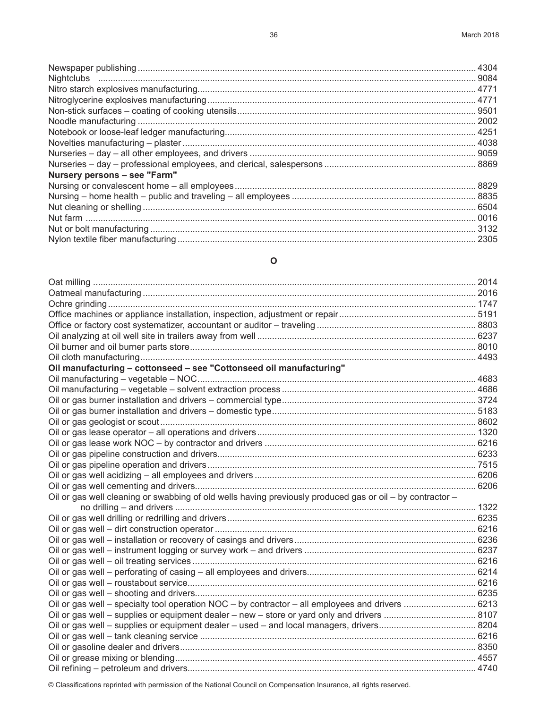| Nursery persons - see "Farm" |
|------------------------------|
|                              |
|                              |
|                              |
|                              |
|                              |
|                              |

# **O**

| Oil manufacturing - cottonseed - see "Cottonseed oil manufacturing"                                       |  |
|-----------------------------------------------------------------------------------------------------------|--|
|                                                                                                           |  |
|                                                                                                           |  |
|                                                                                                           |  |
|                                                                                                           |  |
|                                                                                                           |  |
|                                                                                                           |  |
|                                                                                                           |  |
|                                                                                                           |  |
|                                                                                                           |  |
|                                                                                                           |  |
|                                                                                                           |  |
| Oil or gas well cleaning or swabbing of old wells having previously produced gas or oil - by contractor - |  |
|                                                                                                           |  |
|                                                                                                           |  |
|                                                                                                           |  |
|                                                                                                           |  |
|                                                                                                           |  |
|                                                                                                           |  |
|                                                                                                           |  |
|                                                                                                           |  |
|                                                                                                           |  |
| Oil or gas well - specialty tool operation NOC - by contractor - all employees and drivers  6213          |  |
|                                                                                                           |  |
|                                                                                                           |  |
|                                                                                                           |  |
|                                                                                                           |  |
|                                                                                                           |  |
|                                                                                                           |  |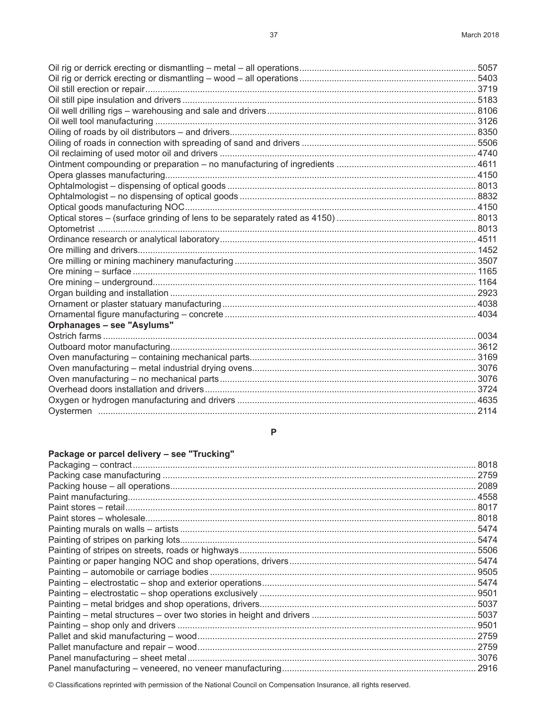| Orphanages - see "Asylums" |  |
|----------------------------|--|
|                            |  |
|                            |  |
|                            |  |
|                            |  |
|                            |  |
|                            |  |
|                            |  |
|                            |  |
|                            |  |

#### $\boldsymbol{\mathsf{P}}$

# Package or parcel delivery - see "Trucking"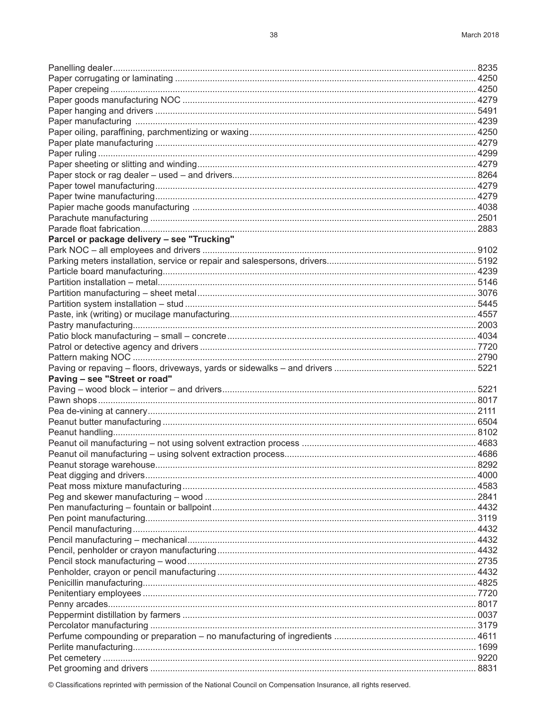| Parcel or package delivery - see "Trucking" |  |
|---------------------------------------------|--|
|                                             |  |
|                                             |  |
|                                             |  |
|                                             |  |
|                                             |  |
|                                             |  |
|                                             |  |
|                                             |  |
|                                             |  |
|                                             |  |
|                                             |  |
|                                             |  |
| Paving - see "Street or road"               |  |
|                                             |  |
|                                             |  |
|                                             |  |
|                                             |  |
|                                             |  |
|                                             |  |
|                                             |  |
|                                             |  |
|                                             |  |
|                                             |  |
|                                             |  |
|                                             |  |
|                                             |  |
|                                             |  |
|                                             |  |
|                                             |  |
|                                             |  |
|                                             |  |
|                                             |  |
|                                             |  |
|                                             |  |
|                                             |  |
|                                             |  |
|                                             |  |
|                                             |  |
|                                             |  |
|                                             |  |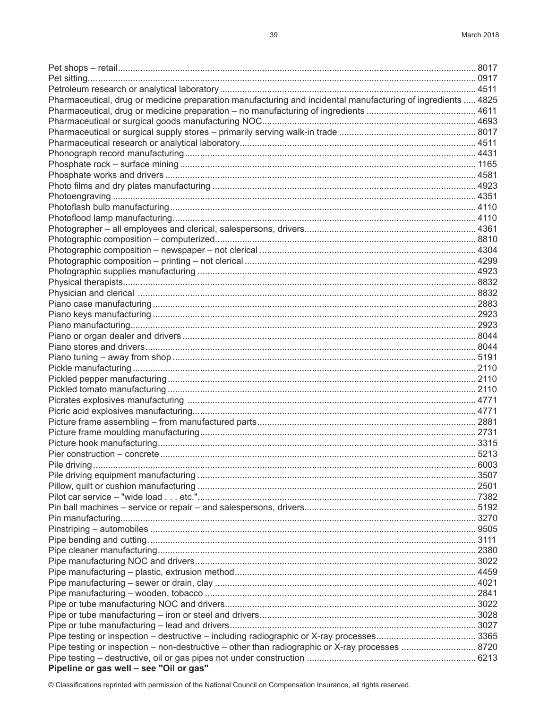| Pharmaceutical, drug or medicine preparation manufacturing and incidental manufacturing of ingredients  4825 |  |
|--------------------------------------------------------------------------------------------------------------|--|
|                                                                                                              |  |
|                                                                                                              |  |
|                                                                                                              |  |
|                                                                                                              |  |
|                                                                                                              |  |
|                                                                                                              |  |
|                                                                                                              |  |
|                                                                                                              |  |
|                                                                                                              |  |
|                                                                                                              |  |
|                                                                                                              |  |
|                                                                                                              |  |
|                                                                                                              |  |
|                                                                                                              |  |
|                                                                                                              |  |
|                                                                                                              |  |
|                                                                                                              |  |
|                                                                                                              |  |
|                                                                                                              |  |
|                                                                                                              |  |
|                                                                                                              |  |
|                                                                                                              |  |
|                                                                                                              |  |
|                                                                                                              |  |
|                                                                                                              |  |
|                                                                                                              |  |
|                                                                                                              |  |
|                                                                                                              |  |
|                                                                                                              |  |
|                                                                                                              |  |
|                                                                                                              |  |
|                                                                                                              |  |
|                                                                                                              |  |
|                                                                                                              |  |
|                                                                                                              |  |
|                                                                                                              |  |
|                                                                                                              |  |
|                                                                                                              |  |
|                                                                                                              |  |
|                                                                                                              |  |
|                                                                                                              |  |
|                                                                                                              |  |
|                                                                                                              |  |
|                                                                                                              |  |
|                                                                                                              |  |
|                                                                                                              |  |
|                                                                                                              |  |
|                                                                                                              |  |
|                                                                                                              |  |
|                                                                                                              |  |
|                                                                                                              |  |
|                                                                                                              |  |
| Pipe testing or inspection – non-destructive – other than radiographic or X-ray processes  8720              |  |
|                                                                                                              |  |
| Pipeline or gas well - see "Oil or gas"                                                                      |  |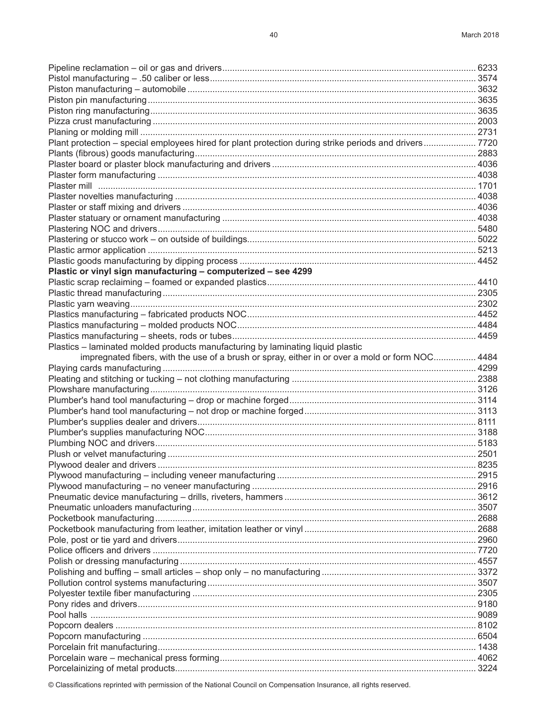| Plant protection - special employees hired for plant protection during strike periods and drivers 7720 |  |
|--------------------------------------------------------------------------------------------------------|--|
|                                                                                                        |  |
|                                                                                                        |  |
|                                                                                                        |  |
|                                                                                                        |  |
|                                                                                                        |  |
|                                                                                                        |  |
|                                                                                                        |  |
|                                                                                                        |  |
|                                                                                                        |  |
|                                                                                                        |  |
|                                                                                                        |  |
| Plastic or vinyl sign manufacturing - computerized - see 4299                                          |  |
|                                                                                                        |  |
|                                                                                                        |  |
|                                                                                                        |  |
|                                                                                                        |  |
|                                                                                                        |  |
|                                                                                                        |  |
|                                                                                                        |  |
| Plastics - laminated molded products manufacturing by laminating liquid plastic                        |  |
| impregnated fibers, with the use of a brush or spray, either in or over a mold or form NOC 4484        |  |
|                                                                                                        |  |
|                                                                                                        |  |
|                                                                                                        |  |
|                                                                                                        |  |
|                                                                                                        |  |
|                                                                                                        |  |
|                                                                                                        |  |
|                                                                                                        |  |
|                                                                                                        |  |
|                                                                                                        |  |
|                                                                                                        |  |
|                                                                                                        |  |
|                                                                                                        |  |
|                                                                                                        |  |
|                                                                                                        |  |
|                                                                                                        |  |
|                                                                                                        |  |
|                                                                                                        |  |
|                                                                                                        |  |
|                                                                                                        |  |
|                                                                                                        |  |
|                                                                                                        |  |
|                                                                                                        |  |
|                                                                                                        |  |
|                                                                                                        |  |
|                                                                                                        |  |
|                                                                                                        |  |
|                                                                                                        |  |
|                                                                                                        |  |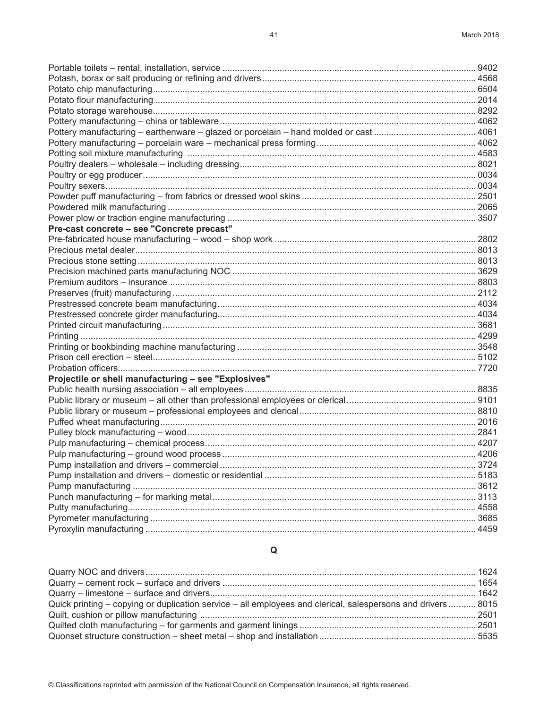## $\pmb{\mathsf{Q}}$

| Quick printing – copying or duplication service – all employees and clerical, salespersons and drivers  8015 |  |
|--------------------------------------------------------------------------------------------------------------|--|
|                                                                                                              |  |
|                                                                                                              |  |
|                                                                                                              |  |

| Pre-cast concrete - see "Concrete precast"           |      |
|------------------------------------------------------|------|
|                                                      |      |
|                                                      |      |
|                                                      |      |
|                                                      |      |
|                                                      |      |
|                                                      |      |
|                                                      |      |
|                                                      |      |
|                                                      |      |
|                                                      |      |
|                                                      |      |
|                                                      |      |
|                                                      |      |
| Projectile or shell manufacturing - see "Explosives" |      |
|                                                      |      |
|                                                      |      |
|                                                      |      |
|                                                      |      |
|                                                      |      |
|                                                      |      |
|                                                      |      |
|                                                      |      |
|                                                      |      |
|                                                      | 3612 |
|                                                      | 3113 |
|                                                      |      |
|                                                      |      |
|                                                      |      |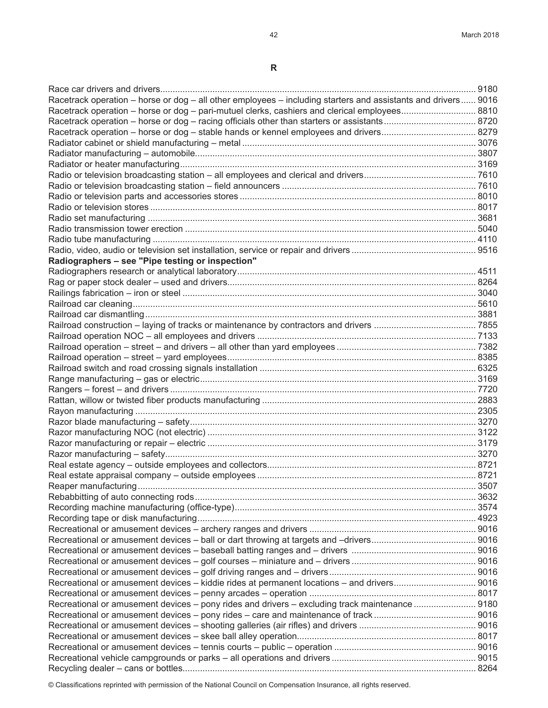**R**

| Racetrack operation – horse or dog – all other employees – including starters and assistants and drivers 9016 |  |
|---------------------------------------------------------------------------------------------------------------|--|
| Racetrack operation – horse or dog – pari-mutuel clerks, cashiers and clerical employees 8810                 |  |
|                                                                                                               |  |
|                                                                                                               |  |
|                                                                                                               |  |
|                                                                                                               |  |
|                                                                                                               |  |
|                                                                                                               |  |
|                                                                                                               |  |
|                                                                                                               |  |
|                                                                                                               |  |
|                                                                                                               |  |
|                                                                                                               |  |
|                                                                                                               |  |
|                                                                                                               |  |
| Radiographers - see "Pipe testing or inspection"                                                              |  |
|                                                                                                               |  |
|                                                                                                               |  |
|                                                                                                               |  |
|                                                                                                               |  |
|                                                                                                               |  |
|                                                                                                               |  |
|                                                                                                               |  |
|                                                                                                               |  |
|                                                                                                               |  |
|                                                                                                               |  |
|                                                                                                               |  |
|                                                                                                               |  |
|                                                                                                               |  |
|                                                                                                               |  |
|                                                                                                               |  |
|                                                                                                               |  |
|                                                                                                               |  |
|                                                                                                               |  |
|                                                                                                               |  |
|                                                                                                               |  |
|                                                                                                               |  |
|                                                                                                               |  |
|                                                                                                               |  |
|                                                                                                               |  |
|                                                                                                               |  |
|                                                                                                               |  |
|                                                                                                               |  |
|                                                                                                               |  |
|                                                                                                               |  |
|                                                                                                               |  |
|                                                                                                               |  |
|                                                                                                               |  |
| Recreational or amusement devices – pony rides and drivers – excluding track maintenance  9180                |  |
|                                                                                                               |  |
|                                                                                                               |  |
|                                                                                                               |  |
|                                                                                                               |  |
|                                                                                                               |  |
|                                                                                                               |  |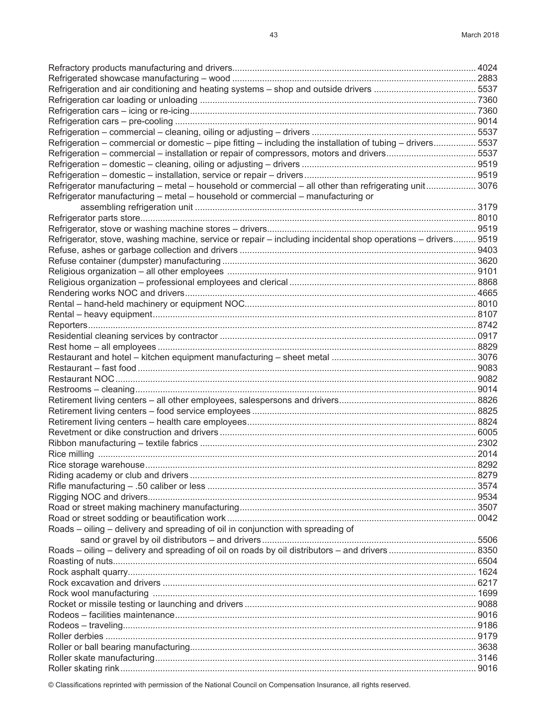| Refrigeration – commercial or domestic – pipe fitting – including the installation of tubing – drivers 5537   |      |
|---------------------------------------------------------------------------------------------------------------|------|
| Refrigeration – commercial – installation or repair of compressors, motors and drivers5537                    |      |
|                                                                                                               |      |
|                                                                                                               |      |
| Refrigerator manufacturing – metal – household or commercial – all other than refrigerating unit 3076         |      |
| Refrigerator manufacturing - metal - household or commercial - manufacturing or                               |      |
|                                                                                                               |      |
|                                                                                                               |      |
|                                                                                                               |      |
| Refrigerator, stove, washing machine, service or repair - including incidental shop operations - drivers 9519 |      |
|                                                                                                               |      |
|                                                                                                               |      |
|                                                                                                               |      |
|                                                                                                               |      |
|                                                                                                               |      |
|                                                                                                               |      |
|                                                                                                               |      |
|                                                                                                               |      |
|                                                                                                               |      |
|                                                                                                               |      |
|                                                                                                               |      |
|                                                                                                               |      |
|                                                                                                               |      |
|                                                                                                               |      |
|                                                                                                               |      |
|                                                                                                               |      |
|                                                                                                               |      |
|                                                                                                               |      |
|                                                                                                               |      |
|                                                                                                               |      |
|                                                                                                               | 8292 |
|                                                                                                               |      |
|                                                                                                               |      |
|                                                                                                               |      |
|                                                                                                               |      |
|                                                                                                               |      |
| Roads – oiling – delivery and spreading of oil in conjunction with spreading of                               |      |
|                                                                                                               |      |
|                                                                                                               |      |
|                                                                                                               |      |
|                                                                                                               |      |
|                                                                                                               |      |
|                                                                                                               |      |
|                                                                                                               |      |
|                                                                                                               |      |
|                                                                                                               |      |
|                                                                                                               |      |
|                                                                                                               |      |
|                                                                                                               |      |
|                                                                                                               |      |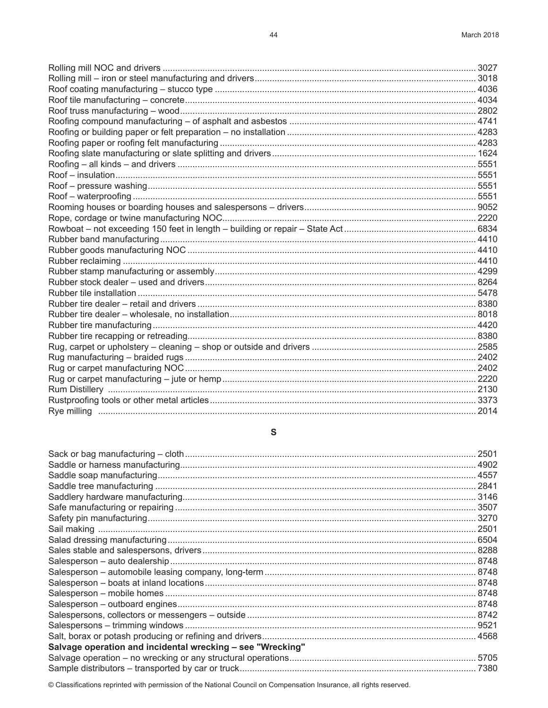#### ${\mathbb S}$

| Salvage operation and incidental wrecking - see "Wrecking" |      |
|------------------------------------------------------------|------|
|                                                            | 5705 |
|                                                            |      |
|                                                            |      |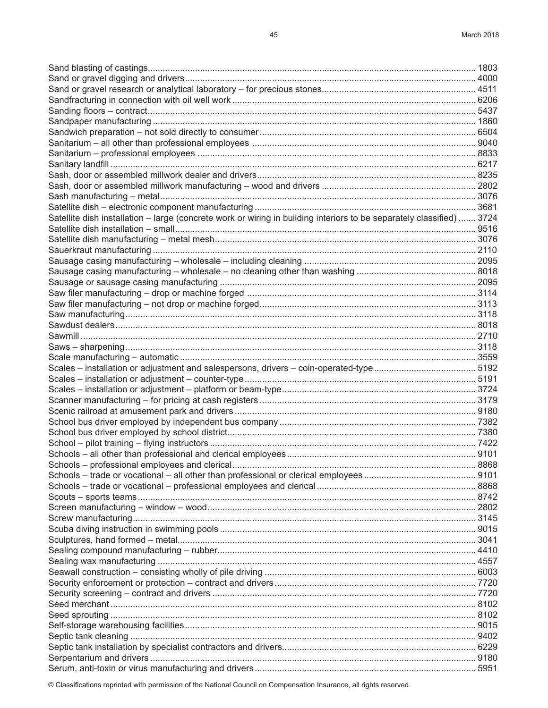| Satellite dish installation - large (concrete work or wiring in building interiors to be separately classified)  3724 |  |
|-----------------------------------------------------------------------------------------------------------------------|--|
|                                                                                                                       |  |
|                                                                                                                       |  |
|                                                                                                                       |  |
|                                                                                                                       |  |
|                                                                                                                       |  |
|                                                                                                                       |  |
|                                                                                                                       |  |
|                                                                                                                       |  |
|                                                                                                                       |  |
|                                                                                                                       |  |
|                                                                                                                       |  |
|                                                                                                                       |  |
|                                                                                                                       |  |
|                                                                                                                       |  |
|                                                                                                                       |  |
|                                                                                                                       |  |
|                                                                                                                       |  |
|                                                                                                                       |  |
|                                                                                                                       |  |
|                                                                                                                       |  |
|                                                                                                                       |  |
|                                                                                                                       |  |
|                                                                                                                       |  |
|                                                                                                                       |  |
|                                                                                                                       |  |
|                                                                                                                       |  |
|                                                                                                                       |  |
|                                                                                                                       |  |
|                                                                                                                       |  |
|                                                                                                                       |  |
|                                                                                                                       |  |
|                                                                                                                       |  |
|                                                                                                                       |  |
|                                                                                                                       |  |
|                                                                                                                       |  |
|                                                                                                                       |  |
|                                                                                                                       |  |
|                                                                                                                       |  |
|                                                                                                                       |  |
|                                                                                                                       |  |
|                                                                                                                       |  |
|                                                                                                                       |  |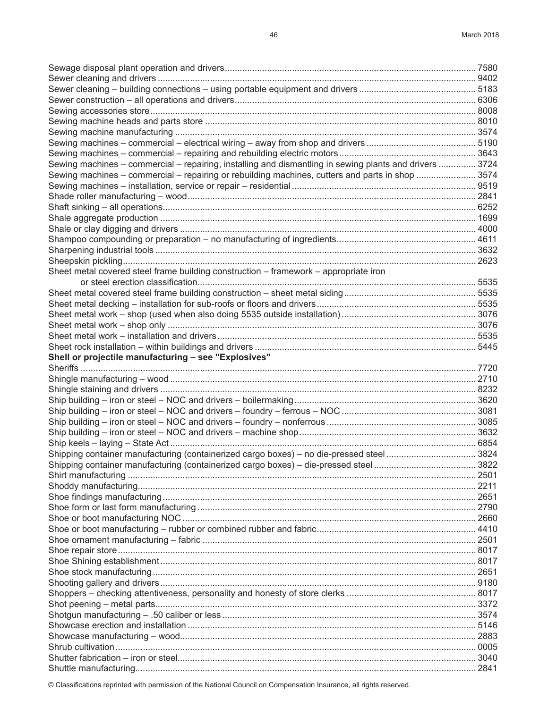| Sewing machines – commercial – repairing, installing and dismantling in sewing plants and drivers  3724 |  |
|---------------------------------------------------------------------------------------------------------|--|
| Sewing machines – commercial – repairing or rebuilding machines, cutters and parts in shop  3574        |  |
|                                                                                                         |  |
|                                                                                                         |  |
|                                                                                                         |  |
|                                                                                                         |  |
|                                                                                                         |  |
|                                                                                                         |  |
|                                                                                                         |  |
|                                                                                                         |  |
| Sheet metal covered steel frame building construction – framework – appropriate iron                    |  |
|                                                                                                         |  |
|                                                                                                         |  |
|                                                                                                         |  |
|                                                                                                         |  |
|                                                                                                         |  |
|                                                                                                         |  |
|                                                                                                         |  |
| Shell or projectile manufacturing - see "Explosives"                                                    |  |
|                                                                                                         |  |
|                                                                                                         |  |
|                                                                                                         |  |
|                                                                                                         |  |
|                                                                                                         |  |
|                                                                                                         |  |
|                                                                                                         |  |
|                                                                                                         |  |
|                                                                                                         |  |
|                                                                                                         |  |
|                                                                                                         |  |
|                                                                                                         |  |
|                                                                                                         |  |
|                                                                                                         |  |
|                                                                                                         |  |
|                                                                                                         |  |
|                                                                                                         |  |
|                                                                                                         |  |
|                                                                                                         |  |
|                                                                                                         |  |
|                                                                                                         |  |
|                                                                                                         |  |
|                                                                                                         |  |
|                                                                                                         |  |
|                                                                                                         |  |
|                                                                                                         |  |
|                                                                                                         |  |
|                                                                                                         |  |
|                                                                                                         |  |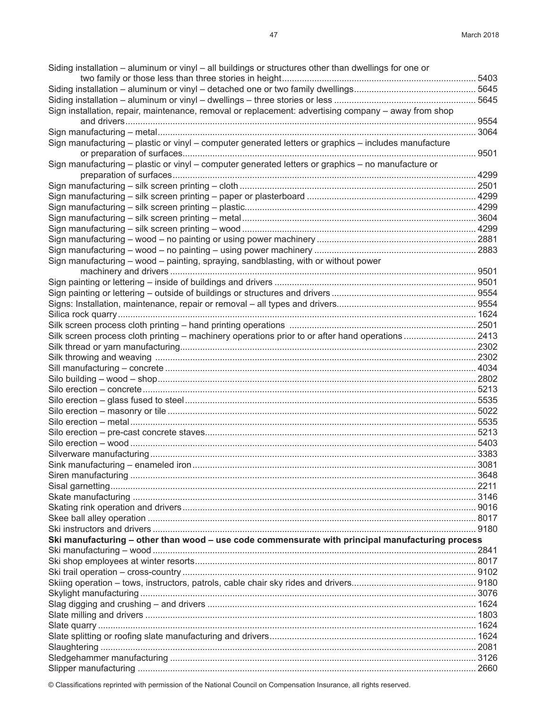| Siding installation - aluminum or vinyl - all buildings or structures other than dwellings for one or |       |
|-------------------------------------------------------------------------------------------------------|-------|
|                                                                                                       |       |
|                                                                                                       |       |
| Sign installation, repair, maintenance, removal or replacement: advertising company – away from shop  |       |
|                                                                                                       |       |
|                                                                                                       | .3064 |
| Sign manufacturing - plastic or vinyl - computer generated letters or graphics - includes manufacture |       |
| 9501                                                                                                  |       |
| Sign manufacturing – plastic or vinyl – computer generated letters or graphics – no manufacture or    |       |
|                                                                                                       |       |
|                                                                                                       |       |
|                                                                                                       |       |
|                                                                                                       |       |
|                                                                                                       |       |
|                                                                                                       |       |
|                                                                                                       |       |
|                                                                                                       |       |
| Sign manufacturing - wood - painting, spraying, sandblasting, with or without power                   |       |
|                                                                                                       |       |
|                                                                                                       |       |
|                                                                                                       |       |
|                                                                                                       |       |
|                                                                                                       |       |
|                                                                                                       |       |
| Silk screen process cloth printing - machinery operations prior to or after hand operations  2413     |       |
|                                                                                                       |       |
|                                                                                                       |       |
|                                                                                                       |       |
|                                                                                                       |       |
|                                                                                                       |       |
|                                                                                                       |       |
|                                                                                                       |       |
|                                                                                                       |       |
|                                                                                                       |       |
|                                                                                                       |       |
|                                                                                                       |       |
|                                                                                                       |       |
|                                                                                                       |       |
|                                                                                                       |       |
|                                                                                                       |       |
|                                                                                                       |       |
|                                                                                                       |       |
|                                                                                                       |       |
| Ski manufacturing - other than wood - use code commensurate with principal manufacturing process      |       |
|                                                                                                       |       |
|                                                                                                       |       |
|                                                                                                       |       |
|                                                                                                       |       |
|                                                                                                       |       |
|                                                                                                       |       |
|                                                                                                       |       |
|                                                                                                       |       |
|                                                                                                       |       |
|                                                                                                       |       |
|                                                                                                       |       |
|                                                                                                       |       |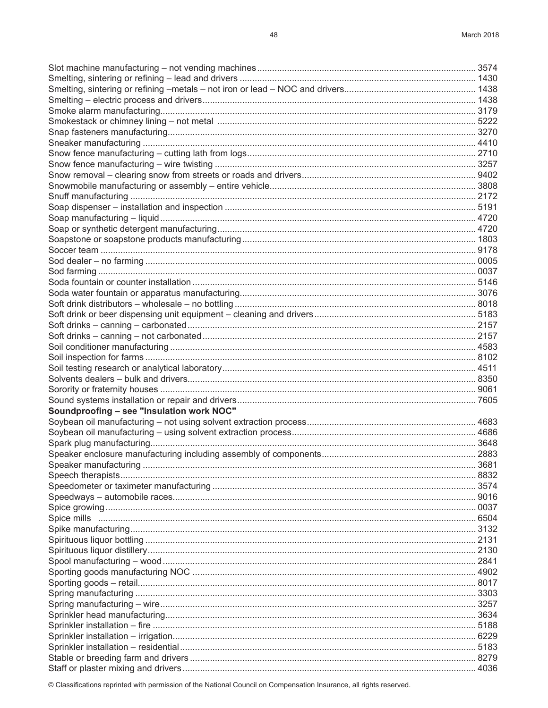| Soundproofing - see "Insulation work NOC" |  |
|-------------------------------------------|--|
|                                           |  |
|                                           |  |
|                                           |  |
|                                           |  |
|                                           |  |
|                                           |  |
|                                           |  |
|                                           |  |
|                                           |  |
|                                           |  |
|                                           |  |
|                                           |  |
|                                           |  |
|                                           |  |
|                                           |  |
|                                           |  |
|                                           |  |
|                                           |  |
|                                           |  |
|                                           |  |
|                                           |  |
|                                           |  |
|                                           |  |
|                                           |  |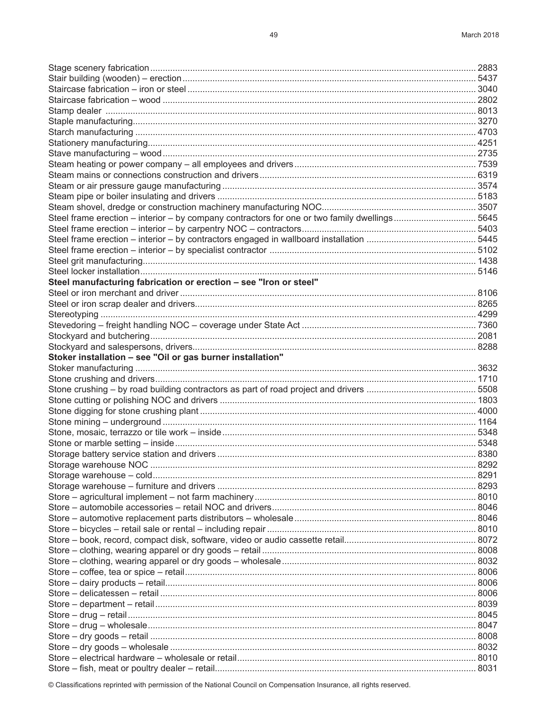| Steel frame erection - interior - by company contractors for one or two family dwellings5645 |      |
|----------------------------------------------------------------------------------------------|------|
|                                                                                              |      |
|                                                                                              |      |
|                                                                                              |      |
|                                                                                              |      |
|                                                                                              |      |
| Steel manufacturing fabrication or erection - see "Iron or steel"                            |      |
|                                                                                              |      |
|                                                                                              |      |
|                                                                                              |      |
|                                                                                              |      |
|                                                                                              |      |
|                                                                                              |      |
| Stoker installation - see "Oil or gas burner installation"                                   |      |
|                                                                                              |      |
|                                                                                              |      |
|                                                                                              |      |
|                                                                                              |      |
|                                                                                              |      |
|                                                                                              |      |
|                                                                                              |      |
|                                                                                              |      |
|                                                                                              |      |
| Storage warehouse NOC                                                                        | 8292 |
|                                                                                              |      |
|                                                                                              |      |
|                                                                                              |      |
|                                                                                              |      |
|                                                                                              |      |
|                                                                                              |      |
|                                                                                              |      |
|                                                                                              |      |
|                                                                                              |      |
|                                                                                              |      |
|                                                                                              |      |
|                                                                                              |      |
|                                                                                              |      |
|                                                                                              |      |
|                                                                                              |      |
|                                                                                              |      |
|                                                                                              |      |
|                                                                                              |      |
|                                                                                              |      |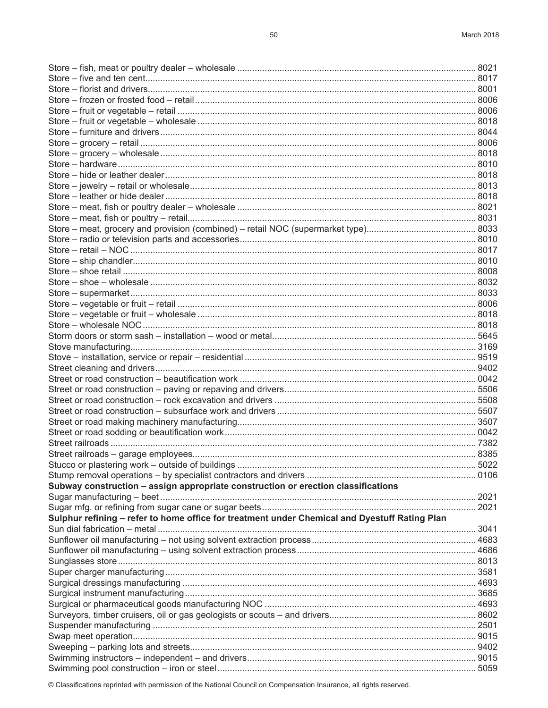|                                                                                               | 5022 |
|-----------------------------------------------------------------------------------------------|------|
|                                                                                               |      |
| Subway construction - assign appropriate construction or erection classifications             |      |
|                                                                                               |      |
|                                                                                               |      |
| Sulphur refining - refer to home office for treatment under Chemical and Dyestuff Rating Plan |      |
|                                                                                               |      |
|                                                                                               |      |
|                                                                                               |      |
|                                                                                               |      |
|                                                                                               |      |
|                                                                                               |      |
|                                                                                               |      |
|                                                                                               |      |
|                                                                                               |      |
|                                                                                               |      |
|                                                                                               |      |
|                                                                                               |      |
|                                                                                               |      |
|                                                                                               |      |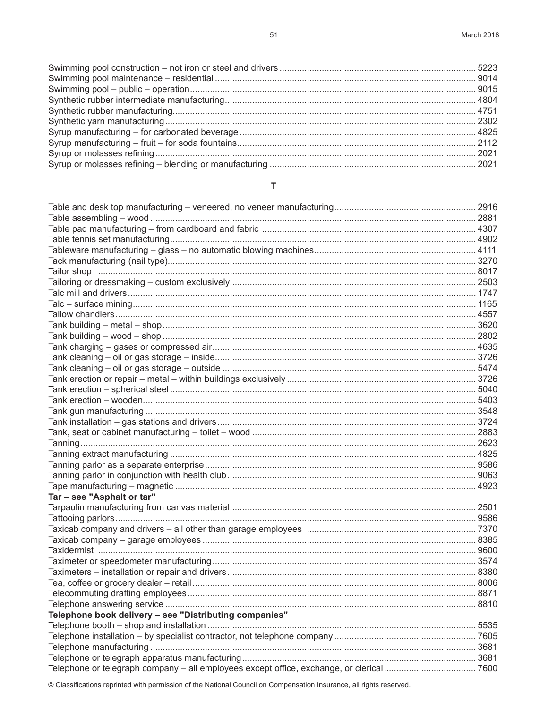# $\mathbf{T} = \{ \mathbf{r}_1, \ldots, \mathbf{r}_N \}$

| Tar - see "Asphalt or tar"                             |  |
|--------------------------------------------------------|--|
|                                                        |  |
|                                                        |  |
|                                                        |  |
|                                                        |  |
|                                                        |  |
|                                                        |  |
|                                                        |  |
|                                                        |  |
|                                                        |  |
|                                                        |  |
| Telephone book delivery - see "Distributing companies" |  |
|                                                        |  |
|                                                        |  |
|                                                        |  |
|                                                        |  |
|                                                        |  |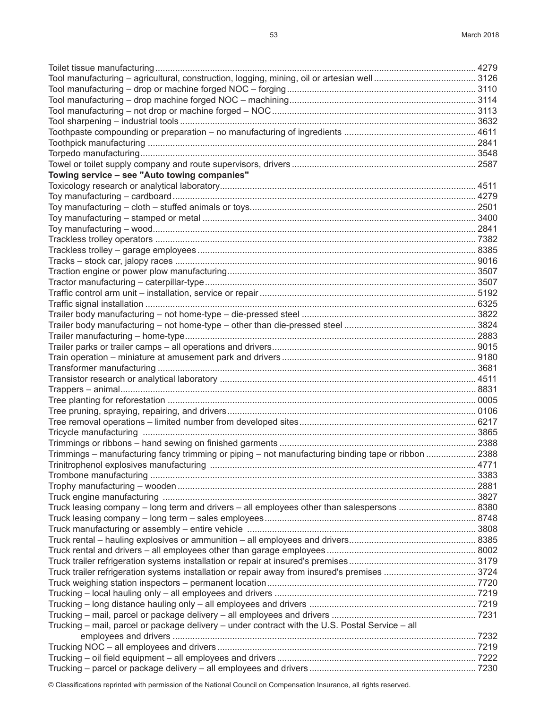| Towing service - see "Auto towing companies"                                                        |  |
|-----------------------------------------------------------------------------------------------------|--|
|                                                                                                     |  |
|                                                                                                     |  |
|                                                                                                     |  |
|                                                                                                     |  |
|                                                                                                     |  |
|                                                                                                     |  |
|                                                                                                     |  |
|                                                                                                     |  |
|                                                                                                     |  |
|                                                                                                     |  |
|                                                                                                     |  |
|                                                                                                     |  |
|                                                                                                     |  |
|                                                                                                     |  |
|                                                                                                     |  |
|                                                                                                     |  |
|                                                                                                     |  |
|                                                                                                     |  |
|                                                                                                     |  |
|                                                                                                     |  |
|                                                                                                     |  |
|                                                                                                     |  |
|                                                                                                     |  |
|                                                                                                     |  |
|                                                                                                     |  |
| Trimmings – manufacturing fancy trimming or piping – not manufacturing binding tape or ribbon  2388 |  |
|                                                                                                     |  |
|                                                                                                     |  |
|                                                                                                     |  |
|                                                                                                     |  |
|                                                                                                     |  |
|                                                                                                     |  |
|                                                                                                     |  |
|                                                                                                     |  |
|                                                                                                     |  |
|                                                                                                     |  |
| Truck trailer refrigeration systems installation or repair away from insured's premises  3724       |  |
|                                                                                                     |  |
|                                                                                                     |  |
|                                                                                                     |  |
|                                                                                                     |  |
| Trucking - mail, parcel or package delivery - under contract with the U.S. Postal Service - all     |  |
|                                                                                                     |  |
|                                                                                                     |  |
|                                                                                                     |  |
|                                                                                                     |  |
|                                                                                                     |  |

Toilet tissue manufacturing................................................................................................................................. 4279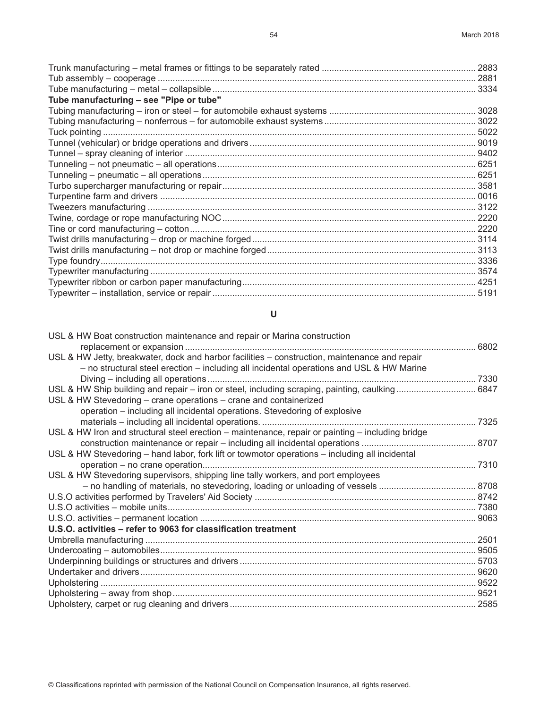| Tube manufacturing - see "Pipe or tube" |      |
|-----------------------------------------|------|
|                                         |      |
|                                         |      |
|                                         |      |
|                                         |      |
|                                         |      |
|                                         |      |
|                                         |      |
|                                         |      |
|                                         |      |
|                                         |      |
|                                         |      |
|                                         |      |
|                                         |      |
|                                         |      |
|                                         |      |
|                                         |      |
|                                         |      |
|                                         | 5191 |

## **U**

| USL & HW Boat construction maintenance and repair or Marina construction                                                                                                                  |  |
|-------------------------------------------------------------------------------------------------------------------------------------------------------------------------------------------|--|
|                                                                                                                                                                                           |  |
| USL & HW Jetty, breakwater, dock and harbor facilities - construction, maintenance and repair<br>- no structural steel erection - including all incidental operations and USL & HW Marine |  |
|                                                                                                                                                                                           |  |
| USL & HW Ship building and repair – iron or steel, including scraping, painting, caulking 6847                                                                                            |  |
| USL & HW Stevedoring – crane operations – crane and containerized                                                                                                                         |  |
| operation – including all incidental operations. Stevedoring of explosive                                                                                                                 |  |
|                                                                                                                                                                                           |  |
| USL & HW Iron and structural steel erection - maintenance, repair or painting - including bridge                                                                                          |  |
|                                                                                                                                                                                           |  |
| USL & HW Stevedoring - hand labor, fork lift or towmotor operations - including all incidental                                                                                            |  |
|                                                                                                                                                                                           |  |
| USL & HW Stevedoring supervisors, shipping line tally workers, and port employees                                                                                                         |  |
|                                                                                                                                                                                           |  |
|                                                                                                                                                                                           |  |
|                                                                                                                                                                                           |  |
|                                                                                                                                                                                           |  |
| U.S.O. activities - refer to 9063 for classification treatment                                                                                                                            |  |
|                                                                                                                                                                                           |  |
|                                                                                                                                                                                           |  |
|                                                                                                                                                                                           |  |
|                                                                                                                                                                                           |  |
|                                                                                                                                                                                           |  |
|                                                                                                                                                                                           |  |
|                                                                                                                                                                                           |  |
|                                                                                                                                                                                           |  |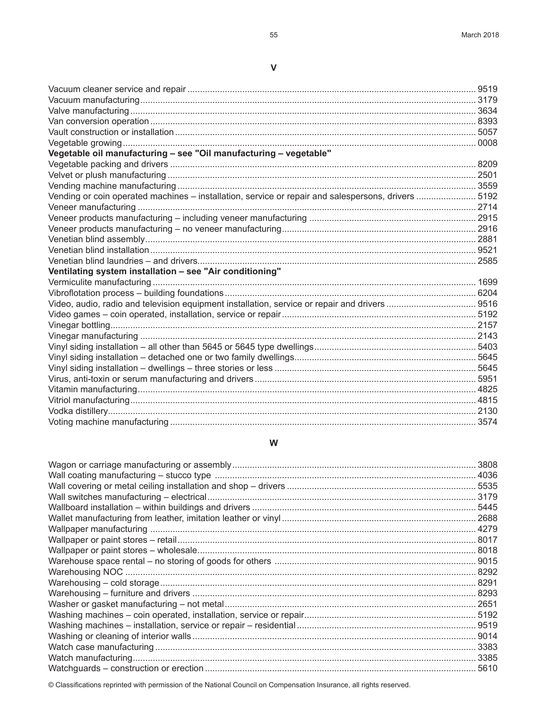# $\mathsf{V}$

| Vegetable oil manufacturing - see "Oil manufacturing - vegetable"                                   |  |
|-----------------------------------------------------------------------------------------------------|--|
|                                                                                                     |  |
|                                                                                                     |  |
|                                                                                                     |  |
| Vending or coin operated machines - installation, service or repair and salespersons, drivers  5192 |  |
|                                                                                                     |  |
|                                                                                                     |  |
|                                                                                                     |  |
|                                                                                                     |  |
|                                                                                                     |  |
|                                                                                                     |  |
| Ventilating system installation - see "Air conditioning"                                            |  |
|                                                                                                     |  |
|                                                                                                     |  |
| Video, audio, radio and television equipment installation, service or repair and drivers  9516      |  |
|                                                                                                     |  |
|                                                                                                     |  |
|                                                                                                     |  |
|                                                                                                     |  |
|                                                                                                     |  |
|                                                                                                     |  |
|                                                                                                     |  |
|                                                                                                     |  |
|                                                                                                     |  |
|                                                                                                     |  |
|                                                                                                     |  |

# W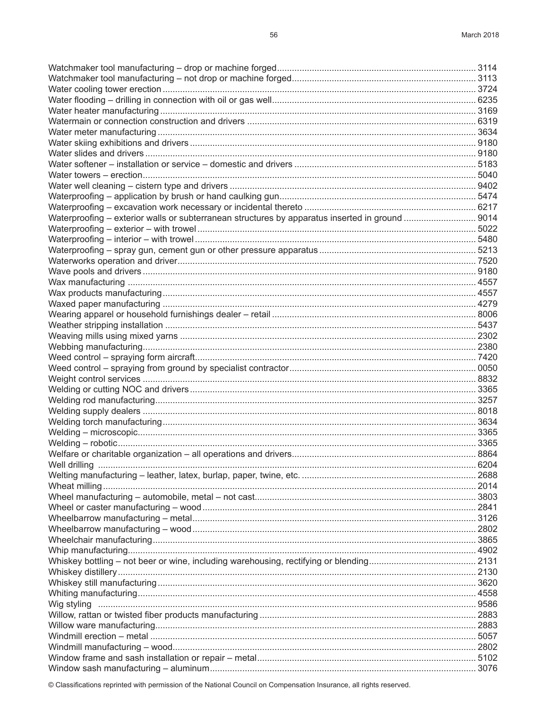| Waterproofing - exterior walls or subterranean structures by apparatus inserted in ground  9014 |  |
|-------------------------------------------------------------------------------------------------|--|
|                                                                                                 |  |
|                                                                                                 |  |
|                                                                                                 |  |
|                                                                                                 |  |
|                                                                                                 |  |
|                                                                                                 |  |
|                                                                                                 |  |
|                                                                                                 |  |
|                                                                                                 |  |
|                                                                                                 |  |
|                                                                                                 |  |
|                                                                                                 |  |
|                                                                                                 |  |
|                                                                                                 |  |
|                                                                                                 |  |
|                                                                                                 |  |
|                                                                                                 |  |
|                                                                                                 |  |
|                                                                                                 |  |
|                                                                                                 |  |
|                                                                                                 |  |
|                                                                                                 |  |
|                                                                                                 |  |
| Well drilling                                                                                   |  |
|                                                                                                 |  |
|                                                                                                 |  |
|                                                                                                 |  |
|                                                                                                 |  |
|                                                                                                 |  |
|                                                                                                 |  |
|                                                                                                 |  |
|                                                                                                 |  |
|                                                                                                 |  |
|                                                                                                 |  |
|                                                                                                 |  |
|                                                                                                 |  |
|                                                                                                 |  |
|                                                                                                 |  |
|                                                                                                 |  |
|                                                                                                 |  |
|                                                                                                 |  |
|                                                                                                 |  |
|                                                                                                 |  |
|                                                                                                 |  |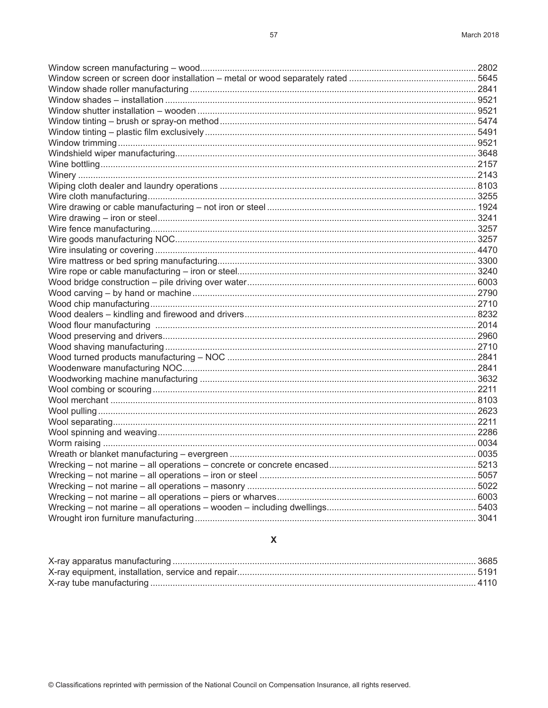| $\mathbf{A} \mathbf{B}$ and $\mathbf{A}$ and $\mathbf{B}$ are according to the set of the set of the set of the set of the set of the set of the set of the set of the set of the set of the set of the set of the set of the set of the set o | $\cap$ |
|------------------------------------------------------------------------------------------------------------------------------------------------------------------------------------------------------------------------------------------------|--------|

#### $\pmb{\mathsf{X}}$

#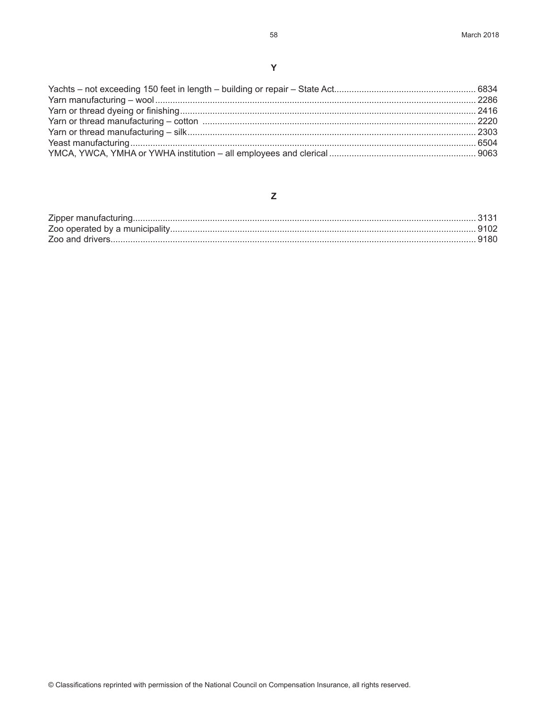#### $\mathsf{Z}% _{M_{1},M_{2}}^{\alpha,\beta}(\mathbb{R})\subset\mathsf{Z}_{M_{1},M_{2}}^{\alpha,\beta}(\mathbb{R})$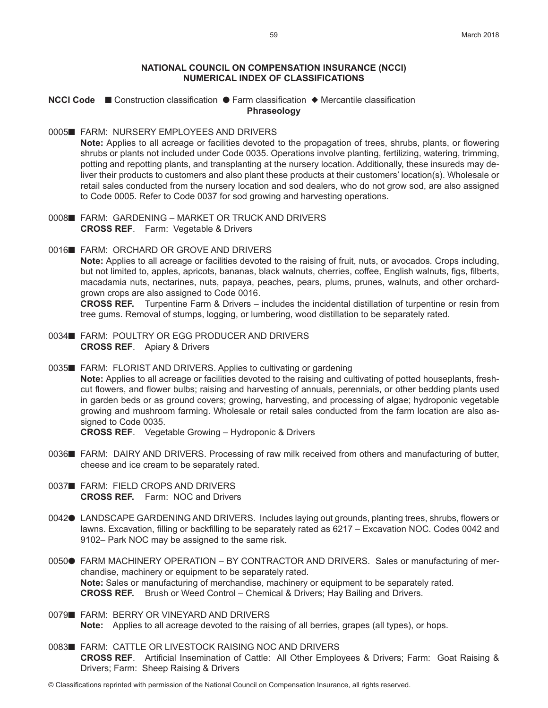#### **NATIONAL COUNCIL ON COMPENSATION INSURANCE (NCCI) NUMERICAL INDEX OF CLASSIFICATIONS**

# **NCCI Code** ■ Construction classification ● Farm classification ◆ Mercantile classification **Phraseology**

#### 0005■ FARM: NURSERY EMPLOYEES AND DRIVERS

**Note:** Applies to all acreage or facilities devoted to the propagation of trees, shrubs, plants, or flowering shrubs or plants not included under Code 0035. Operations involve planting, fertilizing, watering, trimming, potting and repotting plants, and transplanting at the nursery location. Additionally, these insureds may deliver their products to customers and also plant these products at their customers' location(s). Wholesale or retail sales conducted from the nursery location and sod dealers, who do not grow sod, are also assigned to Code 0005. Refer to Code 0037 for sod growing and harvesting operations.

- 0008■ FARM: GARDENING MARKET OR TRUCK AND DRIVERS **CROSS REF**. Farm: Vegetable & Drivers
- 0016■ FARM: ORCHARD OR GROVE AND DRIVERS **Note:** Applies to all acreage or facilities devoted to the raising of fruit, nuts, or avocados. Crops including, but not limited to, apples, apricots, bananas, black walnuts, cherries, coffee, English walnuts, figs, filberts, macadamia nuts, nectarines, nuts, papaya, peaches, pears, plums, prunes, walnuts, and other orchard-

grown crops are also assigned to Code 0016. **CROSS REF.** Turpentine Farm & Drivers – includes the incidental distillation of turpentine or resin from tree gums. Removal of stumps, logging, or lumbering, wood distillation to be separately rated.

- 0034■ FARM: POULTRY OR EGG PRODUCER AND DRIVERS **CROSS REF**. Apiary & Drivers
- 0035■ FARM: FLORIST AND DRIVERS. Applies to cultivating or gardening **Note:** Applies to all acreage or facilities devoted to the raising and cultivating of potted houseplants, freshcut flowers, and flower bulbs; raising and harvesting of annuals, perennials, or other bedding plants used in garden beds or as ground covers; growing, harvesting, and processing of algae; hydroponic vegetable growing and mushroom farming. Wholesale or retail sales conducted from the farm location are also assigned to Code 0035.

**CROSS REF**. Vegetable Growing – Hydroponic & Drivers

- 0036n FARM: DAIRY AND DRIVERS. Processing of raw milk received from others and manufacturing of butter, cheese and ice cream to be separately rated.
- 0037■ FARM: FIELD CROPS AND DRIVERS **CROSS REF.** Farm: NOC and Drivers
- 0042● LANDSCAPE GARDENING AND DRIVERS. Includes laying out grounds, planting trees, shrubs, flowers or lawns. Excavation, filling or backfilling to be separately rated as 6217 – Excavation NOC. Codes 0042 and 9102– Park NOC may be assigned to the same risk.
- 0050● FARM MACHINERY OPERATION BY CONTRACTOR AND DRIVERS. Sales or manufacturing of merchandise, machinery or equipment to be separately rated. **Note:** Sales or manufacturing of merchandise, machinery or equipment to be separately rated. **CROSS REF.** Brush or Weed Control – Chemical & Drivers; Hay Bailing and Drivers.
- 0079■ FARM: BERRY OR VINEYARD AND DRIVERS **Note:** Applies to all acreage devoted to the raising of all berries, grapes (all types), or hops.
- 0083■ FARM: CATTLE OR LIVESTOCK RAISING NOC AND DRIVERS **CROSS REF**. Artificial Insemination of Cattle: All Other Employees & Drivers; Farm: Goat Raising & Drivers; Farm: Sheep Raising & Drivers
- © Classifications reprinted with permission of the National Council on Compensation Insurance, all rights reserved.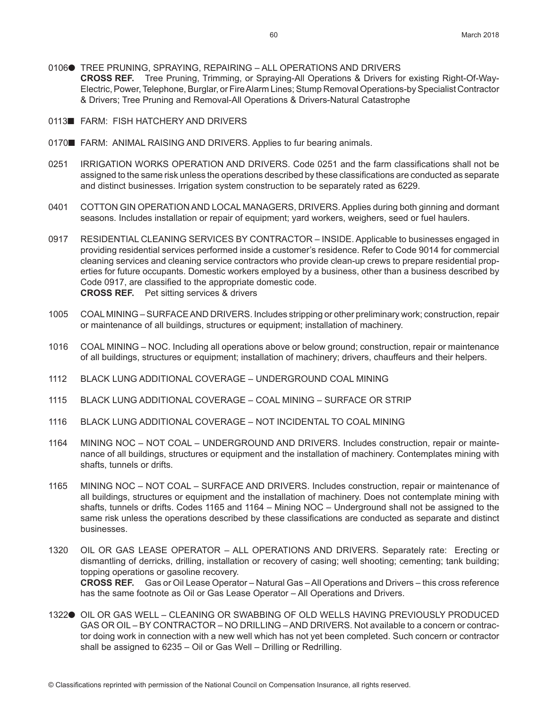- 0106● TREE PRUNING, SPRAYING, REPAIRING ALL OPERATIONS AND DRIVERS **CROSS REF.** Tree Pruning, Trimming, or Spraying-All Operations & Drivers for existing Right-Of-Way-Electric, Power, Telephone, Burglar, or Fire Alarm Lines; Stump Removal Operations-by Specialist Contractor & Drivers; Tree Pruning and Removal-All Operations & Drivers-Natural Catastrophe
- 0113<sup>M</sup> FARM: FISH HATCHERY AND DRIVERS
- 0170 FARM: ANIMAL RAISING AND DRIVERS. Applies to fur bearing animals.
- 0251 IRRIGATION WORKS OPERATION AND DRIVERS. Code 0251 and the farm classifications shall not be assigned to the same risk unless the operations described by these classifications are conducted as separate and distinct businesses. Irrigation system construction to be separately rated as 6229.
- 0401 COTTON GIN OPERATION AND LOCAL MANAGERS, DRIVERS. Applies during both ginning and dormant seasons. Includes installation or repair of equipment; yard workers, weighers, seed or fuel haulers.
- 0917 RESIDENTIAL CLEANING SERVICES BY CONTRACTOR INSIDE. Applicable to businesses engaged in providing residential services performed inside a customer's residence. Refer to Code 9014 for commercial cleaning services and cleaning service contractors who provide clean-up crews to prepare residential properties for future occupants. Domestic workers employed by a business, other than a business described by Code 0917, are classified to the appropriate domestic code. **CROSS REF.** Pet sitting services & drivers
- 1005 COAL MINING SURFACE AND DRIVERS. Includes stripping or other preliminary work; construction, repair or maintenance of all buildings, structures or equipment; installation of machinery.
- 1016 COAL MINING NOC. Including all operations above or below ground; construction, repair or maintenance of all buildings, structures or equipment; installation of machinery; drivers, chauffeurs and their helpers.
- 1112 BLACK LUNG ADDITIONAL COVERAGE UNDERGROUND COAL MINING
- 1115 BLACK LUNG ADDITIONAL COVERAGE COAL MINING SURFACE OR STRIP
- 1116 BLACK LUNG ADDITIONAL COVERAGE NOT INCIDENTAL TO COAL MINING
- 1164 MINING NOC NOT COAL UNDERGROUND AND DRIVERS. Includes construction, repair or maintenance of all buildings, structures or equipment and the installation of machinery. Contemplates mining with shafts, tunnels or drifts.
- 1165 MINING NOC NOT COAL SURFACE AND DRIVERS. Includes construction, repair or maintenance of all buildings, structures or equipment and the installation of machinery. Does not contemplate mining with shafts, tunnels or drifts. Codes 1165 and 1164 – Mining NOC – Underground shall not be assigned to the same risk unless the operations described by these classifications are conducted as separate and distinct businesses.
- 1320 OIL OR GAS LEASE OPERATOR ALL OPERATIONS AND DRIVERS. Separately rate: Erecting or dismantling of derricks, drilling, installation or recovery of casing; well shooting; cementing; tank building; topping operations or gasoline recovery. **CROSS REF.** Gas or Oil Lease Operator – Natural Gas – All Operations and Drivers – this cross reference has the same footnote as Oil or Gas Lease Operator – All Operations and Drivers.
- 1322<sup>o</sup> OIL OR GAS WELL CLEANING OR SWABBING OF OLD WELLS HAVING PREVIOUSLY PRODUCED GAS OR OIL – BY CONTRACTOR – NO DRILLING – AND DRIVERS. Not available to a concern or contractor doing work in connection with a new well which has not yet been completed. Such concern or contractor shall be assigned to 6235 – Oil or Gas Well – Drilling or Redrilling.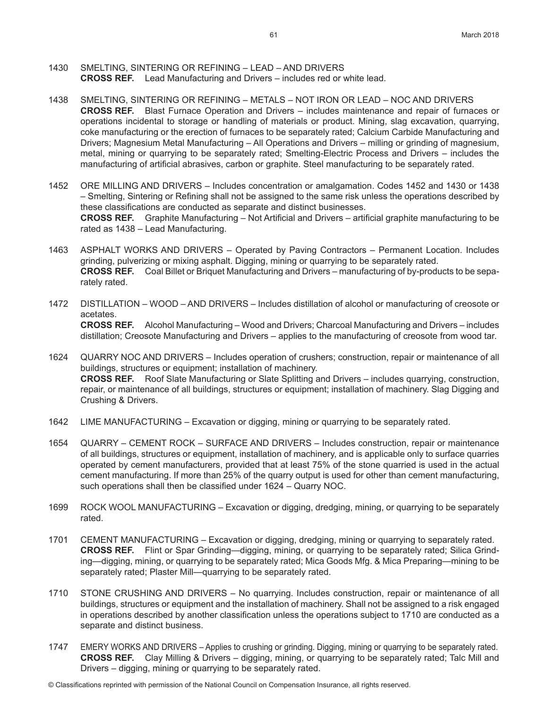- 1430 SMELTING, SINTERING OR REFINING LEAD AND DRIVERS **CROSS REF.** Lead Manufacturing and Drivers – includes red or white lead.
- 1438 SMELTING, SINTERING OR REFINING METALS NOT IRON OR LEAD NOC AND DRIVERS **CROSS REF.** Blast Furnace Operation and Drivers – includes maintenance and repair of furnaces or operations incidental to storage or handling of materials or product. Mining, slag excavation, quarrying, coke manufacturing or the erection of furnaces to be separately rated; Calcium Carbide Manufacturing and Drivers; Magnesium Metal Manufacturing – All Operations and Drivers – milling or grinding of magnesium, metal, mining or quarrying to be separately rated; Smelting-Electric Process and Drivers – includes the manufacturing of artificial abrasives, carbon or graphite. Steel manufacturing to be separately rated.
- 1452 ORE MILLING AND DRIVERS Includes concentration or amalgamation. Codes 1452 and 1430 or 1438 – Smelting, Sintering or Refining shall not be assigned to the same risk unless the operations described by these classifications are conducted as separate and distinct businesses. **CROSS REF.** Graphite Manufacturing – Not Artificial and Drivers – artificial graphite manufacturing to be rated as 1438 – Lead Manufacturing.
- 1463 ASPHALT WORKS AND DRIVERS Operated by Paving Contractors Permanent Location. Includes grinding, pulverizing or mixing asphalt. Digging, mining or quarrying to be separately rated. **CROSS REF.** Coal Billet or Briquet Manufacturing and Drivers – manufacturing of by-products to be separately rated.
- 1472 DISTILLATION WOOD AND DRIVERS Includes distillation of alcohol or manufacturing of creosote or acetates. **CROSS REF.** Alcohol Manufacturing – Wood and Drivers; Charcoal Manufacturing and Drivers – includes distillation; Creosote Manufacturing and Drivers – applies to the manufacturing of creosote from wood tar.
- 1624 QUARRY NOC AND DRIVERS Includes operation of crushers; construction, repair or maintenance of all buildings, structures or equipment; installation of machinery. **CROSS REF.** Roof Slate Manufacturing or Slate Splitting and Drivers – includes quarrying, construction, repair, or maintenance of all buildings, structures or equipment; installation of machinery. Slag Digging and Crushing & Drivers.
- 1642 LIME MANUFACTURING Excavation or digging, mining or quarrying to be separately rated.
- 1654 QUARRY CEMENT ROCK SURFACE AND DRIVERS Includes construction, repair or maintenance of all buildings, structures or equipment, installation of machinery, and is applicable only to surface quarries operated by cement manufacturers, provided that at least 75% of the stone quarried is used in the actual cement manufacturing. If more than 25% of the quarry output is used for other than cement manufacturing, such operations shall then be classified under 1624 – Quarry NOC.
- 1699 ROCK WOOL MANUFACTURING Excavation or digging, dredging, mining, or quarrying to be separately rated.
- 1701 CEMENT MANUFACTURING Excavation or digging, dredging, mining or quarrying to separately rated. **CROSS REF.** Flint or Spar Grinding—digging, mining, or quarrying to be separately rated; Silica Grinding—digging, mining, or quarrying to be separately rated; Mica Goods Mfg. & Mica Preparing—mining to be separately rated; Plaster Mill—quarrying to be separately rated.
- 1710 STONE CRUSHING AND DRIVERS No quarrying. Includes construction, repair or maintenance of all buildings, structures or equipment and the installation of machinery. Shall not be assigned to a risk engaged in operations described by another classification unless the operations subject to 1710 are conducted as a separate and distinct business.
- 1747 EMERY WORKS AND DRIVERS Applies to crushing or grinding. Digging, mining or quarrying to be separately rated. **CROSS REF.** Clay Milling & Drivers – digging, mining, or quarrying to be separately rated; Talc Mill and Drivers – digging, mining or quarrying to be separately rated.
- © Classifications reprinted with permission of the National Council on Compensation Insurance, all rights reserved.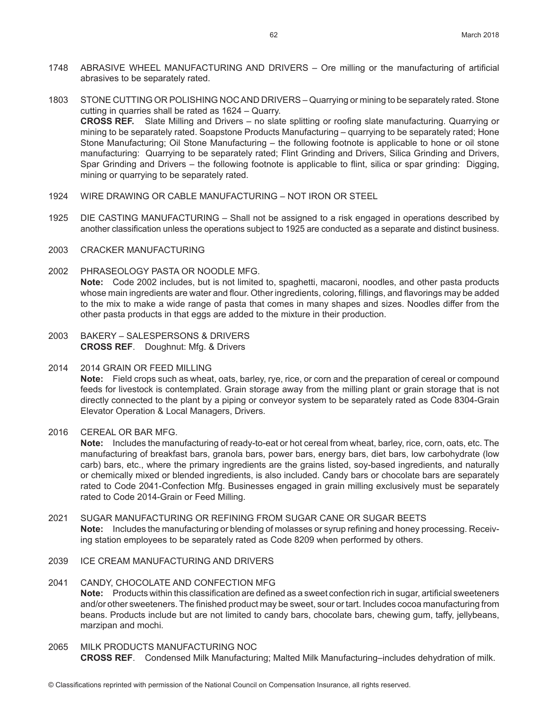- 1748 ABRASIVE WHEEL MANUFACTURING AND DRIVERS Ore milling or the manufacturing of artificial abrasives to be separately rated.
- 1803 STONE CUTTING OR POLISHING NOC AND DRIVERS Quarrying or mining to be separately rated. Stone cutting in quarries shall be rated as 1624 – Quarry. **CROSS REF.** Slate Milling and Drivers – no slate splitting or roofing slate manufacturing. Quarrying or mining to be separately rated. Soapstone Products Manufacturing – quarrying to be separately rated; Hone Stone Manufacturing; Oil Stone Manufacturing – the following footnote is applicable to hone or oil stone manufacturing: Quarrying to be separately rated; Flint Grinding and Drivers, Silica Grinding and Drivers, Spar Grinding and Drivers – the following footnote is applicable to flint, silica or spar grinding: Digging, mining or quarrying to be separately rated.
- 1924 WIRE DRAWING OR CABLE MANUFACTURING NOT IRON OR STEEL
- 1925 DIE CASTING MANUFACTURING Shall not be assigned to a risk engaged in operations described by another classification unless the operations subject to 1925 are conducted as a separate and distinct business.
- 2003 CRACKER MANUFACTURING
- 2002 PHRASEOLOGY PASTA OR NOODLE MFG. **Note:** Code 2002 includes, but is not limited to, spaghetti, macaroni, noodles, and other pasta products whose main ingredients are water and flour. Other ingredients, coloring, fillings, and flavorings may be added to the mix to make a wide range of pasta that comes in many shapes and sizes. Noodles differ from the other pasta products in that eggs are added to the mixture in their production.
- 2003 BAKERY SALESPERSONS & DRIVERS **CROSS REF**. Doughnut: Mfg. & Drivers
- 2014 2014 GRAIN OR FEED MILLING

**Note:** Field crops such as wheat, oats, barley, rye, rice, or corn and the preparation of cereal or compound feeds for livestock is contemplated. Grain storage away from the milling plant or grain storage that is not directly connected to the plant by a piping or conveyor system to be separately rated as Code 8304-Grain Elevator Operation & Local Managers, Drivers.

2016 CEREAL OR BAR MFG.

**Note:** Includes the manufacturing of ready-to-eat or hot cereal from wheat, barley, rice, corn, oats, etc. The manufacturing of breakfast bars, granola bars, power bars, energy bars, diet bars, low carbohydrate (low carb) bars, etc., where the primary ingredients are the grains listed, soy-based ingredients, and naturally or chemically mixed or blended ingredients, is also included. Candy bars or chocolate bars are separately rated to Code 2041-Confection Mfg. Businesses engaged in grain milling exclusively must be separately rated to Code 2014-Grain or Feed Milling.

- 2021 SUGAR MANUFACTURING OR REFINING FROM SUGAR CANE OR SUGAR BEETS **Note:** Includes the manufacturing or blending of molasses or syrup refining and honey processing. Receiving station employees to be separately rated as Code 8209 when performed by others.
- 2039 ICE CREAM MANUFACTURING AND DRIVERS

#### 2041 CANDY, CHOCOLATE AND CONFECTION MFG

**Note:** Products within this classification are defined as a sweet confection rich in sugar, artificial sweeteners and/or other sweeteners. The finished product may be sweet, sour or tart. Includes cocoa manufacturing from beans. Products include but are not limited to candy bars, chocolate bars, chewing gum, taffy, jellybeans, marzipan and mochi.

## 2065 MILK PRODUCTS MANUFACTURING NOC

**CROSS REF**. Condensed Milk Manufacturing; Malted Milk Manufacturing–includes dehydration of milk.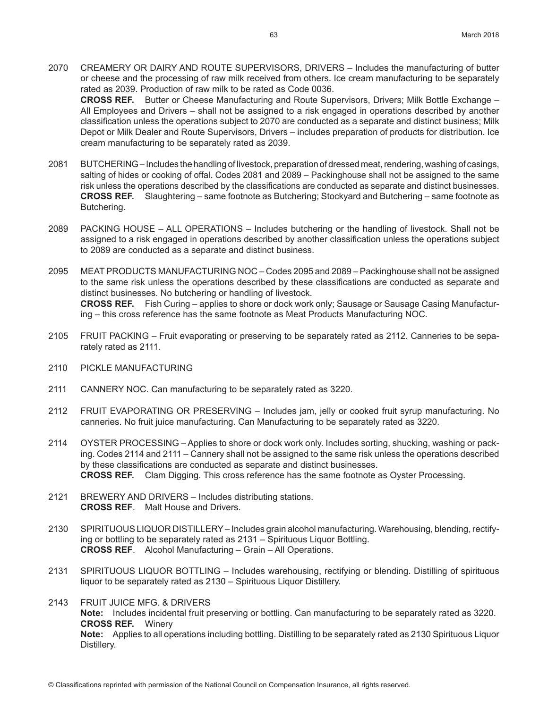- 2070 CREAMERY OR DAIRY AND ROUTE SUPERVISORS, DRIVERS Includes the manufacturing of butter or cheese and the processing of raw milk received from others. Ice cream manufacturing to be separately rated as 2039. Production of raw milk to be rated as Code 0036. **CROSS REF.** Butter or Cheese Manufacturing and Route Supervisors, Drivers; Milk Bottle Exchange – All Employees and Drivers – shall not be assigned to a risk engaged in operations described by another classification unless the operations subject to 2070 are conducted as a separate and distinct business; Milk
- Depot or Milk Dealer and Route Supervisors, Drivers includes preparation of products for distribution. Ice cream manufacturing to be separately rated as 2039. 2081 BUTCHERING – Includes the handling of livestock, preparation of dressed meat, rendering, washing of casings,
- salting of hides or cooking of offal. Codes 2081 and 2089 Packinghouse shall not be assigned to the same risk unless the operations described by the classifications are conducted as separate and distinct businesses. **CROSS REF.** Slaughtering – same footnote as Butchering; Stockyard and Butchering – same footnote as Butchering.
- 2089 PACKING HOUSE ALL OPERATIONS Includes butchering or the handling of livestock. Shall not be assigned to a risk engaged in operations described by another classification unless the operations subject to 2089 are conducted as a separate and distinct business.
- 2095 MEAT PRODUCTS MANUFACTURING NOC Codes 2095 and 2089 Packinghouse shall not be assigned to the same risk unless the operations described by these classifications are conducted as separate and distinct businesses. No butchering or handling of livestock. **CROSS REF.** Fish Curing – applies to shore or dock work only; Sausage or Sausage Casing Manufacturing – this cross reference has the same footnote as Meat Products Manufacturing NOC.
- 2105 FRUIT PACKING Fruit evaporating or preserving to be separately rated as 2112. Canneries to be separately rated as 2111.
- 2110 PICKLE MANUFACTURING
- 2111 CANNERY NOC. Can manufacturing to be separately rated as 3220.
- 2112 FRUIT EVAPORATING OR PRESERVING Includes jam, jelly or cooked fruit syrup manufacturing. No canneries. No fruit juice manufacturing. Can Manufacturing to be separately rated as 3220.
- 2114 OYSTER PROCESSING Applies to shore or dock work only. Includes sorting, shucking, washing or packing. Codes 2114 and 2111 – Cannery shall not be assigned to the same risk unless the operations described by these classifications are conducted as separate and distinct businesses. **CROSS REF.** Clam Digging. This cross reference has the same footnote as Oyster Processing.
- 2121 BREWERY AND DRIVERS Includes distributing stations. **CROSS REF**. Malt House and Drivers.
- 2130 SPIRITUOUS LIQUOR DISTILLERY Includes grain alcohol manufacturing. Warehousing, blending, rectifying or bottling to be separately rated as 2131 – Spirituous Liquor Bottling. **CROSS REF**. Alcohol Manufacturing – Grain – All Operations.
- 2131 SPIRITUOUS LIQUOR BOTTLING Includes warehousing, rectifying or blending. Distilling of spirituous liquor to be separately rated as 2130 – Spirituous Liquor Distillery.
- 2143 FRUIT JUICE MFG. & DRIVERS **Note:** Includes incidental fruit preserving or bottling. Can manufacturing to be separately rated as 3220. **CROSS REF.** Winery **Note:** Applies to all operations including bottling. Distilling to be separately rated as 2130 Spirituous Liquor Distillery.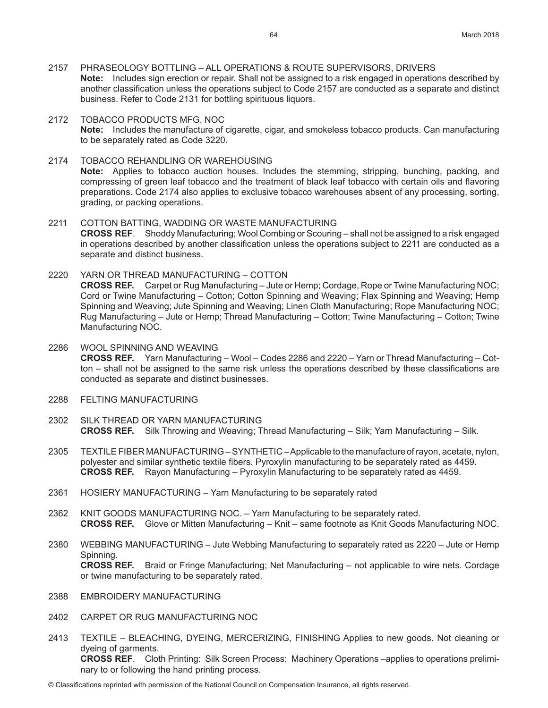- 2157 PHRASEOLOGY BOTTLING ALL OPERATIONS & ROUTE SUPERVISORS, DRIVERS **Note:** Includes sign erection or repair. Shall not be assigned to a risk engaged in operations described by another classification unless the operations subject to Code 2157 are conducted as a separate and distinct business. Refer to Code 2131 for bottling spirituous liquors.
- 2172 TOBACCO PRODUCTS MFG. NOC **Note:** Includes the manufacture of cigarette, cigar, and smokeless tobacco products. Can manufacturing to be separately rated as Code 3220.
- 2174 TOBACCO REHANDLING OR WAREHOUSING **Note:** Applies to tobacco auction houses. Includes the stemming, stripping, bunching, packing, and compressing of green leaf tobacco and the treatment of black leaf tobacco with certain oils and flavoring preparations. Code 2174 also applies to exclusive tobacco warehouses absent of any processing, sorting, grading, or packing operations.
- 2211 COTTON BATTING, WADDING OR WASTE MANUFACTURING **CROSS REF**. Shoddy Manufacturing; Wool Combing or Scouring – shall not be assigned to a risk engaged in operations described by another classification unless the operations subject to 2211 are conducted as a separate and distinct business.
- 2220 YARN OR THREAD MANUFACTURING COTTON **CROSS REF.** Carpet or Rug Manufacturing – Jute or Hemp; Cordage, Rope or Twine Manufacturing NOC; Cord or Twine Manufacturing – Cotton; Cotton Spinning and Weaving; Flax Spinning and Weaving; Hemp Spinning and Weaving; Jute Spinning and Weaving; Linen Cloth Manufacturing; Rope Manufacturing NOC; Rug Manufacturing – Jute or Hemp; Thread Manufacturing – Cotton; Twine Manufacturing – Cotton; Twine Manufacturing NOC.
- 2286 WOOL SPINNING AND WEAVING **CROSS REF.** Yarn Manufacturing – Wool – Codes 2286 and 2220 – Yarn or Thread Manufacturing – Cotton – shall not be assigned to the same risk unless the operations described by these classifications are conducted as separate and distinct businesses.
- 2288 FELTING MANUFACTURING
- 2302 SILK THREAD OR YARN MANUFACTURING **CROSS REF.** Silk Throwing and Weaving; Thread Manufacturing – Silk; Yarn Manufacturing – Silk.
- 2305 TEXTILE FIBER MANUFACTURING SYNTHETIC Applicable to the manufacture of rayon, acetate, nylon, polyester and similar synthetic textile fibers. Pyroxylin manufacturing to be separately rated as 4459. **CROSS REF.** Rayon Manufacturing – Pyroxylin Manufacturing to be separately rated as 4459.
- 2361 HOSIERY MANUFACTURING Yarn Manufacturing to be separately rated
- 2362 KNIT GOODS MANUFACTURING NOC. Yarn Manufacturing to be separately rated. **CROSS REF.** Glove or Mitten Manufacturing – Knit – same footnote as Knit Goods Manufacturing NOC.
- 2380 WEBBING MANUFACTURING Jute Webbing Manufacturing to separately rated as 2220 Jute or Hemp Spinning. **CROSS REF.** Braid or Fringe Manufacturing; Net Manufacturing – not applicable to wire nets. Cordage or twine manufacturing to be separately rated.
- 2388 EMBROIDERY MANUFACTURING
- 2402 CARPET OR RUG MANUFACTURING NOC
- 2413 TEXTILE BLEACHING, DYEING, MERCERIZING, FINISHING Applies to new goods. Not cleaning or dyeing of garments. **CROSS REF**. Cloth Printing: Silk Screen Process: Machinery Operations –applies to operations preliminary to or following the hand printing process.
- © Classifications reprinted with permission of the National Council on Compensation Insurance, all rights reserved.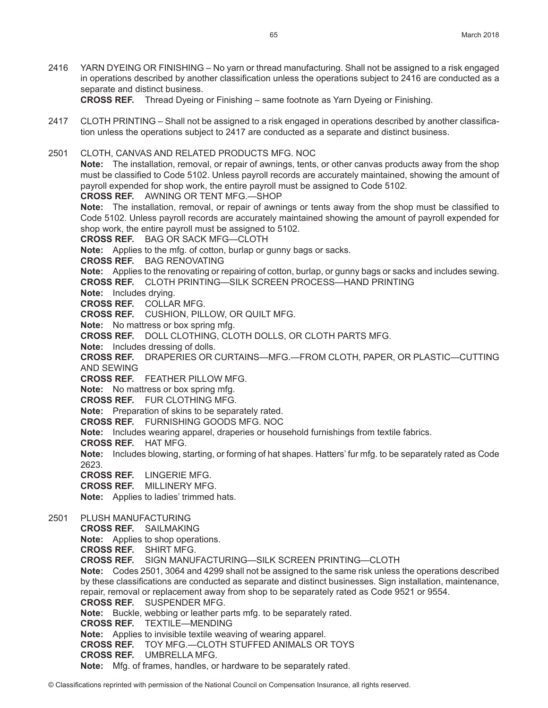2416 YARN DYEING OR FINISHING – No yarn or thread manufacturing. Shall not be assigned to a risk engaged in operations described by another classification unless the operations subject to 2416 are conducted as a separate and distinct business.

**CROSS REF.** Thread Dyeing or Finishing – same footnote as Yarn Dyeing or Finishing.

- 2417 CLOTH PRINTING Shall not be assigned to a risk engaged in operations described by another classification unless the operations subject to 2417 are conducted as a separate and distinct business.
- 2501 CLOTH, CANVAS AND RELATED PRODUCTS MFG. NOC **Note:** The installation, removal, or repair of awnings, tents, or other canvas products away from the shop must be classified to Code 5102. Unless payroll records are accurately maintained, showing the amount of payroll expended for shop work, the entire payroll must be assigned to Code 5102.

**CROSS REF.** AWNING OR TENT MFG.—SHOP

**Note:** The installation, removal, or repair of awnings or tents away from the shop must be classified to Code 5102. Unless payroll records are accurately maintained showing the amount of payroll expended for shop work, the entire payroll must be assigned to 5102.

**CROSS REF.** BAG OR SACK MFG—CLOTH

**Note:** Applies to the mfg. of cotton, burlap or gunny bags or sacks.

**CROSS REF.** BAG RENOVATING

**Note:** Applies to the renovating or repairing of cotton, burlap, or gunny bags or sacks and includes sewing. **CROSS REF.** CLOTH PRINTING—SILK SCREEN PROCESS—HAND PRINTING

**Note:** Includes drying.

**CROSS REF.** COLLAR MFG.

**CROSS REF.** CUSHION, PILLOW, OR QUILT MFG.

**Note:** No mattress or box spring mfg.

**CROSS REF.** DOLL CLOTHING, CLOTH DOLLS, OR CLOTH PARTS MFG.

**Note:** Includes dressing of dolls.

**CROSS REF.** DRAPERIES OR CURTAINS—MFG.—FROM CLOTH, PAPER, OR PLASTIC—CUTTING AND SEWING

**CROSS REF.** FEATHER PILLOW MFG.

**Note:** No mattress or box spring mfg.

**CROSS REF.** FUR CLOTHING MFG.

**Note:** Preparation of skins to be separately rated.

**CROSS REF.** FURNISHING GOODS MFG. NOC

**Note:** Includes wearing apparel, draperies or household furnishings from textile fabrics.

**CROSS REF.** HAT MFG.

**Note:** Includes blowing, starting, or forming of hat shapes. Hatters' fur mfg. to be separately rated as Code 2623.

**CROSS REF.** LINGERIE MFG.

**CROSS REF.** MILLINERY MFG.

**Note:** Applies to ladies' trimmed hats.

2501 PLUSH MANUFACTURING

**CROSS REF.** SAILMAKING **Note:** Applies to shop operations.

**CROSS REF.** SHIRT MFG.

**CROSS REF.** SIGN MANUFACTURING—SILK SCREEN PRINTING—CLOTH

**Note:** Codes 2501, 3064 and 4299 shall not be assigned to the same risk unless the operations described by these classifications are conducted as separate and distinct businesses. Sign installation, maintenance, repair, removal or replacement away from shop to be separately rated as Code 9521 or 9554. **CROSS REF.** SUSPENDER MFG. **Note:** Buckle, webbing or leather parts mfg. to be separately rated.

**CROSS REF.** TEXTILE—MENDING

**Note:** Applies to invisible textile weaving of wearing apparel.

**CROSS REF.** TOY MFG.—CLOTH STUFFED ANIMALS OR TOYS

**CROSS REF.** UMBRELLA MFG.

**Note:** Mfg. of frames, handles, or hardware to be separately rated.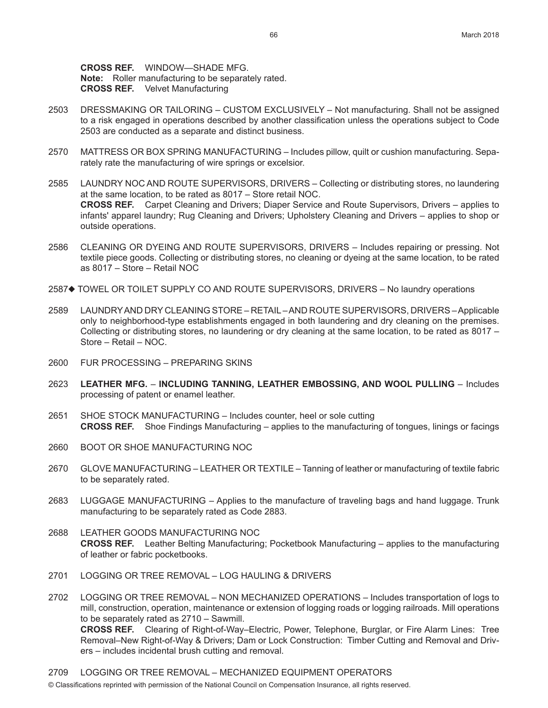**CROSS REF.** WINDOW—SHADE MFG. **Note:** Roller manufacturing to be separately rated. **CROSS REF.** Velvet Manufacturing

- 2503 DRESSMAKING OR TAILORING CUSTOM EXCLUSIVELY Not manufacturing. Shall not be assigned to a risk engaged in operations described by another classification unless the operations subject to Code 2503 are conducted as a separate and distinct business.
- 2570 MATTRESS OR BOX SPRING MANUFACTURING Includes pillow, quilt or cushion manufacturing. Separately rate the manufacturing of wire springs or excelsior.
- 2585 LAUNDRY NOC AND ROUTE SUPERVISORS, DRIVERS Collecting or distributing stores, no laundering at the same location, to be rated as 8017 – Store retail NOC. **CROSS REF.** Carpet Cleaning and Drivers; Diaper Service and Route Supervisors, Drivers – applies to infants' apparel laundry; Rug Cleaning and Drivers; Upholstery Cleaning and Drivers – applies to shop or outside operations.
- 2586 CLEANING OR DYEING AND ROUTE SUPERVISORS, DRIVERS Includes repairing or pressing. Not textile piece goods. Collecting or distributing stores, no cleaning or dyeing at the same location, to be rated as 8017 – Store – Retail NOC
- 2587♦ TOWEL OR TOILET SUPPLY CO AND ROUTE SUPERVISORS, DRIVERS No laundry operations
- 2589 LAUNDRY AND DRY CLEANING STORE RETAIL AND ROUTE SUPERVISORS, DRIVERS Applicable only to neighborhood-type establishments engaged in both laundering and dry cleaning on the premises. Collecting or distributing stores, no laundering or dry cleaning at the same location, to be rated as 8017 – Store – Retail – NOC.
- 2600 FUR PROCESSING PREPARING SKINS
- 2623 **LEATHER MFG. INCLUDING TANNING, LEATHER EMBOSSING, AND WOOL PULLING**  Includes processing of patent or enamel leather.
- 2651 SHOE STOCK MANUFACTURING Includes counter, heel or sole cutting **CROSS REF.** Shoe Findings Manufacturing – applies to the manufacturing of tongues, linings or facings
- 2660 BOOT OR SHOE MANUFACTURING NOC
- 2670 GLOVE MANUFACTURING LEATHER OR TEXTILE Tanning of leather or manufacturing of textile fabric to be separately rated.
- 2683 LUGGAGE MANUFACTURING Applies to the manufacture of traveling bags and hand luggage. Trunk manufacturing to be separately rated as Code 2883.
- 2688 LEATHER GOODS MANUFACTURING NOC **CROSS REF.** Leather Belting Manufacturing; Pocketbook Manufacturing – applies to the manufacturing of leather or fabric pocketbooks.
- 2701 LOGGING OR TREE REMOVAL LOG HAULING & DRIVERS
- 2702 LOGGING OR TREE REMOVAL NON MECHANIZED OPERATIONS Includes transportation of logs to mill, construction, operation, maintenance or extension of logging roads or logging railroads. Mill operations to be separately rated as 2710 – Sawmill. **CROSS REF.** Clearing of Right-of-Way–Electric, Power, Telephone, Burglar, or Fire Alarm Lines: Tree Removal–New Right-of-Way & Drivers; Dam or Lock Construction: Timber Cutting and Removal and Drivers – includes incidental brush cutting and removal.
- © Classifications reprinted with permission of the National Council on Compensation Insurance, all rights reserved. 2709 LOGGING OR TREE REMOVAL – MECHANIZED EQUIPMENT OPERATORS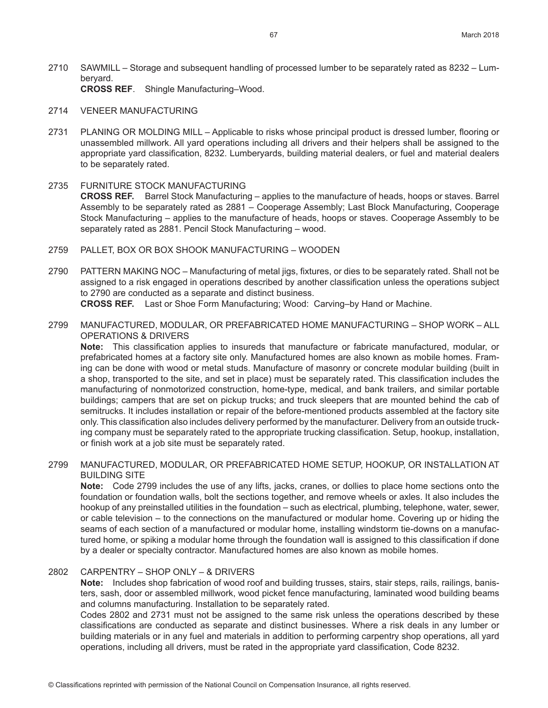- 2710 SAWMILL Storage and subsequent handling of processed lumber to be separately rated as 8232 Lumberyard. **CROSS REF**. Shingle Manufacturing–Wood.
- 2714 VENEER MANUFACTURING
- 2731 PLANING OR MOLDING MILL Applicable to risks whose principal product is dressed lumber, flooring or unassembled millwork. All yard operations including all drivers and their helpers shall be assigned to the appropriate yard classification, 8232. Lumberyards, building material dealers, or fuel and material dealers to be separately rated.
- 2735 FURNITURE STOCK MANUFACTURING **CROSS REF.** Barrel Stock Manufacturing – applies to the manufacture of heads, hoops or staves. Barrel Assembly to be separately rated as 2881 – Cooperage Assembly; Last Block Manufacturing, Cooperage Stock Manufacturing – applies to the manufacture of heads, hoops or staves. Cooperage Assembly to be separately rated as 2881. Pencil Stock Manufacturing – wood.
- 2759 PALLET, BOX OR BOX SHOOK MANUFACTURING WOODEN
- 2790 PATTERN MAKING NOC Manufacturing of metal jigs, fixtures, or dies to be separately rated. Shall not be assigned to a risk engaged in operations described by another classification unless the operations subject to 2790 are conducted as a separate and distinct business. **CROSS REF.** Last or Shoe Form Manufacturing; Wood: Carving–by Hand or Machine.
- 2799 MANUFACTURED, MODULAR, OR PREFABRICATED HOME MANUFACTURING SHOP WORK ALL OPERATIONS & DRIVERS

**Note:** This classification applies to insureds that manufacture or fabricate manufactured, modular, or prefabricated homes at a factory site only. Manufactured homes are also known as mobile homes. Framing can be done with wood or metal studs. Manufacture of masonry or concrete modular building (built in a shop, transported to the site, and set in place) must be separately rated. This classification includes the manufacturing of nonmotorized construction, home-type, medical, and bank trailers, and similar portable buildings; campers that are set on pickup trucks; and truck sleepers that are mounted behind the cab of semitrucks. It includes installation or repair of the before-mentioned products assembled at the factory site only. This classification also includes delivery performed by the manufacturer. Delivery from an outside trucking company must be separately rated to the appropriate trucking classification. Setup, hookup, installation, or finish work at a job site must be separately rated.

2799 MANUFACTURED, MODULAR, OR PREFABRICATED HOME SETUP, HOOKUP, OR INSTALLATION AT BUILDING SITE

**Note:** Code 2799 includes the use of any lifts, jacks, cranes, or dollies to place home sections onto the foundation or foundation walls, bolt the sections together, and remove wheels or axles. It also includes the hookup of any preinstalled utilities in the foundation – such as electrical, plumbing, telephone, water, sewer, or cable television – to the connections on the manufactured or modular home. Covering up or hiding the seams of each section of a manufactured or modular home, installing windstorm tie-downs on a manufactured home, or spiking a modular home through the foundation wall is assigned to this classification if done by a dealer or specialty contractor. Manufactured homes are also known as mobile homes.

# 2802 CARPENTRY – SHOP ONLY – & DRIVERS

**Note:** Includes shop fabrication of wood roof and building trusses, stairs, stair steps, rails, railings, banisters, sash, door or assembled millwork, wood picket fence manufacturing, laminated wood building beams and columns manufacturing. Installation to be separately rated.

Codes 2802 and 2731 must not be assigned to the same risk unless the operations described by these classifications are conducted as separate and distinct businesses. Where a risk deals in any lumber or building materials or in any fuel and materials in addition to performing carpentry shop operations, all yard operations, including all drivers, must be rated in the appropriate yard classification, Code 8232.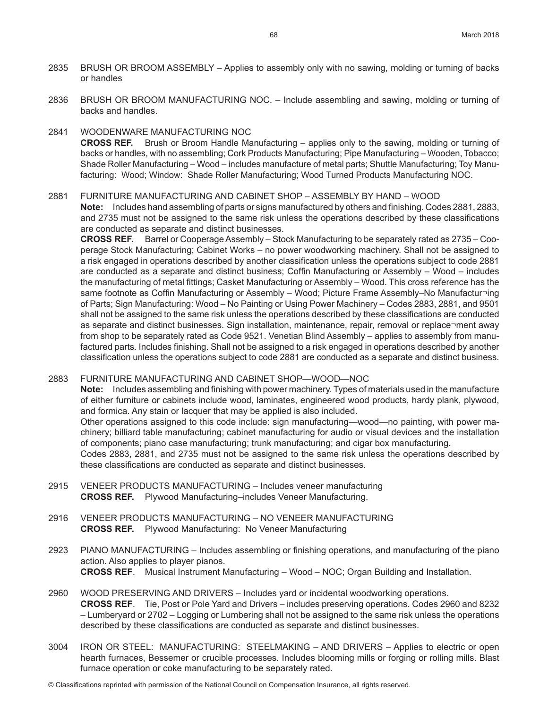- 2835 BRUSH OR BROOM ASSEMBLY Applies to assembly only with no sawing, molding or turning of backs or handles
- 2836 BRUSH OR BROOM MANUFACTURING NOC. Include assembling and sawing, molding or turning of backs and handles.

#### 2841 WOODENWARE MANUFACTURING NOC

**CROSS REF.** Brush or Broom Handle Manufacturing – applies only to the sawing, molding or turning of backs or handles, with no assembling; Cork Products Manufacturing; Pipe Manufacturing – Wooden, Tobacco; Shade Roller Manufacturing – Wood – includes manufacture of metal parts; Shuttle Manufacturing; Toy Manufacturing: Wood; Window: Shade Roller Manufacturing; Wood Turned Products Manufacturing NOC.

# 2881 FURNITURE MANUFACTURING AND CABINET SHOP – ASSEMBLY BY HAND – WOOD

**Note:** Includes hand assembling of parts or signs manufactured by others and finishing. Codes 2881, 2883, and 2735 must not be assigned to the same risk unless the operations described by these classifications are conducted as separate and distinct businesses.

**CROSS REF.** Barrel or Cooperage Assembly – Stock Manufacturing to be separately rated as 2735 – Cooperage Stock Manufacturing; Cabinet Works – no power woodworking machinery. Shall not be assigned to a risk engaged in operations described by another classification unless the operations subject to code 2881 are conducted as a separate and distinct business; Coffin Manufacturing or Assembly – Wood – includes the manufacturing of metal fittings; Casket Manufacturing or Assembly – Wood. This cross reference has the same footnote as Coffin Manufacturing or Assembly – Wood; Picture Frame Assembly–No Manufactur¬ing of Parts; Sign Manufacturing: Wood – No Painting or Using Power Machinery – Codes 2883, 2881, and 9501 shall not be assigned to the same risk unless the operations described by these classifications are conducted as separate and distinct businesses. Sign installation, maintenance, repair, removal or replace¬ment away from shop to be separately rated as Code 9521. Venetian Blind Assembly – applies to assembly from manufactured parts. Includes finishing. Shall not be assigned to a risk engaged in operations described by another classification unless the operations subject to code 2881 are conducted as a separate and distinct business.

## 2883 FURNITURE MANUFACTURING AND CABINET SHOP—WOOD—NOC

**Note:** Includes assembling and finishing with power machinery. Types of materials used in the manufacture of either furniture or cabinets include wood, laminates, engineered wood products, hardy plank, plywood, and formica. Any stain or lacquer that may be applied is also included.

Other operations assigned to this code include: sign manufacturing—wood—no painting, with power machinery; billiard table manufacturing; cabinet manufacturing for audio or visual devices and the installation of components; piano case manufacturing; trunk manufacturing; and cigar box manufacturing.

Codes 2883, 2881, and 2735 must not be assigned to the same risk unless the operations described by these classifications are conducted as separate and distinct businesses.

- 2915 VENEER PRODUCTS MANUFACTURING Includes veneer manufacturing **CROSS REF.** Plywood Manufacturing–includes Veneer Manufacturing.
- 2916 VENEER PRODUCTS MANUFACTURING NO VENEER MANUFACTURING **CROSS REF.** Plywood Manufacturing: No Veneer Manufacturing
- 2923 PIANO MANUFACTURING Includes assembling or finishing operations, and manufacturing of the piano action. Also applies to player pianos. **CROSS REF**. Musical Instrument Manufacturing – Wood – NOC; Organ Building and Installation.
- 2960 WOOD PRESERVING AND DRIVERS Includes yard or incidental woodworking operations. **CROSS REF**. Tie, Post or Pole Yard and Drivers – includes preserving operations. Codes 2960 and 8232 – Lumberyard or 2702 – Logging or Lumbering shall not be assigned to the same risk unless the operations described by these classifications are conducted as separate and distinct businesses.
- 3004 IRON OR STEEL: MANUFACTURING: STEELMAKING AND DRIVERS Applies to electric or open hearth furnaces, Bessemer or crucible processes. Includes blooming mills or forging or rolling mills. Blast furnace operation or coke manufacturing to be separately rated.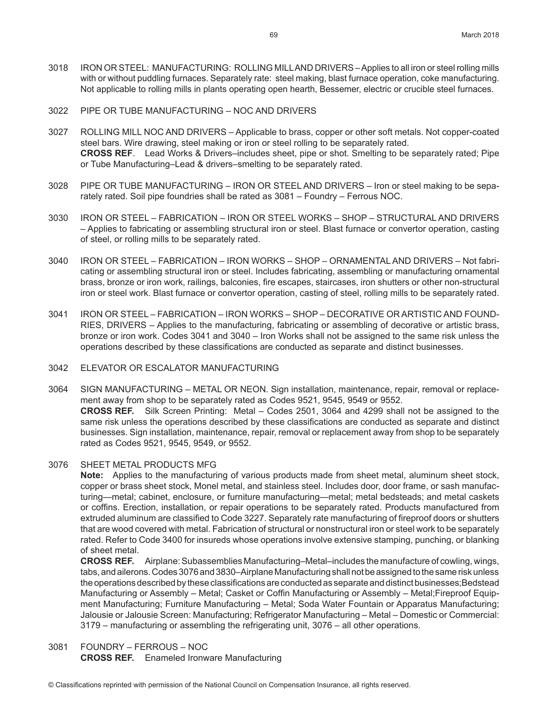- 3018 IRON OR STEEL: MANUFACTURING: ROLLING MILL AND DRIVERS Applies to all iron or steel rolling mills with or without puddling furnaces. Separately rate: steel making, blast furnace operation, coke manufacturing. Not applicable to rolling mills in plants operating open hearth, Bessemer, electric or crucible steel furnaces.
- 3022 PIPE OR TUBE MANUFACTURING NOC AND DRIVERS
- 3027 ROLLING MILL NOC AND DRIVERS Applicable to brass, copper or other soft metals. Not copper-coated steel bars. Wire drawing, steel making or iron or steel rolling to be separately rated. **CROSS REF**. Lead Works & Drivers–includes sheet, pipe or shot. Smelting to be separately rated; Pipe or Tube Manufacturing–Lead & drivers–smelting to be separately rated.
- 3028 PIPE OR TUBE MANUFACTURING IRON OR STEEL AND DRIVERS Iron or steel making to be separately rated. Soil pipe foundries shall be rated as 3081 – Foundry – Ferrous NOC.
- 3030 IRON OR STEEL FABRICATION IRON OR STEEL WORKS SHOP STRUCTURAL AND DRIVERS – Applies to fabricating or assembling structural iron or steel. Blast furnace or convertor operation, casting of steel, or rolling mills to be separately rated.
- 3040 IRON OR STEEL FABRICATION IRON WORKS SHOP ORNAMENTAL AND DRIVERS Not fabricating or assembling structural iron or steel. Includes fabricating, assembling or manufacturing ornamental brass, bronze or iron work, railings, balconies, fire escapes, staircases, iron shutters or other non-structural iron or steel work. Blast furnace or convertor operation, casting of steel, rolling mills to be separately rated.
- 3041 IRON OR STEEL FABRICATION IRON WORKS SHOP DECORATIVE OR ARTISTIC AND FOUND-RIES, DRIVERS – Applies to the manufacturing, fabricating or assembling of decorative or artistic brass, bronze or iron work. Codes 3041 and 3040 – Iron Works shall not be assigned to the same risk unless the operations described by these classifications are conducted as separate and distinct businesses.
- 3042 ELEVATOR OR ESCALATOR MANUFACTURING
- 3064 SIGN MANUFACTURING METAL OR NEON. Sign installation, maintenance, repair, removal or replacement away from shop to be separately rated as Codes 9521, 9545, 9549 or 9552. **CROSS REF.** Silk Screen Printing: Metal – Codes 2501, 3064 and 4299 shall not be assigned to the same risk unless the operations described by these classifications are conducted as separate and distinct businesses. Sign installation, maintenance, repair, removal or replacement away from shop to be separately rated as Codes 9521, 9545, 9549, or 9552.

#### 3076 SHEET METAL PRODUCTS MFG

**Note:** Applies to the manufacturing of various products made from sheet metal, aluminum sheet stock, copper or brass sheet stock, Monel metal, and stainless steel. Includes door, door frame, or sash manufacturing—metal; cabinet, enclosure, or furniture manufacturing—metal; metal bedsteads; and metal caskets or coffins. Erection, installation, or repair operations to be separately rated. Products manufactured from extruded aluminum are classified to Code 3227. Separately rate manufacturing of fireproof doors or shutters that are wood covered with metal. Fabrication of structural or nonstructural iron or steel work to be separately rated. Refer to Code 3400 for insureds whose operations involve extensive stamping, punching, or blanking of sheet metal.

**CROSS REF.** Airplane: Subassemblies Manufacturing–Metal–includes the manufacture of cowling, wings, tabs, and ailerons. Codes 3076 and 3830–Airplane Manufacturing shall not be assigned to the same risk unless the operations described by these classifications are conducted as separate and distinct businesses;Bedstead Manufacturing or Assembly – Metal; Casket or Coffin Manufacturing or Assembly – Metal;Fireproof Equipment Manufacturing; Furniture Manufacturing – Metal; Soda Water Fountain or Apparatus Manufacturing; Jalousie or Jalousie Screen: Manufacturing; Refrigerator Manufacturing – Metal – Domestic or Commercial: 3179 – manufacturing or assembling the refrigerating unit, 3076 – all other operations.

3081 FOUNDRY – FERROUS – NOC **CROSS REF.** Enameled Ironware Manufacturing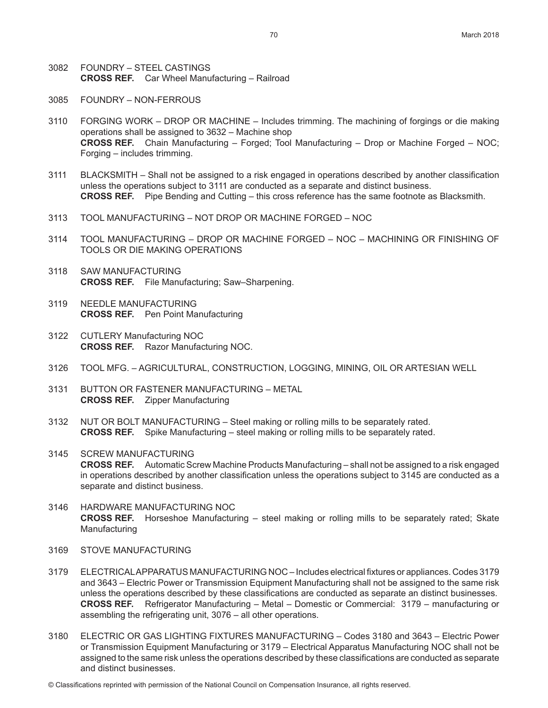- 3082 FOUNDRY STEEL CASTINGS **CROSS REF.** Car Wheel Manufacturing – Railroad
- 3085 FOUNDRY NON-FERROUS
- 3110 FORGING WORK DROP OR MACHINE Includes trimming. The machining of forgings or die making operations shall be assigned to 3632 – Machine shop **CROSS REF.** Chain Manufacturing – Forged; Tool Manufacturing – Drop or Machine Forged – NOC; Forging – includes trimming.
- 3111 BLACKSMITH Shall not be assigned to a risk engaged in operations described by another classification unless the operations subject to 3111 are conducted as a separate and distinct business. **CROSS REF.** Pipe Bending and Cutting – this cross reference has the same footnote as Blacksmith.
- 3113 TOOL MANUFACTURING NOT DROP OR MACHINE FORGED NOC
- 3114 TOOL MANUFACTURING DROP OR MACHINE FORGED NOC MACHINING OR FINISHING OF TOOLS OR DIE MAKING OPERATIONS
- 3118 SAW MANUFACTURING **CROSS REF.** File Manufacturing; Saw–Sharpening.
- 3119 NEEDLE MANUFACTURING **CROSS REF.** Pen Point Manufacturing
- 3122 CUTLERY Manufacturing NOC **CROSS REF.** Razor Manufacturing NOC.
- 3126 TOOL MFG. AGRICULTURAL, CONSTRUCTION, LOGGING, MINING, OIL OR ARTESIAN WELL
- 3131 BUTTON OR FASTENER MANUFACTURING METAL **CROSS REF.** Zipper Manufacturing
- 3132 NUT OR BOLT MANUFACTURING Steel making or rolling mills to be separately rated. **CROSS REF.** Spike Manufacturing – steel making or rolling mills to be separately rated.
- 3145 SCREW MANUFACTURING **CROSS REF.** Automatic Screw Machine Products Manufacturing – shall not be assigned to a risk engaged in operations described by another classification unless the operations subject to 3145 are conducted as a separate and distinct business.
- 3146 HARDWARE MANUFACTURING NOC **CROSS REF.** Horseshoe Manufacturing – steel making or rolling mills to be separately rated; Skate Manufacturing
- 3169 STOVE MANUFACTURING
- 3179 ELECTRICAL APPARATUS MANUFACTURING NOC Includes electrical fixtures or appliances. Codes 3179 and 3643 – Electric Power or Transmission Equipment Manufacturing shall not be assigned to the same risk unless the operations described by these classifications are conducted as separate an distinct businesses. **CROSS REF.** Refrigerator Manufacturing – Metal – Domestic or Commercial: 3179 – manufacturing or assembling the refrigerating unit, 3076 – all other operations.
- 3180 ELECTRIC OR GAS LIGHTING FIXTURES MANUFACTURING Codes 3180 and 3643 Electric Power or Transmission Equipment Manufacturing or 3179 – Electrical Apparatus Manufacturing NOC shall not be assigned to the same risk unless the operations described by these classifications are conducted as separate and distinct businesses.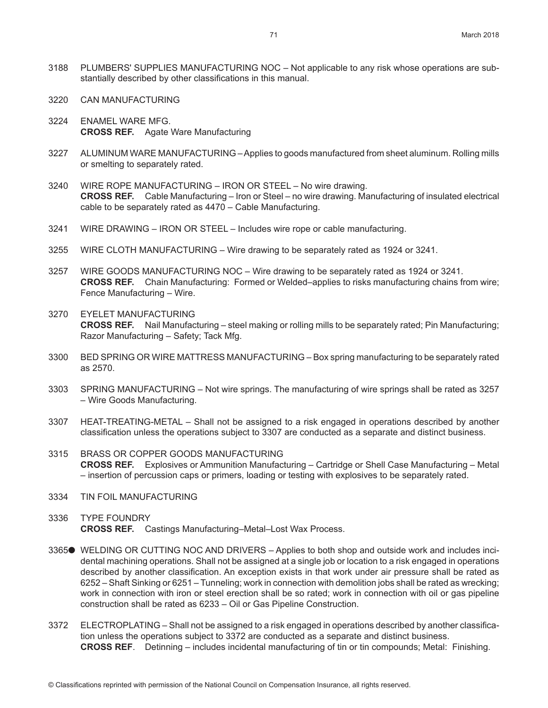- 3188 PLUMBERS' SUPPLIES MANUFACTURING NOC Not applicable to any risk whose operations are substantially described by other classifications in this manual.
- 3220 CAN MANUFACTURING
- 3224 ENAMEL WARE MFG. **CROSS REF.** Agate Ware Manufacturing
- 3227 ALUMINUM WARE MANUFACTURING Applies to goods manufactured from sheet aluminum. Rolling mills or smelting to separately rated.
- 3240 WIRE ROPE MANUFACTURING IRON OR STEEL No wire drawing. **CROSS REF.** Cable Manufacturing – Iron or Steel – no wire drawing. Manufacturing of insulated electrical cable to be separately rated as 4470 – Cable Manufacturing.
- 3241 WIRE DRAWING IRON OR STEEL Includes wire rope or cable manufacturing.
- 3255 WIRE CLOTH MANUFACTURING Wire drawing to be separately rated as 1924 or 3241.
- 3257 WIRE GOODS MANUFACTURING NOC Wire drawing to be separately rated as 1924 or 3241. **CROSS REF.** Chain Manufacturing: Formed or Welded–applies to risks manufacturing chains from wire; Fence Manufacturing – Wire.
- 3270 EYELET MANUFACTURING **CROSS REF.** Nail Manufacturing – steel making or rolling mills to be separately rated; Pin Manufacturing; Razor Manufacturing – Safety; Tack Mfg.
- 3300 BED SPRING OR WIRE MATTRESS MANUFACTURING Box spring manufacturing to be separately rated as 2570.
- 3303 SPRING MANUFACTURING Not wire springs. The manufacturing of wire springs shall be rated as 3257 – Wire Goods Manufacturing.
- 3307 HEAT-TREATING-METAL Shall not be assigned to a risk engaged in operations described by another classification unless the operations subject to 3307 are conducted as a separate and distinct business.
- 3315 BRASS OR COPPER GOODS MANUFACTURING **CROSS REF.** Explosives or Ammunition Manufacturing – Cartridge or Shell Case Manufacturing – Metal – insertion of percussion caps or primers, loading or testing with explosives to be separately rated.
- 3334 TIN FOIL MANUFACTURING
- 3336 TYPE FOUNDRY **CROSS REF.** Castings Manufacturing–Metal–Lost Wax Process.
- 3365● WELDING OR CUTTING NOC AND DRIVERS Applies to both shop and outside work and includes incidental machining operations. Shall not be assigned at a single job or location to a risk engaged in operations described by another classification. An exception exists in that work under air pressure shall be rated as 6252 – Shaft Sinking or 6251 – Tunneling; work in connection with demolition jobs shall be rated as wrecking; work in connection with iron or steel erection shall be so rated; work in connection with oil or gas pipeline construction shall be rated as 6233 – Oil or Gas Pipeline Construction.
- 3372 ELECTROPLATING Shall not be assigned to a risk engaged in operations described by another classification unless the operations subject to 3372 are conducted as a separate and distinct business. **CROSS REF**. Detinning – includes incidental manufacturing of tin or tin compounds; Metal: Finishing.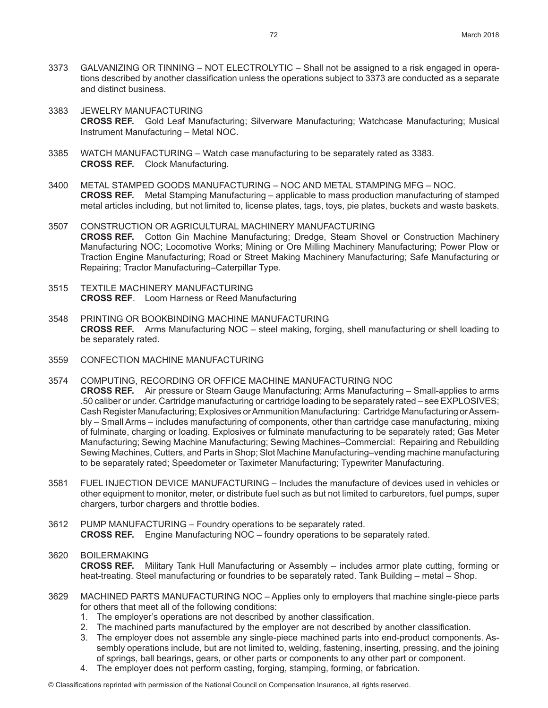- 3373 GALVANIZING OR TINNING NOT ELECTROLYTIC Shall not be assigned to a risk engaged in operations described by another classification unless the operations subject to 3373 are conducted as a separate and distinct business.
- 3383 JEWELRY MANUFACTURING **CROSS REF.** Gold Leaf Manufacturing; Silverware Manufacturing; Watchcase Manufacturing; Musical Instrument Manufacturing – Metal NOC.
- 3385 WATCH MANUFACTURING Watch case manufacturing to be separately rated as 3383. **CROSS REF.** Clock Manufacturing.
- 3400 METAL STAMPED GOODS MANUFACTURING NOC AND METAL STAMPING MFG NOC. **CROSS REF.** Metal Stamping Manufacturing – applicable to mass production manufacturing of stamped metal articles including, but not limited to, license plates, tags, toys, pie plates, buckets and waste baskets.
- 3507 CONSTRUCTION OR AGRICULTURAL MACHINERY MANUFACTURING **CROSS REF.** Cotton Gin Machine Manufacturing; Dredge, Steam Shovel or Construction Machinery Manufacturing NOC; Locomotive Works; Mining or Ore Milling Machinery Manufacturing; Power Plow or Traction Engine Manufacturing; Road or Street Making Machinery Manufacturing; Safe Manufacturing or Repairing; Tractor Manufacturing–Caterpillar Type.
- 3515 TEXTILE MACHINERY MANUFACTURING **CROSS REF**. Loom Harness or Reed Manufacturing
- 3548 PRINTING OR BOOKBINDING MACHINE MANUFACTURING **CROSS REF.** Arms Manufacturing NOC – steel making, forging, shell manufacturing or shell loading to be separately rated.
- 3559 CONFECTION MACHINE MANUFACTURING
- 3574 COMPUTING, RECORDING OR OFFICE MACHINE MANUFACTURING NOC **CROSS REF.** Air pressure or Steam Gauge Manufacturing; Arms Manufacturing – Small-applies to arms .50 caliber or under. Cartridge manufacturing or cartridge loading to be separately rated – see EXPLOSIVES; Cash Register Manufacturing; Explosives or Ammunition Manufacturing: Cartridge Manufacturing or Assembly – Small Arms – includes manufacturing of components, other than cartridge case manufacturing, mixing of fulminate, charging or loading. Explosives or fulminate manufacturing to be separately rated; Gas Meter Manufacturing; Sewing Machine Manufacturing; Sewing Machines–Commercial: Repairing and Rebuilding Sewing Machines, Cutters, and Parts in Shop; Slot Machine Manufacturing–vending machine manufacturing to be separately rated; Speedometer or Taximeter Manufacturing; Typewriter Manufacturing.
- 3581 FUEL INJECTION DEVICE MANUFACTURING Includes the manufacture of devices used in vehicles or other equipment to monitor, meter, or distribute fuel such as but not limited to carburetors, fuel pumps, super chargers, turbor chargers and throttle bodies.
- 3612 PUMP MANUFACTURING Foundry operations to be separately rated. **CROSS REF.** Engine Manufacturing NOC – foundry operations to be separately rated.
- 3620 BOILERMAKING **CROSS REF.** Military Tank Hull Manufacturing or Assembly – includes armor plate cutting, forming or heat-treating. Steel manufacturing or foundries to be separately rated. Tank Building – metal – Shop.
- 3629 MACHINED PARTS MANUFACTURING NOC Applies only to employers that machine single-piece parts for others that meet all of the following conditions:
	- 1. The employer's operations are not described by another classification.
	- 2. The machined parts manufactured by the employer are not described by another classification.
	- 3. The employer does not assemble any single-piece machined parts into end-product components. Assembly operations include, but are not limited to, welding, fastening, inserting, pressing, and the joining of springs, ball bearings, gears, or other parts or components to any other part or component.
	- 4. The employer does not perform casting, forging, stamping, forming, or fabrication.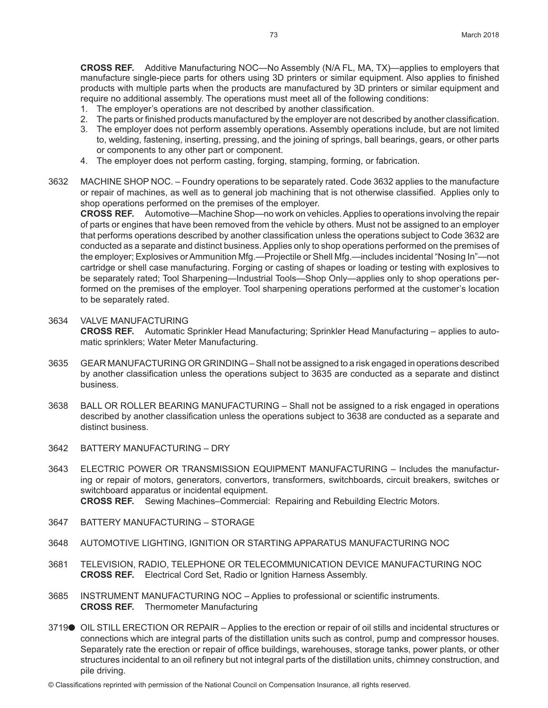**CROSS REF.** Additive Manufacturing NOC—No Assembly (N/A FL, MA, TX)—applies to employers that manufacture single-piece parts for others using 3D printers or similar equipment. Also applies to finished products with multiple parts when the products are manufactured by 3D printers or similar equipment and require no additional assembly. The operations must meet all of the following conditions:

- 1. The employer's operations are not described by another classification.
- 2. The parts or finished products manufactured by the employer are not described by another classification.
- 3. The employer does not perform assembly operations. Assembly operations include, but are not limited to, welding, fastening, inserting, pressing, and the joining of springs, ball bearings, gears, or other parts or components to any other part or component.
- 4. The employer does not perform casting, forging, stamping, forming, or fabrication.
- 3632 MACHINE SHOP NOC. Foundry operations to be separately rated. Code 3632 applies to the manufacture or repair of machines, as well as to general job machining that is not otherwise classified. Applies only to shop operations performed on the premises of the employer.

**CROSS REF.** Automotive—Machine Shop—no work on vehicles. Applies to operations involving the repair of parts or engines that have been removed from the vehicle by others. Must not be assigned to an employer that performs operations described by another classification unless the operations subject to Code 3632 are conducted as a separate and distinct business. Applies only to shop operations performed on the premises of the employer; Explosives or Ammunition Mfg.—Projectile or Shell Mfg.—includes incidental "Nosing In"—not cartridge or shell case manufacturing. Forging or casting of shapes or loading or testing with explosives to be separately rated; Tool Sharpening—Industrial Tools—Shop Only—applies only to shop operations performed on the premises of the employer. Tool sharpening operations performed at the customer's location to be separately rated.

- 3634 VALVE MANUFACTURING **CROSS REF.** Automatic Sprinkler Head Manufacturing; Sprinkler Head Manufacturing – applies to automatic sprinklers; Water Meter Manufacturing.
- 3635 GEAR MANUFACTURING OR GRINDING Shall not be assigned to a risk engaged in operations described by another classification unless the operations subject to 3635 are conducted as a separate and distinct business.
- 3638 BALL OR ROLLER BEARING MANUFACTURING Shall not be assigned to a risk engaged in operations described by another classification unless the operations subject to 3638 are conducted as a separate and distinct business.
- 3642 BATTERY MANUFACTURING DRY
- 3643 ELECTRIC POWER OR TRANSMISSION EQUIPMENT MANUFACTURING Includes the manufacturing or repair of motors, generators, convertors, transformers, switchboards, circuit breakers, switches or switchboard apparatus or incidental equipment. **CROSS REF.** Sewing Machines–Commercial: Repairing and Rebuilding Electric Motors.
- 3647 BATTERY MANUFACTURING STORAGE
- 3648 AUTOMOTIVE LIGHTING, IGNITION OR STARTING APPARATUS MANUFACTURING NOC
- 3681 TELEVISION, RADIO, TELEPHONE OR TELECOMMUNICATION DEVICE MANUFACTURING NOC **CROSS REF.** Electrical Cord Set, Radio or Ignition Harness Assembly.
- 3685 INSTRUMENT MANUFACTURING NOC Applies to professional or scientific instruments. **CROSS REF.** Thermometer Manufacturing
- 3719● OIL STILL ERECTION OR REPAIR Applies to the erection or repair of oil stills and incidental structures or connections which are integral parts of the distillation units such as control, pump and compressor houses. Separately rate the erection or repair of office buildings, warehouses, storage tanks, power plants, or other structures incidental to an oil refinery but not integral parts of the distillation units, chimney construction, and pile driving.

© Classifications reprinted with permission of the National Council on Compensation Insurance, all rights reserved.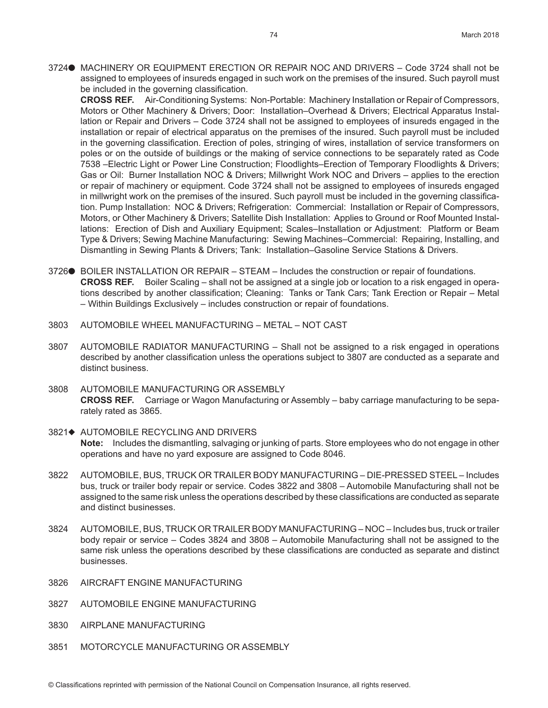3724● MACHINERY OR EQUIPMENT ERECTION OR REPAIR NOC AND DRIVERS - Code 3724 shall not be assigned to employees of insureds engaged in such work on the premises of the insured. Such payroll must be included in the governing classification.

**CROSS REF.** Air-Conditioning Systems: Non-Portable: Machinery Installation or Repair of Compressors, Motors or Other Machinery & Drivers; Door: Installation–Overhead & Drivers; Electrical Apparatus Installation or Repair and Drivers – Code 3724 shall not be assigned to employees of insureds engaged in the installation or repair of electrical apparatus on the premises of the insured. Such payroll must be included in the governing classification. Erection of poles, stringing of wires, installation of service transformers on poles or on the outside of buildings or the making of service connections to be separately rated as Code 7538 –Electric Light or Power Line Construction; Floodlights–Erection of Temporary Floodlights & Drivers; Gas or Oil: Burner Installation NOC & Drivers; Millwright Work NOC and Drivers – applies to the erection or repair of machinery or equipment. Code 3724 shall not be assigned to employees of insureds engaged in millwright work on the premises of the insured. Such payroll must be included in the governing classification. Pump Installation: NOC & Drivers; Refrigeration: Commercial: Installation or Repair of Compressors, Motors, or Other Machinery & Drivers; Satellite Dish Installation: Applies to Ground or Roof Mounted Installations: Erection of Dish and Auxiliary Equipment; Scales–Installation or Adjustment: Platform or Beam Type & Drivers; Sewing Machine Manufacturing: Sewing Machines–Commercial: Repairing, Installing, and Dismantling in Sewing Plants & Drivers; Tank: Installation–Gasoline Service Stations & Drivers.

- 3726● BOILER INSTALLATION OR REPAIR STEAM Includes the construction or repair of foundations. **CROSS REF.** Boiler Scaling – shall not be assigned at a single job or location to a risk engaged in operations described by another classification; Cleaning: Tanks or Tank Cars; Tank Erection or Repair – Metal – Within Buildings Exclusively – includes construction or repair of foundations.
- 3803 AUTOMOBILE WHEEL MANUFACTURING METAL NOT CAST
- 3807 AUTOMOBILE RADIATOR MANUFACTURING Shall not be assigned to a risk engaged in operations described by another classification unless the operations subject to 3807 are conducted as a separate and distinct business.
- 3808 AUTOMOBILE MANUFACTURING OR ASSEMBLY **CROSS REF.** Carriage or Wagon Manufacturing or Assembly – baby carriage manufacturing to be separately rated as 3865.
- 3821♦ AUTOMOBILE RECYCLING AND DRIVERS **Note:** Includes the dismantling, salvaging or junking of parts. Store employees who do not engage in other operations and have no yard exposure are assigned to Code 8046.
- 3822 AUTOMOBILE, BUS, TRUCK OR TRAILER BODY MANUFACTURING DIE-PRESSED STEEL Includes bus, truck or trailer body repair or service. Codes 3822 and 3808 – Automobile Manufacturing shall not be assigned to the same risk unless the operations described by these classifications are conducted as separate and distinct businesses.
- 3824 AUTOMOBILE, BUS, TRUCK OR TRAILER BODY MANUFACTURING NOC Includes bus, truck or trailer body repair or service – Codes 3824 and 3808 – Automobile Manufacturing shall not be assigned to the same risk unless the operations described by these classifications are conducted as separate and distinct businesses.
- 3826 AIRCRAFT ENGINE MANUFACTURING
- 3827 AUTOMOBILE ENGINE MANUFACTURING
- 3830 AIRPLANE MANUFACTURING
- 3851 MOTORCYCLE MANUFACTURING OR ASSEMBLY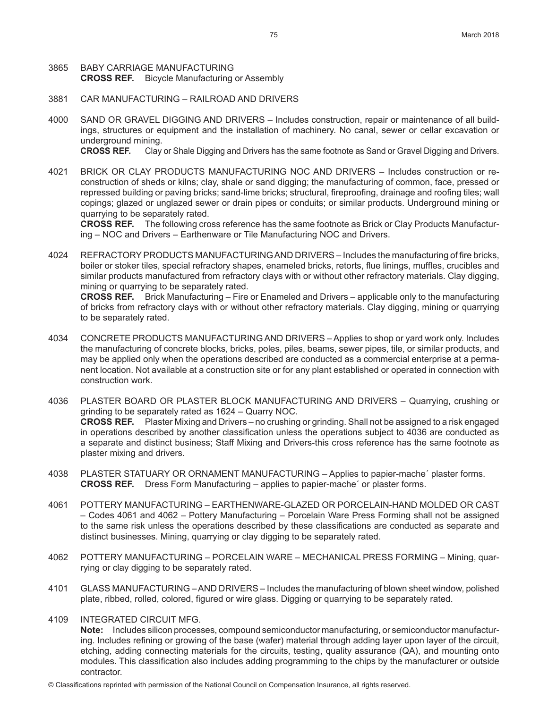#### 3865 BABY CARRIAGE MANUFACTURING **CROSS REF.** Bicycle Manufacturing or Assembly

- 3881 CAR MANUFACTURING RAILROAD AND DRIVERS
- 4000 SAND OR GRAVEL DIGGING AND DRIVERS Includes construction, repair or maintenance of all buildings, structures or equipment and the installation of machinery. No canal, sewer or cellar excavation or underground mining.

**CROSS REF.** Clay or Shale Digging and Drivers has the same footnote as Sand or Gravel Digging and Drivers.

4021 BRICK OR CLAY PRODUCTS MANUFACTURING NOC AND DRIVERS – Includes construction or reconstruction of sheds or kilns; clay, shale or sand digging; the manufacturing of common, face, pressed or repressed building or paving bricks; sand-lime bricks; structural, fireproofing, drainage and roofing tiles; wall copings; glazed or unglazed sewer or drain pipes or conduits; or similar products. Underground mining or quarrying to be separately rated.

**CROSS REF.** The following cross reference has the same footnote as Brick or Clay Products Manufacturing – NOC and Drivers – Earthenware or Tile Manufacturing NOC and Drivers.

4024 REFRACTORY PRODUCTS MANUFACTURING AND DRIVERS – Includes the manufacturing of fire bricks, boiler or stoker tiles, special refractory shapes, enameled bricks, retorts, flue linings, muffles, crucibles and similar products manufactured from refractory clays with or without other refractory materials. Clay digging, mining or quarrying to be separately rated.

**CROSS REF.** Brick Manufacturing – Fire or Enameled and Drivers – applicable only to the manufacturing of bricks from refractory clays with or without other refractory materials. Clay digging, mining or quarrying to be separately rated.

- 4034 CONCRETE PRODUCTS MANUFACTURING AND DRIVERS Applies to shop or yard work only. Includes the manufacturing of concrete blocks, bricks, poles, piles, beams, sewer pipes, tile, or similar products, and may be applied only when the operations described are conducted as a commercial enterprise at a permanent location. Not available at a construction site or for any plant established or operated in connection with construction work.
- 4036 PLASTER BOARD OR PLASTER BLOCK MANUFACTURING AND DRIVERS Quarrying, crushing or grinding to be separately rated as 1624 – Quarry NOC. **CROSS REF.** Plaster Mixing and Drivers – no crushing or grinding. Shall not be assigned to a risk engaged in operations described by another classification unless the operations subject to 4036 are conducted as a separate and distinct business; Staff Mixing and Drivers-this cross reference has the same footnote as plaster mixing and drivers.
- 4038 PLASTER STATUARY OR ORNAMENT MANUFACTURING Applies to papier-mache´ plaster forms. **CROSS REF.** Dress Form Manufacturing – applies to papier-mache´ or plaster forms.
- 4061 POTTERY MANUFACTURING EARTHENWARE-GLAZED OR PORCELAIN-HAND MOLDED OR CAST – Codes 4061 and 4062 – Pottery Manufacturing – Porcelain Ware Press Forming shall not be assigned to the same risk unless the operations described by these classifications are conducted as separate and distinct businesses. Mining, quarrying or clay digging to be separately rated.
- 4062 POTTERY MANUFACTURING PORCELAIN WARE MECHANICAL PRESS FORMING Mining, quarrying or clay digging to be separately rated.
- 4101 GLASS MANUFACTURING AND DRIVERS Includes the manufacturing of blown sheet window, polished plate, ribbed, rolled, colored, figured or wire glass. Digging or quarrying to be separately rated.
- 4109 INTEGRATED CIRCUIT MFG.

**Note:** Includes silicon processes, compound semiconductor manufacturing, or semiconductor manufacturing. Includes refining or growing of the base (wafer) material through adding layer upon layer of the circuit, etching, adding connecting materials for the circuits, testing, quality assurance (QA), and mounting onto modules. This classification also includes adding programming to the chips by the manufacturer or outside contractor.

© Classifications reprinted with permission of the National Council on Compensation Insurance, all rights reserved.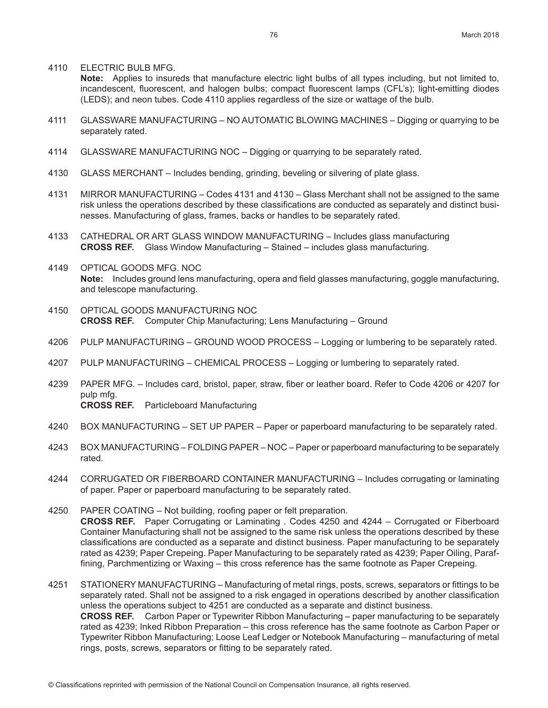4110 ELECTRIC BULB MFG.

**Note:** Applies to insureds that manufacture electric light bulbs of all types including, but not limited to, incandescent, fluorescent, and halogen bulbs; compact fluorescent lamps (CFL's); light-emitting diodes (LEDS); and neon tubes. Code 4110 applies regardless of the size or wattage of the bulb.

- 4111 GLASSWARE MANUFACTURING NO AUTOMATIC BLOWING MACHINES Digging or quarrying to be separately rated.
- 4114 GLASSWARE MANUFACTURING NOC Digging or quarrying to be separately rated.
- 4130 GLASS MERCHANT Includes bending, grinding, beveling or silvering of plate glass.
- 4131 MIRROR MANUFACTURING Codes 4131 and 4130 Glass Merchant shall not be assigned to the same risk unless the operations described by these classifications are conducted as separately and distinct businesses. Manufacturing of glass, frames, backs or handles to be separately rated.
- 4133 CATHEDRAL OR ART GLASS WINDOW MANUFACTURING Includes glass manufacturing **CROSS REF.** Glass Window Manufacturing – Stained – includes glass manufacturing.
- 4149 OPTICAL GOODS MFG. NOC **Note:** Includes ground lens manufacturing, opera and field glasses manufacturing, goggle manufacturing, and telescope manufacturing.
- 4150 OPTICAL GOODS MANUFACTURING NOC **CROSS REF.** Computer Chip Manufacturing; Lens Manufacturing – Ground
- 4206 PULP MANUFACTURING GROUND WOOD PROCESS Logging or lumbering to be separately rated.
- 4207 PULP MANUFACTURING CHEMICAL PROCESS Logging or lumbering to separately rated.
- 4239 PAPER MFG. Includes card, bristol, paper, straw, fiber or leather board. Refer to Code 4206 or 4207 for pulp mfg. **CROSS REF.** Particleboard Manufacturing
- 4240 BOX MANUFACTURING SET UP PAPER Paper or paperboard manufacturing to be separately rated.
- 4243 BOX MANUFACTURING FOLDING PAPER NOC Paper or paperboard manufacturing to be separately rated.
- 4244 CORRUGATED OR FIBERBOARD CONTAINER MANUFACTURING Includes corrugating or laminating of paper. Paper or paperboard manufacturing to be separately rated.
- 4250 PAPER COATING Not building, roofing paper or felt preparation. **CROSS REF.** Paper Corrugating or Laminating . Codes 4250 and 4244 – Corrugated or Fiberboard Container Manufacturing shall not be assigned to the same risk unless the operations described by these classifications are conducted as a separate and distinct business. Paper manufacturing to be separately rated as 4239; Paper Crepeing. Paper Manufacturing to be separately rated as 4239; Paper Oiling, Paraffining, Parchmentizing or Waxing – this cross reference has the same footnote as Paper Crepeing.
- 4251 STATIONERY MANUFACTURING Manufacturing of metal rings, posts, screws, separators or fittings to be separately rated. Shall not be assigned to a risk engaged in operations described by another classification unless the operations subject to 4251 are conducted as a separate and distinct business. **CROSS REF.** Carbon Paper or Typewriter Ribbon Manufacturing – paper manufacturing to be separately rated as 4239; Inked Ribbon Preparation – this cross reference has the same footnote as Carbon Paper or Typewriter Ribbon Manufacturing; Loose Leaf Ledger or Notebook Manufacturing – manufacturing of metal rings, posts, screws, separators or fitting to be separately rated.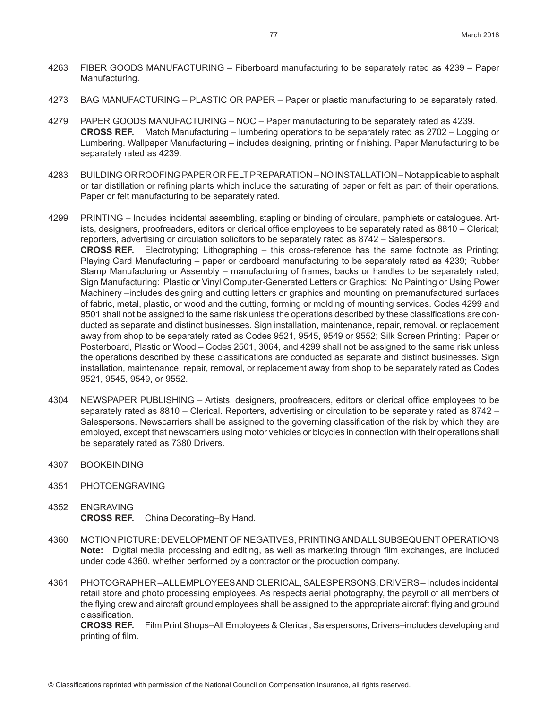- 4263 FIBER GOODS MANUFACTURING Fiberboard manufacturing to be separately rated as 4239 Paper Manufacturing.
- 4273 BAG MANUFACTURING PLASTIC OR PAPER Paper or plastic manufacturing to be separately rated.
- 4279 PAPER GOODS MANUFACTURING NOC Paper manufacturing to be separately rated as 4239. **CROSS REF.** Match Manufacturing – lumbering operations to be separately rated as 2702 – Logging or Lumbering. Wallpaper Manufacturing – includes designing, printing or finishing. Paper Manufacturing to be separately rated as 4239.
- 4283 BUILDING OR ROOFING PAPER OR FELT PREPARATION NO INSTALLATION Not applicable to asphalt or tar distillation or refining plants which include the saturating of paper or felt as part of their operations. Paper or felt manufacturing to be separately rated.
- 4299 PRINTING Includes incidental assembling, stapling or binding of circulars, pamphlets or catalogues. Artists, designers, proofreaders, editors or clerical office employees to be separately rated as 8810 – Clerical; reporters, advertising or circulation solicitors to be separately rated as 8742 – Salespersons. **CROSS REF.** Electrotyping; Lithographing – this cross-reference has the same footnote as Printing; Playing Card Manufacturing – paper or cardboard manufacturing to be separately rated as 4239; Rubber Stamp Manufacturing or Assembly – manufacturing of frames, backs or handles to be separately rated; Sign Manufacturing: Plastic or Vinyl Computer-Generated Letters or Graphics: No Painting or Using Power Machinery –includes designing and cutting letters or graphics and mounting on premanufactured surfaces of fabric, metal, plastic, or wood and the cutting, forming or molding of mounting services. Codes 4299 and 9501 shall not be assigned to the same risk unless the operations described by these classifications are conducted as separate and distinct businesses. Sign installation, maintenance, repair, removal, or replacement away from shop to be separately rated as Codes 9521, 9545, 9549 or 9552; Silk Screen Printing: Paper or Posterboard, Plastic or Wood – Codes 2501, 3064, and 4299 shall not be assigned to the same risk unless the operations described by these classifications are conducted as separate and distinct businesses. Sign installation, maintenance, repair, removal, or replacement away from shop to be separately rated as Codes 9521, 9545, 9549, or 9552.
- 4304 NEWSPAPER PUBLISHING Artists, designers, proofreaders, editors or clerical office employees to be separately rated as 8810 – Clerical. Reporters, advertising or circulation to be separately rated as 8742 – Salespersons. Newscarriers shall be assigned to the governing classification of the risk by which they are employed, except that newscarriers using motor vehicles or bicycles in connection with their operations shall be separately rated as 7380 Drivers.
- 4307 BOOKBINDING
- 4351 PHOTOENGRAVING
- 4352 ENGRAVING **CROSS REF.** China Decorating–By Hand.
- 4360 MOTION PICTURE: DEVELOPMENT OF NEGATIVES, PRINTING AND ALL SUBSEQUENT OPERATIONS **Note:** Digital media processing and editing, as well as marketing through film exchanges, are included under code 4360, whether performed by a contractor or the production company.
- 4361 PHOTOGRAPHER ALL EMPLOYEES AND CLERICAL, SALESPERSONS, DRIVERS Includes incidental retail store and photo processing employees. As respects aerial photography, the payroll of all members of the flying crew and aircraft ground employees shall be assigned to the appropriate aircraft flying and ground classification.

**CROSS REF.** Film Print Shops–All Employees & Clerical, Salespersons, Drivers–includes developing and printing of film.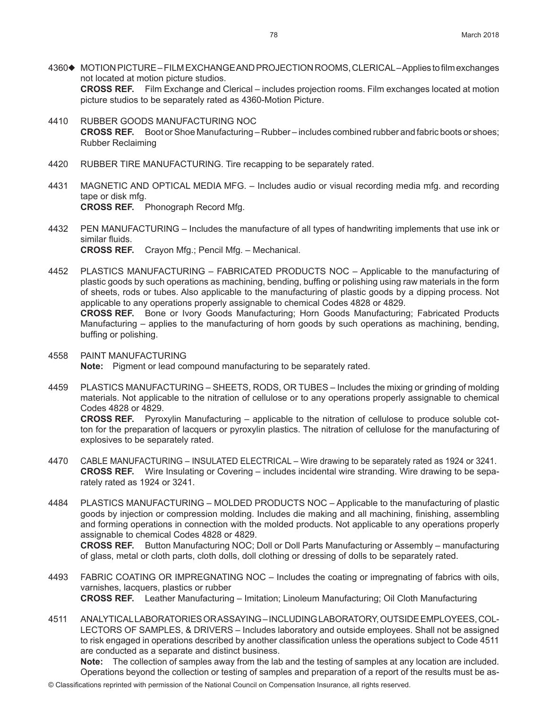- 4360♦ MOTION PICTURE FILM EXCHANGE AND PROJECTION ROOMS, CLERICAL Applies to film exchanges not located at motion picture studios. **CROSS REF.** Film Exchange and Clerical – includes projection rooms. Film exchanges located at motion picture studios to be separately rated as 4360-Motion Picture.
- 4410 RUBBER GOODS MANUFACTURING NOC **CROSS REF.** Boot or Shoe Manufacturing – Rubber – includes combined rubber and fabric boots or shoes; Rubber Reclaiming
- 4420 RUBBER TIRE MANUFACTURING. Tire recapping to be separately rated.
- 4431 MAGNETIC AND OPTICAL MEDIA MFG. Includes audio or visual recording media mfg. and recording tape or disk mfg. **CROSS REF.** Phonograph Record Mfg.
- 4432 PEN MANUFACTURING Includes the manufacture of all types of handwriting implements that use ink or similar fluids. **CROSS REF.** Crayon Mfg.; Pencil Mfg. – Mechanical.
- 4452 PLASTICS MANUFACTURING FABRICATED PRODUCTS NOC Applicable to the manufacturing of plastic goods by such operations as machining, bending, buffing or polishing using raw materials in the form of sheets, rods or tubes. Also applicable to the manufacturing of plastic goods by a dipping process. Not applicable to any operations properly assignable to chemical Codes 4828 or 4829. **CROSS REF.** Bone or Ivory Goods Manufacturing; Horn Goods Manufacturing; Fabricated Products Manufacturing – applies to the manufacturing of horn goods by such operations as machining, bending, buffing or polishing.
- 4558 PAINT MANUFACTURING **Note:** Pigment or lead compound manufacturing to be separately rated.
- 4459 PLASTICS MANUFACTURING SHEETS, RODS, OR TUBES Includes the mixing or grinding of molding materials. Not applicable to the nitration of cellulose or to any operations properly assignable to chemical Codes 4828 or 4829. **CROSS REF.** Pyroxylin Manufacturing – applicable to the nitration of cellulose to produce soluble cotton for the preparation of lacquers or pyroxylin plastics. The nitration of cellulose for the manufacturing of explosives to be separately rated.
- 4470 CABLE MANUFACTURING INSULATED ELECTRICAL Wire drawing to be separately rated as 1924 or 3241. **CROSS REF.** Wire Insulating or Covering – includes incidental wire stranding. Wire drawing to be separately rated as 1924 or 3241.
- 4484 PLASTICS MANUFACTURING MOLDED PRODUCTS NOC Applicable to the manufacturing of plastic goods by injection or compression molding. Includes die making and all machining, finishing, assembling and forming operations in connection with the molded products. Not applicable to any operations properly assignable to chemical Codes 4828 or 4829. **CROSS REF.** Button Manufacturing NOC; Doll or Doll Parts Manufacturing or Assembly – manufacturing of glass, metal or cloth parts, cloth dolls, doll clothing or dressing of dolls to be separately rated.
- 4493 FABRIC COATING OR IMPREGNATING NOC Includes the coating or impregnating of fabrics with oils, varnishes, lacquers, plastics or rubber **CROSS REF.** Leather Manufacturing – Imitation; Linoleum Manufacturing; Oil Cloth Manufacturing
- 4511 ANALYTICAL LABORATORIES OR ASSAYING INCLUDING LABORATORY, OUTSIDE EMPLOYEES, COL-LECTORS OF SAMPLES, & DRIVERS – Includes laboratory and outside employees. Shall not be assigned to risk engaged in operations described by another classification unless the operations subject to Code 4511 are conducted as a separate and distinct business. **Note:** The collection of samples away from the lab and the testing of samples at any location are included.

Operations beyond the collection or testing of samples and preparation of a report of the results must be as-

© Classifications reprinted with permission of the National Council on Compensation Insurance, all rights reserved.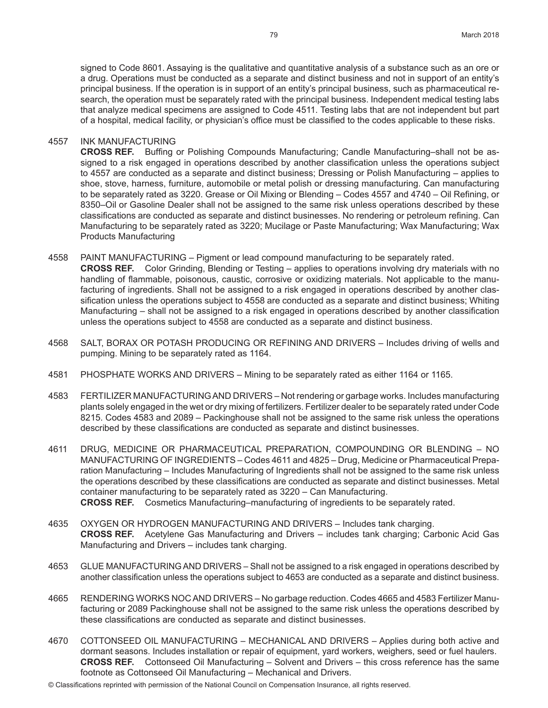signed to Code 8601. Assaying is the qualitative and quantitative analysis of a substance such as an ore or a drug. Operations must be conducted as a separate and distinct business and not in support of an entity's principal business. If the operation is in support of an entity's principal business, such as pharmaceutical research, the operation must be separately rated with the principal business. Independent medical testing labs that analyze medical specimens are assigned to Code 4511. Testing labs that are not independent but part of a hospital, medical facility, or physician's office must be classified to the codes applicable to these risks.

#### 4557 INK MANUFACTURING

**CROSS REF.** Buffing or Polishing Compounds Manufacturing; Candle Manufacturing–shall not be assigned to a risk engaged in operations described by another classification unless the operations subject to 4557 are conducted as a separate and distinct business; Dressing or Polish Manufacturing – applies to shoe, stove, harness, furniture, automobile or metal polish or dressing manufacturing. Can manufacturing to be separately rated as 3220. Grease or Oil Mixing or Blending – Codes 4557 and 4740 – Oil Refining, or 8350–Oil or Gasoline Dealer shall not be assigned to the same risk unless operations described by these classifications are conducted as separate and distinct businesses. No rendering or petroleum refining. Can Manufacturing to be separately rated as 3220; Mucilage or Paste Manufacturing; Wax Manufacturing; Wax Products Manufacturing

- 4558 PAINT MANUFACTURING Pigment or lead compound manufacturing to be separately rated. **CROSS REF.** Color Grinding, Blending or Testing – applies to operations involving dry materials with no handling of flammable, poisonous, caustic, corrosive or oxidizing materials. Not applicable to the manufacturing of ingredients. Shall not be assigned to a risk engaged in operations described by another classification unless the operations subject to 4558 are conducted as a separate and distinct business; Whiting Manufacturing – shall not be assigned to a risk engaged in operations described by another classification unless the operations subject to 4558 are conducted as a separate and distinct business.
- 4568 SALT, BORAX OR POTASH PRODUCING OR REFINING AND DRIVERS Includes driving of wells and pumping. Mining to be separately rated as 1164.
- 4581 PHOSPHATE WORKS AND DRIVERS Mining to be separately rated as either 1164 or 1165.
- 4583 FERTILIZER MANUFACTURING AND DRIVERS Not rendering or garbage works. Includes manufacturing plants solely engaged in the wet or dry mixing of fertilizers. Fertilizer dealer to be separately rated under Code 8215. Codes 4583 and 2089 – Packinghouse shall not be assigned to the same risk unless the operations described by these classifications are conducted as separate and distinct businesses.
- 4611 DRUG, MEDICINE OR PHARMACEUTICAL PREPARATION, COMPOUNDING OR BLENDING NO MANUFACTURING OF INGREDIENTS – Codes 4611 and 4825 – Drug, Medicine or Pharmaceutical Preparation Manufacturing – Includes Manufacturing of Ingredients shall not be assigned to the same risk unless the operations described by these classifications are conducted as separate and distinct businesses. Metal container manufacturing to be separately rated as 3220 – Can Manufacturing. **CROSS REF.** Cosmetics Manufacturing–manufacturing of ingredients to be separately rated.
- 4635 OXYGEN OR HYDROGEN MANUFACTURING AND DRIVERS Includes tank charging. **CROSS REF.** Acetylene Gas Manufacturing and Drivers – includes tank charging; Carbonic Acid Gas Manufacturing and Drivers – includes tank charging.
- 4653 GLUE MANUFACTURING AND DRIVERS Shall not be assigned to a risk engaged in operations described by another classification unless the operations subject to 4653 are conducted as a separate and distinct business.
- 4665 RENDERING WORKS NOC AND DRIVERS No garbage reduction. Codes 4665 and 4583 Fertilizer Manufacturing or 2089 Packinghouse shall not be assigned to the same risk unless the operations described by these classifications are conducted as separate and distinct businesses.
- 4670 COTTONSEED OIL MANUFACTURING MECHANICAL AND DRIVERS Applies during both active and dormant seasons. Includes installation or repair of equipment, yard workers, weighers, seed or fuel haulers. **CROSS REF.** Cottonseed Oil Manufacturing – Solvent and Drivers – this cross reference has the same footnote as Cottonseed Oil Manufacturing – Mechanical and Drivers.
- © Classifications reprinted with permission of the National Council on Compensation Insurance, all rights reserved.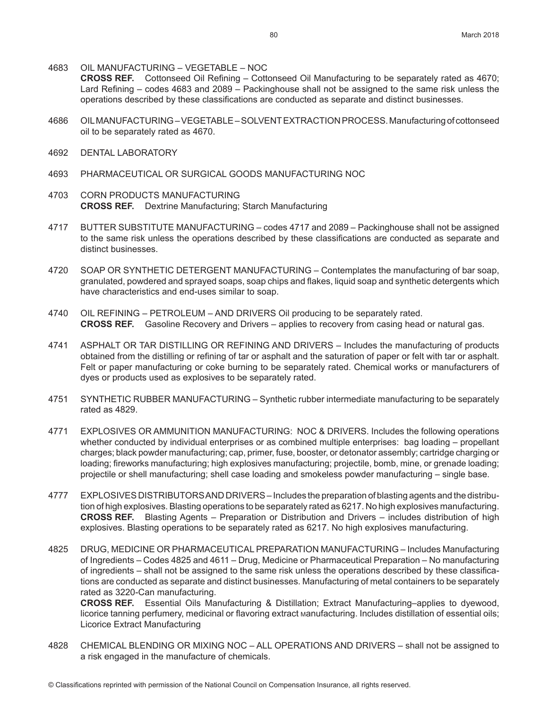4683 OIL MANUFACTURING – VEGETABLE – NOC

**CROSS REF.** Cottonseed Oil Refining – Cottonseed Oil Manufacturing to be separately rated as 4670; Lard Refining – codes 4683 and 2089 – Packinghouse shall not be assigned to the same risk unless the operations described by these classifications are conducted as separate and distinct businesses.

- 4686 OIL MANUFACTURING VEGETABLE SOLVENT EXTRACTION PROCESS. Manufacturing of cottonseed oil to be separately rated as 4670.
- 4692 DENTAL LABORATORY
- 4693 PHARMACEUTICAL OR SURGICAL GOODS MANUFACTURING NOC
- 4703 CORN PRODUCTS MANUFACTURING **CROSS REF.** Dextrine Manufacturing; Starch Manufacturing
- 4717 BUTTER SUBSTITUTE MANUFACTURING codes 4717 and 2089 Packinghouse shall not be assigned to the same risk unless the operations described by these classifications are conducted as separate and distinct businesses.
- 4720 SOAP OR SYNTHETIC DETERGENT MANUFACTURING Contemplates the manufacturing of bar soap, granulated, powdered and sprayed soaps, soap chips and flakes, liquid soap and synthetic detergents which have characteristics and end-uses similar to soap.
- 4740 OIL REFINING PETROLEUM AND DRIVERS Oil producing to be separately rated. **CROSS REF.** Gasoline Recovery and Drivers – applies to recovery from casing head or natural gas.
- 4741 ASPHALT OR TAR DISTILLING OR REFINING AND DRIVERS Includes the manufacturing of products obtained from the distilling or refining of tar or asphalt and the saturation of paper or felt with tar or asphalt. Felt or paper manufacturing or coke burning to be separately rated. Chemical works or manufacturers of dyes or products used as explosives to be separately rated.
- 4751 SYNTHETIC RUBBER MANUFACTURING Synthetic rubber intermediate manufacturing to be separately rated as 4829.
- 4771 EXPLOSIVES OR AMMUNITION MANUFACTURING: NOC & DRIVERS. Includes the following operations whether conducted by individual enterprises or as combined multiple enterprises: bag loading - propellant charges; black powder manufacturing; cap, primer, fuse, booster, or detonator assembly; cartridge charging or loading; fireworks manufacturing; high explosives manufacturing; projectile, bomb, mine, or grenade loading; projectile or shell manufacturing; shell case loading and smokeless powder manufacturing – single base.
- 4777 EXPLOSIVES DISTRIBUTORS AND DRIVERS Includes the preparation of blasting agents and the distribution of high explosives. Blasting operations to be separately rated as 6217. No high explosives manufacturing. **CROSS REF.** Blasting Agents – Preparation or Distribution and Drivers – includes distribution of high explosives. Blasting operations to be separately rated as 6217. No high explosives manufacturing.
- 4825 DRUG, MEDICINE OR PHARMACEUTICAL PREPARATION MANUFACTURING Includes Manufacturing of Ingredients – Codes 4825 and 4611 – Drug, Medicine or Pharmaceutical Preparation – No manufacturing of ingredients – shall not be assigned to the same risk unless the operations described by these classifications are conducted as separate and distinct businesses. Manufacturing of metal containers to be separately rated as 3220-Can manufacturing.

**CROSS REF.** Essential Oils Manufacturing & Distillation; Extract Manufacturing–applies to dyewood, licorice tanning perfumery, medicinal or flavoring extract manufacturing. Includes distillation of essential oils; Licorice Extract Manufacturing

4828 CHEMICAL BLENDING OR MIXING NOC – ALL OPERATIONS AND DRIVERS – shall not be assigned to a risk engaged in the manufacture of chemicals.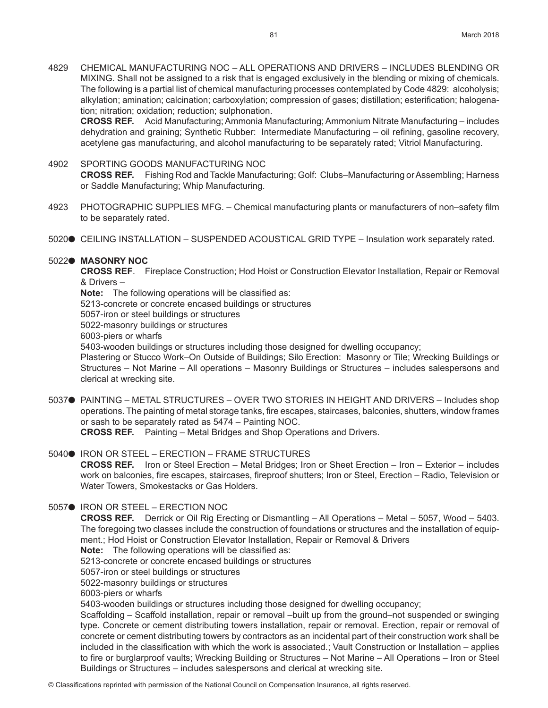4829 CHEMICAL MANUFACTURING NOC – ALL OPERATIONS AND DRIVERS – INCLUDES BLENDING OR MIXING. Shall not be assigned to a risk that is engaged exclusively in the blending or mixing of chemicals. The following is a partial list of chemical manufacturing processes contemplated by Code 4829: alcoholysis; alkylation; amination; calcination; carboxylation; compression of gases; distillation; esterification; halogenation; nitration; oxidation; reduction; sulphonation.

**CROSS REF.** Acid Manufacturing; Ammonia Manufacturing; Ammonium Nitrate Manufacturing – includes dehydration and graining; Synthetic Rubber: Intermediate Manufacturing – oil refining, gasoline recovery, acetylene gas manufacturing, and alcohol manufacturing to be separately rated; Vitriol Manufacturing.

#### 4902 SPORTING GOODS MANUFACTURING NOC

**CROSS REF.** Fishing Rod and Tackle Manufacturing; Golf: Clubs–Manufacturing or Assembling; Harness or Saddle Manufacturing; Whip Manufacturing.

- 4923 PHOTOGRAPHIC SUPPLIES MFG. Chemical manufacturing plants or manufacturers of non–safety film to be separately rated.
- 5020● CEILING INSTALLATION SUSPENDED ACOUSTICAL GRID TYPE Insulation work separately rated.

#### 5022<sup>o</sup> MASONRY NOC

**CROSS REF**. Fireplace Construction; Hod Hoist or Construction Elevator Installation, Repair or Removal & Drivers –

**Note:** The following operations will be classified as:

5213-concrete or concrete encased buildings or structures

5057-iron or steel buildings or structures

5022-masonry buildings or structures

6003-piers or wharfs

5403-wooden buildings or structures including those designed for dwelling occupancy;

Plastering or Stucco Work–On Outside of Buildings; Silo Erection: Masonry or Tile; Wrecking Buildings or Structures – Not Marine – All operations – Masonry Buildings or Structures – includes salespersons and clerical at wrecking site.

5037● PAINTING – METAL STRUCTURES – OVER TWO STORIES IN HEIGHT AND DRIVERS – Includes shop operations. The painting of metal storage tanks, fire escapes, staircases, balconies, shutters, window frames or sash to be separately rated as 5474 – Painting NOC. **CROSS REF.** Painting – Metal Bridges and Shop Operations and Drivers.

- 5040● IRON OR STEEL ERECTION FRAME STRUCTURES **CROSS REF.** Iron or Steel Erection – Metal Bridges; Iron or Sheet Erection – Iron – Exterior – includes work on balconies, fire escapes, staircases, fireproof shutters; Iron or Steel, Erection – Radio, Television or Water Towers, Smokestacks or Gas Holders.
- 5057● IRON OR STEEL ERECTION NOC

**CROSS REF.** Derrick or Oil Rig Erecting or Dismantling – All Operations – Metal – 5057, Wood – 5403. The foregoing two classes include the construction of foundations or structures and the installation of equipment.; Hod Hoist or Construction Elevator Installation, Repair or Removal & Drivers

**Note:** The following operations will be classified as:

5213-concrete or concrete encased buildings or structures

5057-iron or steel buildings or structures

5022-masonry buildings or structures

6003-piers or wharfs

5403-wooden buildings or structures including those designed for dwelling occupancy;

Scaffolding – Scaffold installation, repair or removal –built up from the ground–not suspended or swinging type. Concrete or cement distributing towers installation, repair or removal. Erection, repair or removal of concrete or cement distributing towers by contractors as an incidental part of their construction work shall be included in the classification with which the work is associated.; Vault Construction or Installation – applies to fire or burglarproof vaults; Wrecking Building or Structures – Not Marine – All Operations – Iron or Steel Buildings or Structures – includes salespersons and clerical at wrecking site.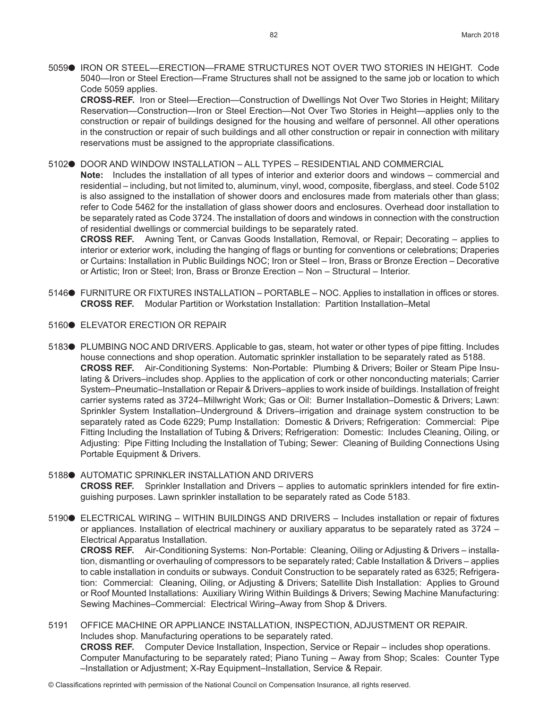5059● IRON OR STEEL—ERECTION—FRAME STRUCTURES NOT OVER TWO STORIES IN HEIGHT. Code 5040—Iron or Steel Erection—Frame Structures shall not be assigned to the same job or location to which Code 5059 applies.

**CROSS-REF.** Iron or Steel—Erection—Construction of Dwellings Not Over Two Stories in Height; Military Reservation—Construction—Iron or Steel Erection—Not Over Two Stories in Height—applies only to the construction or repair of buildings designed for the housing and welfare of personnel. All other operations in the construction or repair of such buildings and all other construction or repair in connection with military reservations must be assigned to the appropriate classifications.

5102<sup>o</sup> DOOR AND WINDOW INSTALLATION – ALL TYPES – RESIDENTIAL AND COMMERCIAL

**Note:** Includes the installation of all types of interior and exterior doors and windows – commercial and residential – including, but not limited to, aluminum, vinyl, wood, composite, fiberglass, and steel. Code 5102 is also assigned to the installation of shower doors and enclosures made from materials other than glass; refer to Code 5462 for the installation of glass shower doors and enclosures. Overhead door installation to be separately rated as Code 3724. The installation of doors and windows in connection with the construction of residential dwellings or commercial buildings to be separately rated.

**CROSS REF.** Awning Tent, or Canvas Goods Installation, Removal, or Repair; Decorating – applies to interior or exterior work, including the hanging of flags or bunting for conventions or celebrations; Draperies or Curtains: Installation in Public Buildings NOC; Iron or Steel – Iron, Brass or Bronze Erection – Decorative or Artistic; Iron or Steel; Iron, Brass or Bronze Erection – Non – Structural – Interior.

- 5146● FURNITURE OR FIXTURES INSTALLATION PORTABLE NOC. Applies to installation in offices or stores. **CROSS REF.** Modular Partition or Workstation Installation: Partition Installation–Metal
- 5160<sup>O</sup> ELEVATOR ERECTION OR REPAIR
- 5183● PLUMBING NOC AND DRIVERS. Applicable to gas, steam, hot water or other types of pipe fitting. Includes house connections and shop operation. Automatic sprinkler installation to be separately rated as 5188. **CROSS REF.** Air-Conditioning Systems: Non-Portable: Plumbing & Drivers; Boiler or Steam Pipe Insulating & Drivers–includes shop. Applies to the application of cork or other nonconducting materials; Carrier System–Pneumatic–Installation or Repair & Drivers–applies to work inside of buildings. Installation of freight carrier systems rated as 3724–Millwright Work; Gas or Oil: Burner Installation–Domestic & Drivers; Lawn: Sprinkler System Installation–Underground & Drivers–irrigation and drainage system construction to be separately rated as Code 6229; Pump Installation: Domestic & Drivers; Refrigeration: Commercial: Pipe Fitting Including the Installation of Tubing & Drivers; Refrigeration: Domestic: Includes Cleaning, Oiling, or Adjusting: Pipe Fitting Including the Installation of Tubing; Sewer: Cleaning of Building Connections Using Portable Equipment & Drivers.

# 5188<sup>.</sup> AUTOMATIC SPRINKLER INSTALLATION AND DRIVERS **CROSS REF.** Sprinkler Installation and Drivers – applies to automatic sprinklers intended for fire extin-

guishing purposes. Lawn sprinkler installation to be separately rated as Code 5183.

5190● ELECTRICAL WIRING – WITHIN BUILDINGS AND DRIVERS – Includes installation or repair of fixtures or appliances. Installation of electrical machinery or auxiliary apparatus to be separately rated as 3724 – Electrical Apparatus Installation.

**CROSS REF.** Air-Conditioning Systems: Non-Portable: Cleaning, Oiling or Adjusting & Drivers – installation, dismantling or overhauling of compressors to be separately rated; Cable Installation & Drivers – applies to cable installation in conduits or subways. Conduit Construction to be separately rated as 6325; Refrigeration: Commercial: Cleaning, Oiling, or Adjusting & Drivers; Satellite Dish Installation: Applies to Ground or Roof Mounted Installations: Auxiliary Wiring Within Buildings & Drivers; Sewing Machine Manufacturing: Sewing Machines–Commercial: Electrical Wiring–Away from Shop & Drivers.

5191 OFFICE MACHINE OR APPLIANCE INSTALLATION, INSPECTION, ADJUSTMENT OR REPAIR. Includes shop. Manufacturing operations to be separately rated. **CROSS REF.** Computer Device Installation, Inspection, Service or Repair – includes shop operations. Computer Manufacturing to be separately rated; Piano Tuning – Away from Shop; Scales: Counter Type –Installation or Adjustment; X-Ray Equipment–Installation, Service & Repair.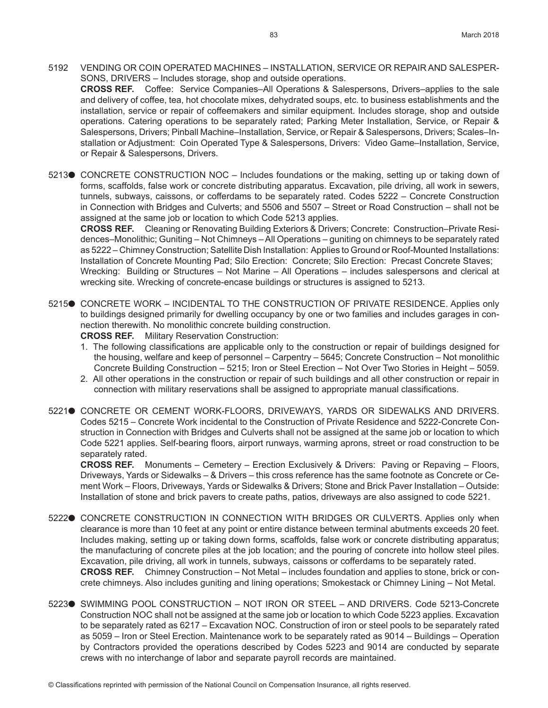- 5192 VENDING OR COIN OPERATED MACHINES INSTALLATION, SERVICE OR REPAIR AND SALESPER-SONS, DRIVERS – Includes storage, shop and outside operations. **CROSS REF.** Coffee: Service Companies–All Operations & Salespersons, Drivers–applies to the sale and delivery of coffee, tea, hot chocolate mixes, dehydrated soups, etc. to business establishments and the installation, service or repair of coffeemakers and similar equipment. Includes storage, shop and outside operations. Catering operations to be separately rated; Parking Meter Installation, Service, or Repair & Salespersons, Drivers; Pinball Machine–Installation, Service, or Repair & Salespersons, Drivers; Scales–Installation or Adjustment: Coin Operated Type & Salespersons, Drivers: Video Game–Installation, Service, or Repair & Salespersons, Drivers.
- 5213● CONCRETE CONSTRUCTION NOC Includes foundations or the making, setting up or taking down of forms, scaffolds, false work or concrete distributing apparatus. Excavation, pile driving, all work in sewers, tunnels, subways, caissons, or cofferdams to be separately rated. Codes 5222 – Concrete Construction in Connection with Bridges and Culverts; and 5506 and 5507 – Street or Road Construction – shall not be assigned at the same job or location to which Code 5213 applies.

**CROSS REF.** Cleaning or Renovating Building Exteriors & Drivers; Concrete: Construction–Private Residences–Monolithic; Guniting – Not Chimneys – All Operations – guniting on chimneys to be separately rated as 5222 – Chimney Construction; Satellite Dish Installation: Applies to Ground or Roof-Mounted Installations: Installation of Concrete Mounting Pad; Silo Erection: Concrete; Silo Erection: Precast Concrete Staves; Wrecking: Building or Structures – Not Marine – All Operations – includes salespersons and clerical at wrecking site. Wrecking of concrete-encase buildings or structures is assigned to 5213.

5215<sup>o</sup> CONCRETE WORK – INCIDENTAL TO THE CONSTRUCTION OF PRIVATE RESIDENCE. Applies only to buildings designed primarily for dwelling occupancy by one or two families and includes garages in connection therewith. No monolithic concrete building construction.

**CROSS REF.** Military Reservation Construction:

- 1. The following classifications are applicable only to the construction or repair of buildings designed for the housing, welfare and keep of personnel – Carpentry – 5645; Concrete Construction – Not monolithic Concrete Building Construction – 5215; Iron or Steel Erection – Not Over Two Stories in Height – 5059.
- 2. All other operations in the construction or repair of such buildings and all other construction or repair in connection with military reservations shall be assigned to appropriate manual classifications.
- 52210 CONCRETE OR CEMENT WORK-FLOORS, DRIVEWAYS, YARDS OR SIDEWALKS AND DRIVERS. Codes 5215 – Concrete Work incidental to the Construction of Private Residence and 5222-Concrete Construction in Connection with Bridges and Culverts shall not be assigned at the same job or location to which Code 5221 applies. Self-bearing floors, airport runways, warming aprons, street or road construction to be separately rated.

**CROSS REF.** Monuments – Cemetery – Erection Exclusively & Drivers: Paving or Repaving – Floors, Driveways, Yards or Sidewalks – & Drivers – this cross reference has the same footnote as Concrete or Cement Work – Floors, Driveways, Yards or Sidewalks & Drivers; Stone and Brick Paver Installation – Outside: Installation of stone and brick pavers to create paths, patios, driveways are also assigned to code 5221.

- 5222<sup>0</sup> CONCRETE CONSTRUCTION IN CONNECTION WITH BRIDGES OR CULVERTS. Applies only when clearance is more than 10 feet at any point or entire distance between terminal abutments exceeds 20 feet. Includes making, setting up or taking down forms, scaffolds, false work or concrete distributing apparatus; the manufacturing of concrete piles at the job location; and the pouring of concrete into hollow steel piles. Excavation, pile driving, all work in tunnels, subways, caissons or cofferdams to be separately rated. **CROSS REF.** Chimney Construction – Not Metal – includes foundation and applies to stone, brick or concrete chimneys. Also includes guniting and lining operations; Smokestack or Chimney Lining – Not Metal.
- 5223● SWIMMING POOL CONSTRUCTION NOT IRON OR STEEL AND DRIVERS. Code 5213-Concrete Construction NOC shall not be assigned at the same job or location to which Code 5223 applies. Excavation to be separately rated as 6217 – Excavation NOC. Construction of iron or steel pools to be separately rated as 5059 – Iron or Steel Erection. Maintenance work to be separately rated as 9014 – Buildings – Operation by Contractors provided the operations described by Codes 5223 and 9014 are conducted by separate crews with no interchange of labor and separate payroll records are maintained.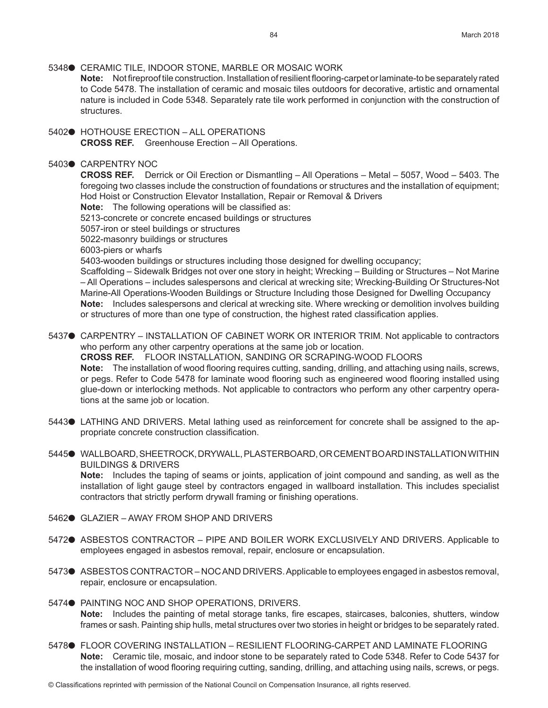5348● CERAMIC TILE, INDOOR STONE, MARBLE OR MOSAIC WORK **Note:** Not fireproof tile construction. Installation of resilient flooring-carpet or laminate-to be separately rated to Code 5478. The installation of ceramic and mosaic tiles outdoors for decorative, artistic and ornamental nature is included in Code 5348. Separately rate tile work performed in conjunction with the construction of structures.

5402● HOTHOUSE ERECTION – ALL OPERATIONS **CROSS REF.** Greenhouse Erection – All Operations.

# 5403<sup>o</sup> CARPENTRY NOC

**CROSS REF.** Derrick or Oil Erection or Dismantling – All Operations – Metal – 5057, Wood – 5403. The foregoing two classes include the construction of foundations or structures and the installation of equipment; Hod Hoist or Construction Elevator Installation, Repair or Removal & Drivers

- **Note:** The following operations will be classified as:
- 5213-concrete or concrete encased buildings or structures

5057-iron or steel buildings or structures

5022-masonry buildings or structures

6003-piers or wharfs

5403-wooden buildings or structures including those designed for dwelling occupancy;

Scaffolding – Sidewalk Bridges not over one story in height; Wrecking – Building or Structures – Not Marine – All Operations – includes salespersons and clerical at wrecking site; Wrecking-Building Or Structures-Not Marine-All Operations-Wooden Buildings or Structure Including those Designed for Dwelling Occupancy **Note:** Includes salespersons and clerical at wrecking site. Where wrecking or demolition involves building or structures of more than one type of construction, the highest rated classification applies.

5437● CARPENTRY – INSTALLATION OF CABINET WORK OR INTERIOR TRIM. Not applicable to contractors who perform any other carpentry operations at the same job or location. **CROSS REF.** FLOOR INSTALLATION, SANDING OR SCRAPING-WOOD FLOORS **Note:** The installation of wood flooring requires cutting, sanding, drilling, and attaching using nails, screws, or pegs. Refer to Code 5478 for laminate wood flooring such as engineered wood flooring installed using glue-down or interlocking methods. Not applicable to contractors who perform any other carpentry operations at the same job or location.

- 5443● LATHING AND DRIVERS. Metal lathing used as reinforcement for concrete shall be assigned to the appropriate concrete construction classification.
- 5445<sup>o</sup> WALLBOARD, SHEETROCK, DRYWALL, PLASTERBOARD, OR CEMENT BOARD INSTALLATION WITHIN BUILDINGS & DRIVERS

**Note:** Includes the taping of seams or joints, application of joint compound and sanding, as well as the installation of light gauge steel by contractors engaged in wallboard installation. This includes specialist contractors that strictly perform drywall framing or finishing operations.

- 5462● GLAZIER AWAY FROM SHOP AND DRIVERS
- 5472<sup>o</sup> ASBESTOS CONTRACTOR PIPE AND BOILER WORK EXCLUSIVELY AND DRIVERS. Applicable to employees engaged in asbestos removal, repair, enclosure or encapsulation.
- 5473● ASBESTOS CONTRACTOR NOC AND DRIVERS. Applicable to employees engaged in asbestos removal, repair, enclosure or encapsulation.
- 5474<sup>.</sup> PAINTING NOC AND SHOP OPERATIONS, DRIVERS. **Note:** Includes the painting of metal storage tanks, fire escapes, staircases, balconies, shutters, window frames or sash. Painting ship hulls, metal structures over two stories in height or bridges to be separately rated.
- 5478● FLOOR COVERING INSTALLATION RESILIENT FLOORING-CARPET AND LAMINATE FLOORING **Note:** Ceramic tile, mosaic, and indoor stone to be separately rated to Code 5348. Refer to Code 5437 for the installation of wood flooring requiring cutting, sanding, drilling, and attaching using nails, screws, or pegs.

© Classifications reprinted with permission of the National Council on Compensation Insurance, all rights reserved.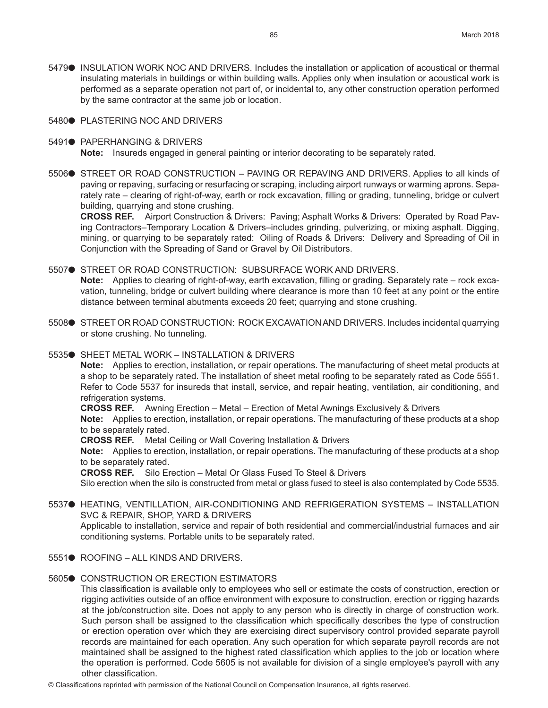- 5479● INSULATION WORK NOC AND DRIVERS. Includes the installation or application of acoustical or thermal insulating materials in buildings or within building walls. Applies only when insulation or acoustical work is performed as a separate operation not part of, or incidental to, any other construction operation performed by the same contractor at the same job or location.
- 5480<sup>.</sup> PLASTERING NOC AND DRIVERS
- 5491● PAPERHANGING & DRIVERS **Note:** Insureds engaged in general painting or interior decorating to be separately rated.
- 5506● STREET OR ROAD CONSTRUCTION PAVING OR REPAVING AND DRIVERS. Applies to all kinds of paving or repaving, surfacing or resurfacing or scraping, including airport runways or warming aprons. Separately rate – clearing of right-of-way, earth or rock excavation, filling or grading, tunneling, bridge or culvert building, quarrying and stone crushing.

**CROSS REF.** Airport Construction & Drivers: Paving; Asphalt Works & Drivers: Operated by Road Paving Contractors–Temporary Location & Drivers–includes grinding, pulverizing, or mixing asphalt. Digging, mining, or quarrying to be separately rated: Oiling of Roads & Drivers: Delivery and Spreading of Oil in Conjunction with the Spreading of Sand or Gravel by Oil Distributors.

5507● STREET OR ROAD CONSTRUCTION: SUBSURFACE WORK AND DRIVERS. **Note:** Applies to clearing of right-of-way, earth excavation, filling or grading. Separately rate – rock excavation, tunneling, bridge or culvert building where clearance is more than 10 feet at any point or the entire distance between terminal abutments exceeds 20 feet; quarrying and stone crushing.

- 5508● STREET OR ROAD CONSTRUCTION: ROCK EXCAVATION AND DRIVERS. Includes incidental quarrying or stone crushing. No tunneling.
- 5535● SHEET METAL WORK INSTALLATION & DRIVERS

**Note:** Applies to erection, installation, or repair operations. The manufacturing of sheet metal products at a shop to be separately rated. The installation of sheet metal roofing to be separately rated as Code 5551. Refer to Code 5537 for insureds that install, service, and repair heating, ventilation, air conditioning, and refrigeration systems.

**CROSS REF.** Awning Erection – Metal – Erection of Metal Awnings Exclusively & Drivers

**Note:** Applies to erection, installation, or repair operations. The manufacturing of these products at a shop to be separately rated.

**CROSS REF.** Metal Ceiling or Wall Covering Installation & Drivers

**Note:** Applies to erection, installation, or repair operations. The manufacturing of these products at a shop to be separately rated.

**CROSS REF.** Silo Erection – Metal Or Glass Fused To Steel & Drivers

Silo erection when the silo is constructed from metal or glass fused to steel is also contemplated by Code 5535.

- 5537● HEATING, VENTILLATION, AIR-CONDITIONING AND REFRIGERATION SYSTEMS INSTALLATION SVC & REPAIR, SHOP, YARD & DRIVERS Applicable to installation, service and repair of both residential and commercial/industrial furnaces and air conditioning systems. Portable units to be separately rated.
- 5551<sup>.</sup> ROOFING ALL KINDS AND DRIVERS.

#### **5605● CONSTRUCTION OR ERECTION ESTIMATORS**

This classification is available only to employees who sell or estimate the costs of construction, erection or rigging activities outside of an office environment with exposure to construction, erection or rigging hazards at the job/construction site. Does not apply to any person who is directly in charge of construction work. Such person shall be assigned to the classification which specifically describes the type of construction or erection operation over which they are exercising direct supervisory control provided separate payroll records are maintained for each operation. Any such operation for which separate payroll records are not maintained shall be assigned to the highest rated classification which applies to the job or location where the operation is performed. Code 5605 is not available for division of a single employee's payroll with any other classification.

© Classifications reprinted with permission of the National Council on Compensation Insurance, all rights reserved.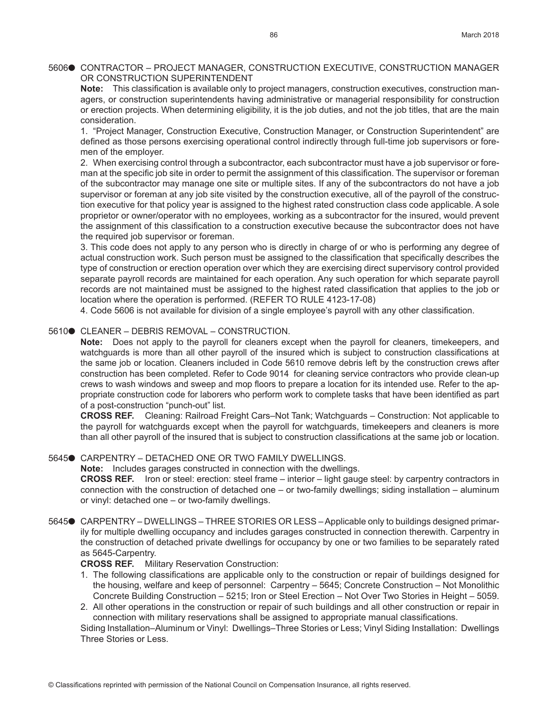# 5606● CONTRACTOR – PROJECT MANAGER, CONSTRUCTION EXECUTIVE, CONSTRUCTION MANAGER OR CONSTRUCTION SUPERINTENDENT

**Note:** This classification is available only to project managers, construction executives, construction managers, or construction superintendents having administrative or managerial responsibility for construction or erection projects. When determining eligibility, it is the job duties, and not the job titles, that are the main consideration.

1. "Project Manager, Construction Executive, Construction Manager, or Construction Superintendent" are defined as those persons exercising operational control indirectly through full-time job supervisors or foremen of the employer.

2. When exercising control through a subcontractor, each subcontractor must have a job supervisor or foreman at the specific job site in order to permit the assignment of this classification. The supervisor or foreman of the subcontractor may manage one site or multiple sites. If any of the subcontractors do not have a job supervisor or foreman at any job site visited by the construction executive, all of the payroll of the construction executive for that policy year is assigned to the highest rated construction class code applicable. A sole proprietor or owner/operator with no employees, working as a subcontractor for the insured, would prevent the assignment of this classification to a construction executive because the subcontractor does not have the required job supervisor or foreman.

3. This code does not apply to any person who is directly in charge of or who is performing any degree of actual construction work. Such person must be assigned to the classification that specifically describes the type of construction or erection operation over which they are exercising direct supervisory control provided separate payroll records are maintained for each operation. Any such operation for which separate payroll records are not maintained must be assigned to the highest rated classification that applies to the job or location where the operation is performed. (REFER TO RULE 4123-17-08)

4. Code 5606 is not available for division of a single employee's payroll with any other classification.

# 5610● CLEANER – DEBRIS REMOVAL – CONSTRUCTION.

**Note:** Does not apply to the payroll for cleaners except when the payroll for cleaners, timekeepers, and watchguards is more than all other payroll of the insured which is subject to construction classifications at the same job or location. Cleaners included in Code 5610 remove debris left by the construction crews after construction has been completed. Refer to Code 9014 for cleaning service contractors who provide clean-up crews to wash windows and sweep and mop floors to prepare a location for its intended use. Refer to the appropriate construction code for laborers who perform work to complete tasks that have been identified as part of a post-construction "punch-out" list.

**CROSS REF.** Cleaning: Railroad Freight Cars–Not Tank; Watchguards – Construction: Not applicable to the payroll for watchguards except when the payroll for watchguards, timekeepers and cleaners is more than all other payroll of the insured that is subject to construction classifications at the same job or location.

## 5645● CARPENTRY – DETACHED ONE OR TWO FAMILY DWELLINGS.

**Note:** Includes garages constructed in connection with the dwellings.

**CROSS REF.** Iron or steel: erection: steel frame – interior – light gauge steel: by carpentry contractors in connection with the construction of detached one – or two-family dwellings; siding installation – aluminum or vinyl: detached one – or two-family dwellings.

5645● CARPENTRY – DWELLINGS – THREE STORIES OR LESS – Applicable only to buildings designed primarily for multiple dwelling occupancy and includes garages constructed in connection therewith. Carpentry in the construction of detached private dwellings for occupancy by one or two families to be separately rated as 5645-Carpentry.

**CROSS REF.** Military Reservation Construction:

- 1. The following classifications are applicable only to the construction or repair of buildings designed for the housing, welfare and keep of personnel: Carpentry – 5645; Concrete Construction – Not Monolithic Concrete Building Construction – 5215; Iron or Steel Erection – Not Over Two Stories in Height – 5059.
- 2. All other operations in the construction or repair of such buildings and all other construction or repair in connection with military reservations shall be assigned to appropriate manual classifications.

Siding Installation–Aluminum or Vinyl: Dwellings–Three Stories or Less; Vinyl Siding Installation: Dwellings Three Stories or Less.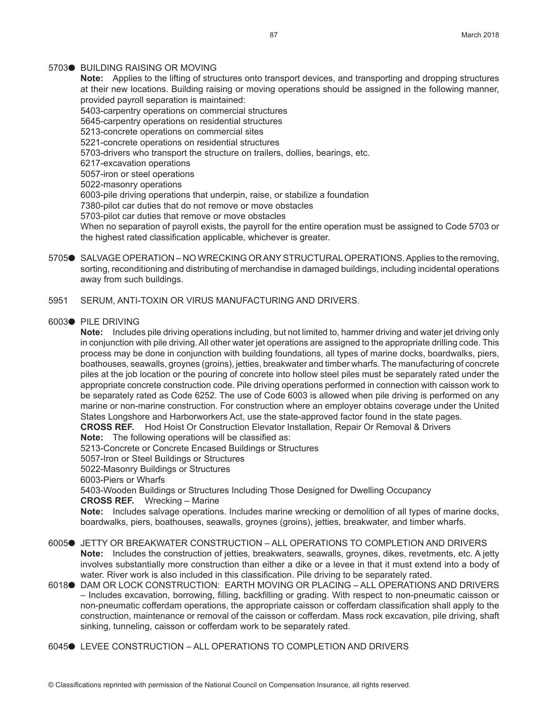#### 5703<sup>O</sup> BUILDING RAISING OR MOVING

**Note:** Applies to the lifting of structures onto transport devices, and transporting and dropping structures at their new locations. Building raising or moving operations should be assigned in the following manner, provided payroll separation is maintained:

5403-carpentry operations on commercial structures

5645-carpentry operations on residential structures

5213-concrete operations on commercial sites

5221-concrete operations on residential structures

5703-drivers who transport the structure on trailers, dollies, bearings, etc.

6217-excavation operations

5057-iron or steel operations

5022-masonry operations

6003-pile driving operations that underpin, raise, or stabilize a foundation

7380-pilot car duties that do not remove or move obstacles

5703-pilot car duties that remove or move obstacles

When no separation of payroll exists, the payroll for the entire operation must be assigned to Code 5703 or the highest rated classification applicable, whichever is greater.

- 5705● SALVAGE OPERATION NO WRECKING OR ANY STRUCTURAL OPERATIONS. Applies to the removing, sorting, reconditioning and distributing of merchandise in damaged buildings, including incidental operations away from such buildings.
- 5951 SERUM, ANTI-TOXIN OR VIRUS MANUFACTURING AND DRIVERS.

#### 6003<sup>.</sup> PILE DRIVING

**Note:** Includes pile driving operations including, but not limited to, hammer driving and water jet driving only in conjunction with pile driving. All other water jet operations are assigned to the appropriate drilling code. This process may be done in conjunction with building foundations, all types of marine docks, boardwalks, piers, boathouses, seawalls, groynes (groins), jetties, breakwater and timber wharfs. The manufacturing of concrete piles at the job location or the pouring of concrete into hollow steel piles must be separately rated under the appropriate concrete construction code. Pile driving operations performed in connection with caisson work to be separately rated as Code 6252. The use of Code 6003 is allowed when pile driving is performed on any marine or non-marine construction. For construction where an employer obtains coverage under the United States Longshore and Harborworkers Act, use the state-approved factor found in the state pages.

**CROSS REF.** Hod Hoist Or Construction Elevator Installation, Repair Or Removal & Drivers

**Note:** The following operations will be classified as:

5213-Concrete or Concrete Encased Buildings or Structures

5057-Iron or Steel Buildings or Structures

5022-Masonry Buildings or Structures

6003-Piers or Wharfs

5403-Wooden Buildings or Structures Including Those Designed for Dwelling Occupancy

**CROSS REF.** Wrecking – Marine

**Note:** Includes salvage operations. Includes marine wrecking or demolition of all types of marine docks, boardwalks, piers, boathouses, seawalls, groynes (groins), jetties, breakwater, and timber wharfs.

- 6005<sup>o</sup> JETTY OR BREAKWATER CONSTRUCTION ALL OPERATIONS TO COMPLETION AND DRIVERS **Note:** Includes the construction of jetties, breakwaters, seawalls, groynes, dikes, revetments, etc. A jetty involves substantially more construction than either a dike or a levee in that it must extend into a body of water. River work is also included in this classification. Pile driving to be separately rated.
- 6018 DAM OR LOCK CONSTRUCTION: EARTH MOVING OR PLACING ALL OPERATIONS AND DRIVERS – Includes excavation, borrowing, filling, backfilling or grading. With respect to non-pneumatic caisson or non-pneumatic cofferdam operations, the appropriate caisson or cofferdam classification shall apply to the construction, maintenance or removal of the caisson or cofferdam. Mass rock excavation, pile driving, shaft sinking, tunneling, caisson or cofferdam work to be separately rated.
- 6045<sup>o</sup> LEVEE CONSTRUCTION ALL OPERATIONS TO COMPLETION AND DRIVERS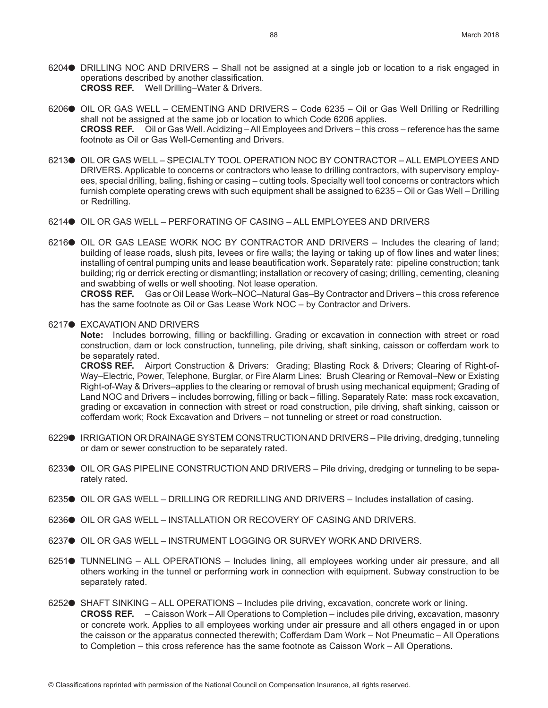- 6204 $\bullet$  DRILLING NOC AND DRIVERS Shall not be assigned at a single job or location to a risk engaged in operations described by another classification. **CROSS REF.** Well Drilling–Water & Drivers.
- 6206● OIL OR GAS WELL CEMENTING AND DRIVERS Code 6235 Oil or Gas Well Drilling or Redrilling shall not be assigned at the same job or location to which Code 6206 applies. **CROSS REF.** Oil or Gas Well. Acidizing – All Employees and Drivers – this cross – reference has the same footnote as Oil or Gas Well-Cementing and Drivers.
- 6213● OIL OR GAS WELL SPECIALTY TOOL OPERATION NOC BY CONTRACTOR ALL EMPLOYEES AND DRIVERS. Applicable to concerns or contractors who lease to drilling contractors, with supervisory employees, special drilling, baling, fishing or casing – cutting tools. Specialty well tool concerns or contractors which furnish complete operating crews with such equipment shall be assigned to 6235 – Oil or Gas Well – Drilling or Redrilling.
- 6214<sup>o</sup> OIL OR GAS WELL PERFORATING OF CASING ALL EMPLOYEES AND DRIVERS
- $6216\bullet$  OIL OR GAS LEASE WORK NOC BY CONTRACTOR AND DRIVERS Includes the clearing of land: building of lease roads, slush pits, levees or fire walls; the laying or taking up of flow lines and water lines; installing of central pumping units and lease beautification work. Separately rate: pipeline construction; tank building; rig or derrick erecting or dismantling; installation or recovery of casing; drilling, cementing, cleaning and swabbing of wells or well shooting. Not lease operation.

**CROSS REF.** Gas or Oil Lease Work–NOC–Natural Gas–By Contractor and Drivers – this cross reference has the same footnote as Oil or Gas Lease Work NOC – by Contractor and Drivers.

6217● EXCAVATION AND DRIVERS

**Note:** Includes borrowing, filling or backfilling. Grading or excavation in connection with street or road construction, dam or lock construction, tunneling, pile driving, shaft sinking, caisson or cofferdam work to be separately rated.

**CROSS REF.** Airport Construction & Drivers: Grading; Blasting Rock & Drivers; Clearing of Right-of-Way–Electric, Power, Telephone, Burglar, or Fire Alarm Lines: Brush Clearing or Removal–New or Existing Right-of-Way & Drivers–applies to the clearing or removal of brush using mechanical equipment; Grading of Land NOC and Drivers – includes borrowing, filling or back – filling. Separately Rate: mass rock excavation, grading or excavation in connection with street or road construction, pile driving, shaft sinking, caisson or cofferdam work; Rock Excavation and Drivers – not tunneling or street or road construction.

- 6229● IRRIGATION OR DRAINAGE SYSTEM CONSTRUCTION AND DRIVERS Pile driving, dredging, tunneling or dam or sewer construction to be separately rated.
- 6233● OIL OR GAS PIPELINE CONSTRUCTION AND DRIVERS Pile driving, dredging or tunneling to be separately rated.
- 6235 $\bullet$  OIL OR GAS WELL DRILLING OR REDRILLING AND DRIVERS Includes installation of casing.
- 6236 OIL OR GAS WELL INSTALLATION OR RECOVERY OF CASING AND DRIVERS.
- 6237● OIL OR GAS WELL INSTRUMENT LOGGING OR SURVEY WORK AND DRIVERS.
- 6251<sup>•</sup> TUNNELING ALL OPERATIONS Includes lining, all employees working under air pressure, and all others working in the tunnel or performing work in connection with equipment. Subway construction to be separately rated.
- 6252<sup>o</sup> SHAFT SINKING ALL OPERATIONS Includes pile driving, excavation, concrete work or lining. **CROSS REF.** – Caisson Work – All Operations to Completion – includes pile driving, excavation, masonry or concrete work. Applies to all employees working under air pressure and all others engaged in or upon the caisson or the apparatus connected therewith; Cofferdam Dam Work – Not Pneumatic – All Operations to Completion – this cross reference has the same footnote as Caisson Work – All Operations.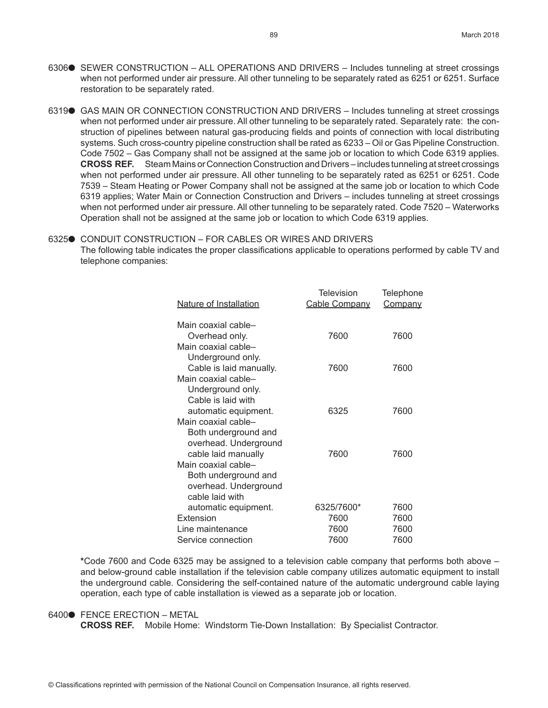- 6306<sup>o</sup> SEWER CONSTRUCTION ALL OPERATIONS AND DRIVERS Includes tunneling at street crossings when not performed under air pressure. All other tunneling to be separately rated as 6251 or 6251. Surface restoration to be separately rated.
- 6319<sup>o</sup> GAS MAIN OR CONNECTION CONSTRUCTION AND DRIVERS Includes tunneling at street crossings when not performed under air pressure. All other tunneling to be separately rated. Separately rate: the construction of pipelines between natural gas-producing fields and points of connection with local distributing systems. Such cross-country pipeline construction shall be rated as 6233 – Oil or Gas Pipeline Construction. Code 7502 – Gas Company shall not be assigned at the same job or location to which Code 6319 applies. **CROSS REF.** Steam Mains or Connection Construction and Drivers – includes tunneling at street crossings when not performed under air pressure. All other tunneling to be separately rated as 6251 or 6251. Code 7539 – Steam Heating or Power Company shall not be assigned at the same job or location to which Code 6319 applies; Water Main or Connection Construction and Drivers – includes tunneling at street crossings when not performed under air pressure. All other tunneling to be separately rated. Code 7520 – Waterworks Operation shall not be assigned at the same job or location to which Code 6319 applies.

# 6325● CONDUIT CONSTRUCTION – FOR CABLES OR WIRES AND DRIVERS The following table indicates the proper classifications applicable to operations performed by cable TV and telephone companies:

| Nature of Installation                      | Television<br>Cable Company | Telephone<br>Company |
|---------------------------------------------|-----------------------------|----------------------|
| Main coaxial cable-<br>Overhead only.       | 7600                        | 7600                 |
| Main coaxial cable-<br>Underground only.    |                             |                      |
| Cable is laid manually.                     | 7600                        | 7600                 |
| Main coaxial cable-<br>Underground only.    |                             |                      |
| Cable is laid with                          |                             |                      |
| automatic equipment.                        | 6325                        | 7600                 |
| Main coaxial cable-<br>Both underground and |                             |                      |
| overhead. Underground                       |                             |                      |
| cable laid manually                         | 7600                        | 7600                 |
| Main coaxial cable-                         |                             |                      |
| Both underground and                        |                             |                      |
| overhead. Underground<br>cable laid with    |                             |                      |
| automatic equipment.                        | 6325/7600*                  | 7600                 |
| Extension                                   | 7600                        | 7600                 |
| Line maintenance                            | 7600                        | 7600                 |
| Service connection                          | 7600                        | 7600                 |
|                                             |                             |                      |

**\***Code 7600 and Code 6325 may be assigned to a television cable company that performs both above – and below-ground cable installation if the television cable company utilizes automatic equipment to install the underground cable. Considering the self-contained nature of the automatic underground cable laying operation, each type of cable installation is viewed as a separate job or location.

#### 6400<sup>o</sup> FENCE ERECTION – METAL

**CROSS REF.** Mobile Home: Windstorm Tie-Down Installation: By Specialist Contractor.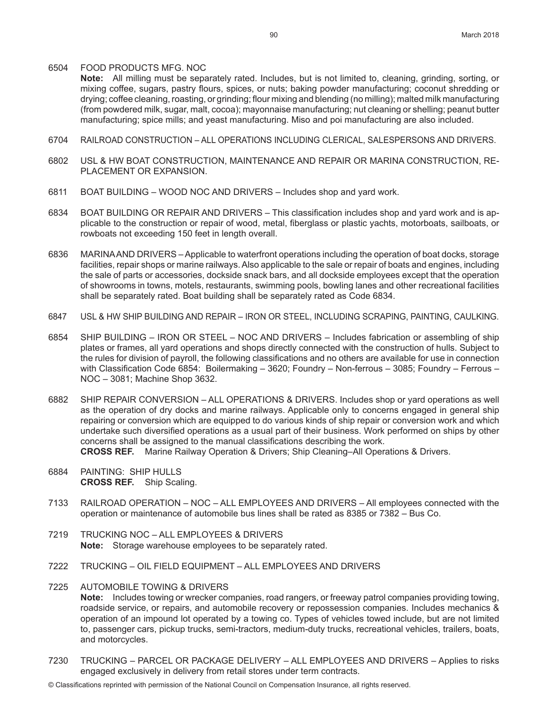#### 6504 FOOD PRODUCTS MFG. NOC

**Note:** All milling must be separately rated. Includes, but is not limited to, cleaning, grinding, sorting, or mixing coffee, sugars, pastry flours, spices, or nuts; baking powder manufacturing; coconut shredding or drying; coffee cleaning, roasting, or grinding; flour mixing and blending (no milling); malted milk manufacturing (from powdered milk, sugar, malt, cocoa); mayonnaise manufacturing; nut cleaning or shelling; peanut butter manufacturing; spice mills; and yeast manufacturing. Miso and poi manufacturing are also included.

- 6704 RAILROAD CONSTRUCTION ALL OPERATIONS INCLUDING CLERICAL, SALESPERSONS AND DRIVERS.
- 6802 USL & HW BOAT CONSTRUCTION, MAINTENANCE AND REPAIR OR MARINA CONSTRUCTION, RE-PLACEMENT OR EXPANSION.
- 6811 BOAT BUILDING WOOD NOC AND DRIVERS Includes shop and yard work.
- 6834 BOAT BUILDING OR REPAIR AND DRIVERS This classification includes shop and yard work and is applicable to the construction or repair of wood, metal, fiberglass or plastic yachts, motorboats, sailboats, or rowboats not exceeding 150 feet in length overall.
- 6836 MARINA AND DRIVERS Applicable to waterfront operations including the operation of boat docks, storage facilities, repair shops or marine railways. Also applicable to the sale or repair of boats and engines, including the sale of parts or accessories, dockside snack bars, and all dockside employees except that the operation of showrooms in towns, motels, restaurants, swimming pools, bowling lanes and other recreational facilities shall be separately rated. Boat building shall be separately rated as Code 6834.
- 6847 USL & HW SHIP BUILDING AND REPAIR IRON OR STEEL, INCLUDING SCRAPING, PAINTING, CAULKING.
- 6854 SHIP BUILDING IRON OR STEEL NOC AND DRIVERS Includes fabrication or assembling of ship plates or frames, all yard operations and shops directly connected with the construction of hulls. Subject to the rules for division of payroll, the following classifications and no others are available for use in connection with Classification Code 6854: Boilermaking – 3620; Foundry – Non-ferrous – 3085; Foundry – Ferrous – NOC – 3081; Machine Shop 3632.
- 6882 SHIP REPAIR CONVERSION ALL OPERATIONS & DRIVERS. Includes shop or yard operations as well as the operation of dry docks and marine railways. Applicable only to concerns engaged in general ship repairing or conversion which are equipped to do various kinds of ship repair or conversion work and which undertake such diversified operations as a usual part of their business. Work performed on ships by other concerns shall be assigned to the manual classifications describing the work. **CROSS REF.** Marine Railway Operation & Drivers; Ship Cleaning–All Operations & Drivers.
	-
- 6884 PAINTING: SHIP HULLS **CROSS REF.** Ship Scaling.
- 7133 RAILROAD OPERATION NOC ALL EMPLOYEES AND DRIVERS All employees connected with the operation or maintenance of automobile bus lines shall be rated as 8385 or 7382 – Bus Co.
- 7219 TRUCKING NOC ALL EMPLOYEES & DRIVERS **Note:** Storage warehouse employees to be separately rated.
- 7222 TRUCKING OIL FIELD EQUIPMENT ALL EMPLOYEES AND DRIVERS
- 7225 AUTOMOBILE TOWING & DRIVERS

**Note:** Includes towing or wrecker companies, road rangers, or freeway patrol companies providing towing, roadside service, or repairs, and automobile recovery or repossession companies. Includes mechanics & operation of an impound lot operated by a towing co. Types of vehicles towed include, but are not limited to, passenger cars, pickup trucks, semi-tractors, medium-duty trucks, recreational vehicles, trailers, boats, and motorcycles.

- 7230 TRUCKING PARCEL OR PACKAGE DELIVERY ALL EMPLOYEES AND DRIVERS Applies to risks engaged exclusively in delivery from retail stores under term contracts.
- © Classifications reprinted with permission of the National Council on Compensation Insurance, all rights reserved.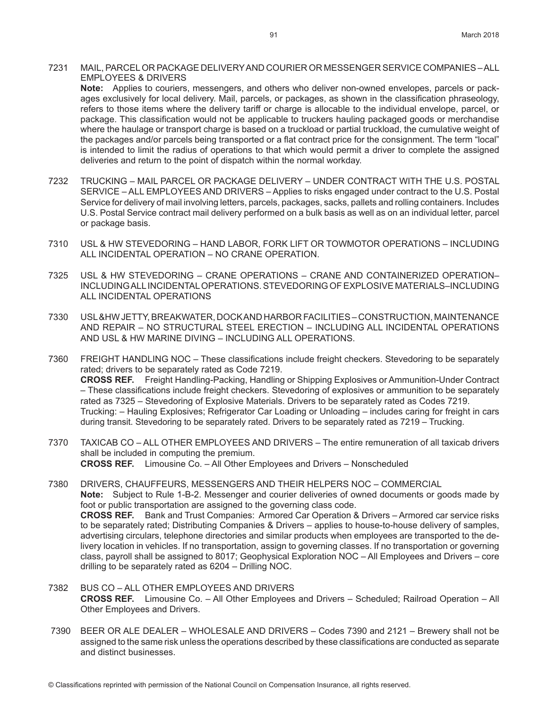7231 MAIL, PARCEL OR PACKAGE DELIVERY AND COURIER OR MESSENGER SERVICE COMPANIES – ALL EMPLOYEES & DRIVERS

**Note:** Applies to couriers, messengers, and others who deliver non-owned envelopes, parcels or packages exclusively for local delivery. Mail, parcels, or packages, as shown in the classification phraseology, refers to those items where the delivery tariff or charge is allocable to the individual envelope, parcel, or package. This classification would not be applicable to truckers hauling packaged goods or merchandise where the haulage or transport charge is based on a truckload or partial truckload, the cumulative weight of the packages and/or parcels being transported or a flat contract price for the consignment. The term "local" is intended to limit the radius of operations to that which would permit a driver to complete the assigned deliveries and return to the point of dispatch within the normal workday.

- 7232 TRUCKING MAIL PARCEL OR PACKAGE DELIVERY UNDER CONTRACT WITH THE U.S. POSTAL SERVICE – ALL EMPLOYEES AND DRIVERS – Applies to risks engaged under contract to the U.S. Postal Service for delivery of mail involving letters, parcels, packages, sacks, pallets and rolling containers. Includes U.S. Postal Service contract mail delivery performed on a bulk basis as well as on an individual letter, parcel or package basis.
- 7310 USL & HW STEVEDORING HAND LABOR, FORK LIFT OR TOWMOTOR OPERATIONS INCLUDING ALL INCIDENTAL OPERATION – NO CRANE OPERATION.
- 7325 USL & HW STEVEDORING CRANE OPERATIONS CRANE AND CONTAINERIZED OPERATION– INCLUDING ALL INCIDENTAL OPERATIONS. STEVEDORING OF EXPLOSIVE MATERIALS–INCLUDING ALL INCIDENTAL OPERATIONS
- 7330 USL &HW JETTY, BREAKWATER, DOCK AND HARBOR FACILITIES CONSTRUCTION, MAINTENANCE AND REPAIR – NO STRUCTURAL STEEL ERECTION – INCLUDING ALL INCIDENTAL OPERATIONS AND USL & HW MARINE DIVING – INCLUDING ALL OPERATIONS.
- 7360 FREIGHT HANDLING NOC These classifications include freight checkers. Stevedoring to be separately rated; drivers to be separately rated as Code 7219. **CROSS REF.** Freight Handling-Packing, Handling or Shipping Explosives or Ammunition-Under Contract – These classifications include freight checkers. Stevedoring of explosives or ammunition to be separately rated as 7325 – Stevedoring of Explosive Materials. Drivers to be separately rated as Codes 7219. Trucking: – Hauling Explosives; Refrigerator Car Loading or Unloading – includes caring for freight in cars during transit. Stevedoring to be separately rated. Drivers to be separately rated as 7219 – Trucking.
- 7370 TAXICAB CO ALL OTHER EMPLOYEES AND DRIVERS The entire remuneration of all taxicab drivers shall be included in computing the premium. **CROSS REF.** Limousine Co. – All Other Employees and Drivers – Nonscheduled
- 7380 DRIVERS, CHAUFFEURS, MESSENGERS AND THEIR HELPERS NOC COMMERCIAL **Note:** Subject to Rule 1-B-2. Messenger and courier deliveries of owned documents or goods made by foot or public transportation are assigned to the governing class code. **CROSS REF.** Bank and Trust Companies: Armored Car Operation & Drivers – Armored car service risks to be separately rated; Distributing Companies & Drivers – applies to house-to-house delivery of samples, advertising circulars, telephone directories and similar products when employees are transported to the delivery location in vehicles. If no transportation, assign to governing classes. If no transportation or governing class, payroll shall be assigned to 8017; Geophysical Exploration NOC – All Employees and Drivers – core drilling to be separately rated as 6204 – Drilling NOC.
- 7382 BUS CO ALL OTHER EMPLOYEES AND DRIVERS **CROSS REF.** Limousine Co. – All Other Employees and Drivers – Scheduled; Railroad Operation – All Other Employees and Drivers.
- 7390 BEER OR ALE DEALER WHOLESALE AND DRIVERS Codes 7390 and 2121 Brewery shall not be assigned to the same risk unless the operations described by these classifications are conducted as separate and distinct businesses.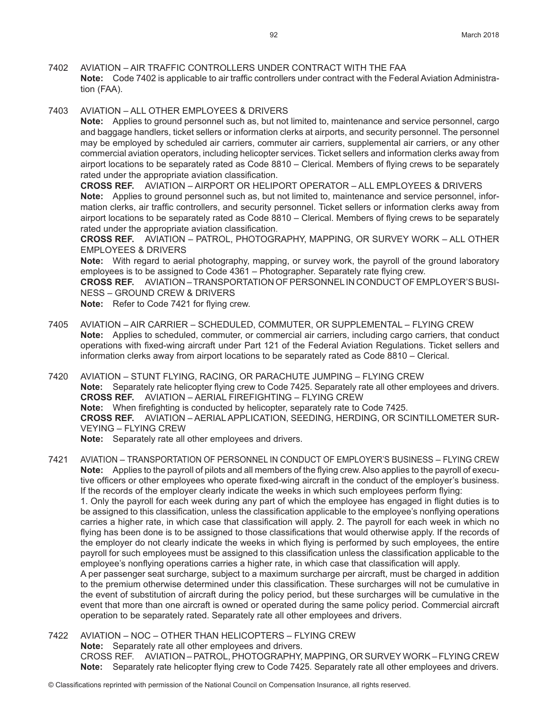7402 AVIATION – AIR TRAFFIC CONTROLLERS UNDER CONTRACT WITH THE FAA **Note:** Code 7402 is applicable to air traffic controllers under contract with the Federal Aviation Administration (FAA).

7403 AVIATION – ALL OTHER EMPLOYEES & DRIVERS

**Note:** Applies to ground personnel such as, but not limited to, maintenance and service personnel, cargo and baggage handlers, ticket sellers or information clerks at airports, and security personnel. The personnel may be employed by scheduled air carriers, commuter air carriers, supplemental air carriers, or any other commercial aviation operators, including helicopter services. Ticket sellers and information clerks away from airport locations to be separately rated as Code 8810 – Clerical. Members of flying crews to be separately rated under the appropriate aviation classification.

**CROSS REF.** AVIATION – AIRPORT OR HELIPORT OPERATOR – ALL EMPLOYEES & DRIVERS **Note:** Applies to ground personnel such as, but not limited to, maintenance and service personnel, information clerks, air traffic controllers, and security personnel. Ticket sellers or information clerks away from airport locations to be separately rated as Code 8810 – Clerical. Members of flying crews to be separately rated under the appropriate aviation classification.

**CROSS REF.** AVIATION – PATROL, PHOTOGRAPHY, MAPPING, OR SURVEY WORK – ALL OTHER EMPLOYEES & DRIVERS

**Note:** With regard to aerial photography, mapping, or survey work, the payroll of the ground laboratory employees is to be assigned to Code 4361 – Photographer. Separately rate flying crew.

**CROSS REF.** AVIATION – TRANSPORTATION OF PERSONNEL IN CONDUCT OF EMPLOYER'S BUSI-NESS – GROUND CREW & DRIVERS

**Note:** Refer to Code 7421 for flying crew.

- 7405 AVIATION AIR CARRIER SCHEDULED, COMMUTER, OR SUPPLEMENTAL FLYING CREW **Note:** Applies to scheduled, commuter, or commercial air carriers, including cargo carriers, that conduct operations with fixed-wing aircraft under Part 121 of the Federal Aviation Regulations. Ticket sellers and information clerks away from airport locations to be separately rated as Code 8810 – Clerical.
- 7420 AVIATION STUNT FLYING, RACING, OR PARACHUTE JUMPING FLYING CREW **Note:** Separately rate helicopter flying crew to Code 7425. Separately rate all other employees and drivers. **CROSS REF.** AVIATION – AERIAL FIREFIGHTING – FLYING CREW **Note:** When firefighting is conducted by helicopter, separately rate to Code 7425. **CROSS REF.** AVIATION – AERIAL APPLICATION, SEEDING, HERDING, OR SCINTILLOMETER SUR-VEYING – FLYING CREW **Note:** Separately rate all other employees and drivers.
- 7421 AVIATION TRANSPORTATION OF PERSONNEL IN CONDUCT OF EMPLOYER'S BUSINESS FLYING CREW **Note:** Applies to the payroll of pilots and all members of the flying crew. Also applies to the payroll of executive officers or other employees who operate fixed-wing aircraft in the conduct of the employer's business. If the records of the employer clearly indicate the weeks in which such employees perform flying: 1. Only the payroll for each week during any part of which the employee has engaged in flight duties is to be assigned to this classification, unless the classification applicable to the employee's nonflying operations carries a higher rate, in which case that classification will apply. 2. The payroll for each week in which no flying has been done is to be assigned to those classifications that would otherwise apply. If the records of the employer do not clearly indicate the weeks in which flying is performed by such employees, the entire payroll for such employees must be assigned to this classification unless the classification applicable to the employee's nonflying operations carries a higher rate, in which case that classification will apply. A per passenger seat surcharge, subject to a maximum surcharge per aircraft, must be charged in addition to the premium otherwise determined under this classification. These surcharges will not be cumulative in the event of substitution of aircraft during the policy period, but these surcharges will be cumulative in the event that more than one aircraft is owned or operated during the same policy period. Commercial aircraft operation to be separately rated. Separately rate all other employees and drivers.
- 7422 AVIATION NOC OTHER THAN HELICOPTERS FLYING CREW **Note:** Separately rate all other employees and drivers. CROSS REF. AVIATION – PATROL, PHOTOGRAPHY, MAPPING, OR SURVEY WORK – FLYING CREW **Note:** Separately rate helicopter flying crew to Code 7425. Separately rate all other employees and drivers.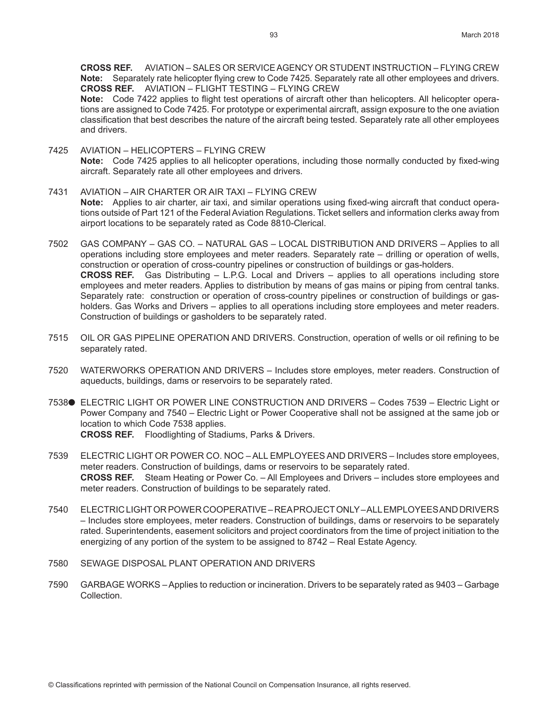**CROSS REF.** AVIATION – SALES OR SERVICE AGENCY OR STUDENT INSTRUCTION – FLYING CREW **Note:** Separately rate helicopter flying crew to Code 7425. Separately rate all other employees and drivers. **CROSS REF.** AVIATION – FLIGHT TESTING – FLYING CREW

**Note:** Code 7422 applies to flight test operations of aircraft other than helicopters. All helicopter operations are assigned to Code 7425. For prototype or experimental aircraft, assign exposure to the one aviation classification that best describes the nature of the aircraft being tested. Separately rate all other employees and drivers.

- 7425 AVIATION HELICOPTERS FLYING CREW **Note:** Code 7425 applies to all helicopter operations, including those normally conducted by fixed-wing aircraft. Separately rate all other employees and drivers.
- 7431 AVIATION AIR CHARTER OR AIR TAXI FLYING CREW **Note:** Applies to air charter, air taxi, and similar operations using fixed-wing aircraft that conduct operations outside of Part 121 of the Federal Aviation Regulations. Ticket sellers and information clerks away from airport locations to be separately rated as Code 8810-Clerical.
- 7502 GAS COMPANY GAS CO. NATURAL GAS LOCAL DISTRIBUTION AND DRIVERS Applies to all operations including store employees and meter readers. Separately rate – drilling or operation of wells, construction or operation of cross-country pipelines or construction of buildings or gas-holders. **CROSS REF.** Gas Distributing – L.P.G. Local and Drivers – applies to all operations including store employees and meter readers. Applies to distribution by means of gas mains or piping from central tanks. Separately rate: construction or operation of cross-country pipelines or construction of buildings or gasholders. Gas Works and Drivers – applies to all operations including store employees and meter readers. Construction of buildings or gasholders to be separately rated.
- 7515 OIL OR GAS PIPELINE OPERATION AND DRIVERS. Construction, operation of wells or oil refining to be separately rated.
- 7520 WATERWORKS OPERATION AND DRIVERS Includes store employes, meter readers. Construction of aqueducts, buildings, dams or reservoirs to be separately rated.
- 7538● ELECTRIC LIGHT OR POWER LINE CONSTRUCTION AND DRIVERS Codes 7539 Electric Light or Power Company and 7540 – Electric Light or Power Cooperative shall not be assigned at the same job or location to which Code 7538 applies. **CROSS REF.** Floodlighting of Stadiums, Parks & Drivers.
- 7539 ELECTRIC LIGHT OR POWER CO. NOC ALL EMPLOYEES AND DRIVERS Includes store employees, meter readers. Construction of buildings, dams or reservoirs to be separately rated. **CROSS REF.** Steam Heating or Power Co. – All Employees and Drivers – includes store employees and meter readers. Construction of buildings to be separately rated.
- 7540 ELECTRIC LIGHT OR POWER COOPERATIVE REA PROJECT ONLY ALL EMPLOYEES AND DRIVERS – Includes store employees, meter readers. Construction of buildings, dams or reservoirs to be separately rated. Superintendents, easement solicitors and project coordinators from the time of project initiation to the energizing of any portion of the system to be assigned to 8742 – Real Estate Agency.
- 7580 SEWAGE DISPOSAL PLANT OPERATION AND DRIVERS
- 7590 GARBAGE WORKS Applies to reduction or incineration. Drivers to be separately rated as 9403 Garbage Collection.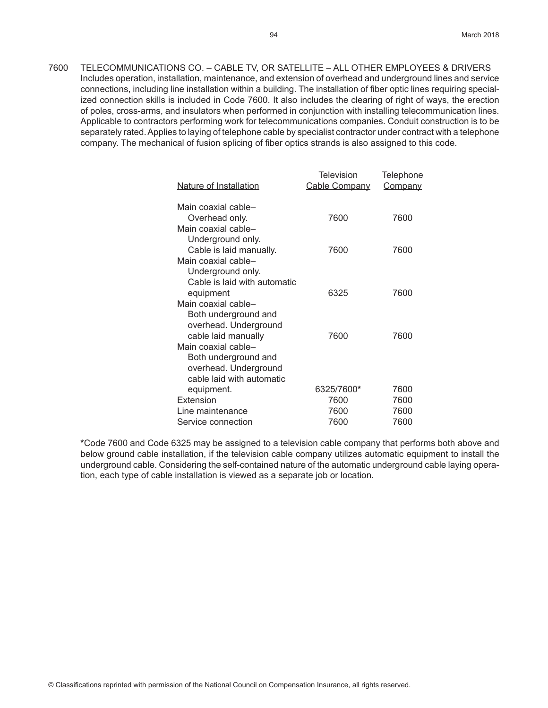7600 TELECOMMUNICATIONS CO. – CABLE TV, OR SATELLITE – ALL OTHER EMPLOYEES & DRIVERS Includes operation, installation, maintenance, and extension of overhead and underground lines and service connections, including line installation within a building. The installation of fiber optic lines requiring specialized connection skills is included in Code 7600. It also includes the clearing of right of ways, the erection of poles, cross-arms, and insulators when performed in conjunction with installing telecommunication lines. Applicable to contractors performing work for telecommunications companies. Conduit construction is to be separately rated. Applies to laying of telephone cable by specialist contractor under contract with a telephone company. The mechanical of fusion splicing of fiber optics strands is also assigned to this code.

| Nature of Installation                            | Television<br>Cable Company | Telephone<br><b>Company</b> |
|---------------------------------------------------|-----------------------------|-----------------------------|
| Main coaxial cable-<br>Overhead only.             | 7600                        | 7600                        |
| Main coaxial cable-                               |                             |                             |
| Underground only.<br>Cable is laid manually.      | 7600                        | 7600                        |
| Main coaxial cable-                               |                             |                             |
| Underground only.<br>Cable is laid with automatic |                             |                             |
| equipment                                         | 6325                        | 7600                        |
| Main coaxial cable-                               |                             |                             |
| Both underground and<br>overhead. Underground     |                             |                             |
| cable laid manually                               | 7600                        | 7600                        |
| Main coaxial cable-                               |                             |                             |
| Both underground and<br>overhead. Underground     |                             |                             |
| cable laid with automatic                         |                             |                             |
| equipment.                                        | 6325/7600*                  | 7600                        |
| Extension                                         | 7600                        | 7600                        |
| Line maintenance                                  | 7600                        | 7600                        |
| Service connection                                | 7600                        | 7600                        |

**\***Code 7600 and Code 6325 may be assigned to a television cable company that performs both above and below ground cable installation, if the television cable company utilizes automatic equipment to install the underground cable. Considering the self-contained nature of the automatic underground cable laying operation, each type of cable installation is viewed as a separate job or location.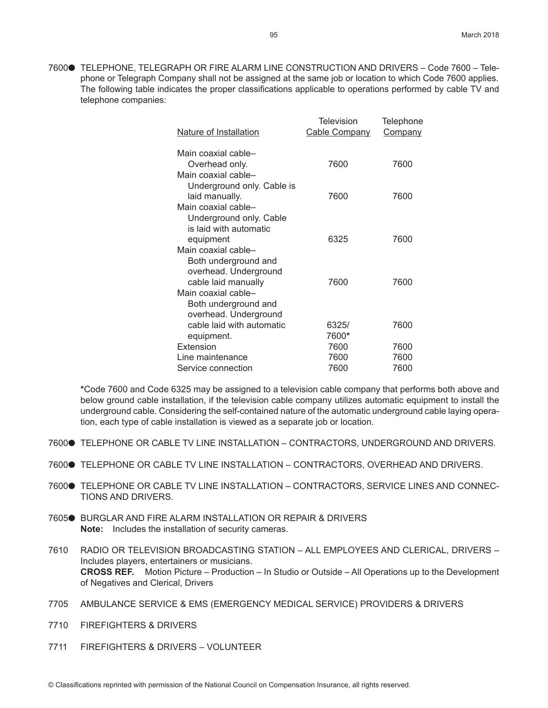7600● TELEPHONE, TELEGRAPH OR FIRE ALARM LINE CONSTRUCTION AND DRIVERS - Code 7600 - Telephone or Telegraph Company shall not be assigned at the same job or location to which Code 7600 applies. The following table indicates the proper classifications applicable to operations performed by cable TV and telephone companies:

| Nature of Installation                                                   | <b>Television</b><br>Cable Company | Telephone<br><b>Company</b> |
|--------------------------------------------------------------------------|------------------------------------|-----------------------------|
| Main coaxial cable-<br>Overhead only.                                    | 7600                               | 7600                        |
| Main coaxial cable-<br>Underground only. Cable is<br>laid manually.      | 7600                               | 7600                        |
| Main coaxial cable-<br>Underground only. Cable<br>is laid with automatic | 6325                               | 7600                        |
| equipment<br>Main coaxial cable-                                         |                                    |                             |
| Both underground and<br>overhead. Underground<br>cable laid manually     | 7600                               | 7600                        |
| Main coaxial cable-<br>Both underground and<br>overhead. Underground     |                                    |                             |
| cable laid with automatic                                                | 6325/                              | 7600                        |
| equipment.                                                               | 7600*                              |                             |
| Extension                                                                | 7600                               | 7600                        |
| Line maintenance                                                         | 7600                               | 7600                        |
| Service connection                                                       | 7600                               | 7600                        |

**\***Code 7600 and Code 6325 may be assigned to a television cable company that performs both above and below ground cable installation, if the television cable company utilizes automatic equipment to install the underground cable. Considering the self-contained nature of the automatic underground cable laying operation, each type of cable installation is viewed as a separate job or location.

- 7600 TELEPHONE OR CABLE TV LINE INSTALLATION CONTRACTORS, UNDERGROUND AND DRIVERS.
- 7600● TELEPHONE OR CABLE TV LINE INSTALLATION CONTRACTORS, OVERHEAD AND DRIVERS.
- 7600 TELEPHONE OR CABLE TV LINE INSTALLATION CONTRACTORS, SERVICE LINES AND CONNEC-TIONS AND DRIVERS.
- 7605<sup>O</sup> BURGLAR AND FIRE ALARM INSTALLATION OR REPAIR & DRIVERS **Note:** Includes the installation of security cameras.
- 7610 RADIO OR TELEVISION BROADCASTING STATION ALL EMPLOYEES AND CLERICAL, DRIVERS Includes players, entertainers or musicians. **CROSS REF.** Motion Picture – Production – In Studio or Outside – All Operations up to the Development of Negatives and Clerical, Drivers
- 7705 AMBULANCE SERVICE & EMS (EMERGENCY MEDICAL SERVICE) PROVIDERS & DRIVERS
- 7710 FIREFIGHTERS & DRIVERS
- 7711 FIREFIGHTERS & DRIVERS VOLUNTEER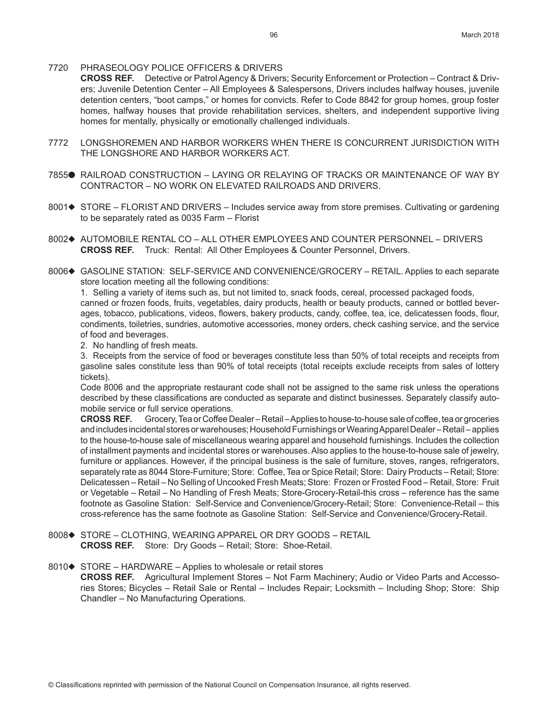#### 7720 PHRASEOLOGY POLICE OFFICERS & DRIVERS

**CROSS REF.** Detective or Patrol Agency & Drivers; Security Enforcement or Protection – Contract & Drivers; Juvenile Detention Center – All Employees & Salespersons, Drivers includes halfway houses, juvenile detention centers, "boot camps," or homes for convicts. Refer to Code 8842 for group homes, group foster homes, halfway houses that provide rehabilitation services, shelters, and independent supportive living homes for mentally, physically or emotionally challenged individuals.

- 7772 LONGSHOREMEN AND HARBOR WORKERS WHEN THERE IS CONCURRENT JURISDICTION WITH THE LONGSHORE AND HARBOR WORKERS ACT.
- 7855<sup>o</sup> RAILROAD CONSTRUCTION LAYING OR RELAYING OF TRACKS OR MAINTENANCE OF WAY BY CONTRACTOR – NO WORK ON ELEVATED RAILROADS AND DRIVERS.
- 8001♦ STORE FLORIST AND DRIVERS Includes service away from store premises. Cultivating or gardening to be separately rated as 0035 Farm – Florist
- 8002◆ AUTOMOBILE RENTAL CO ALL OTHER EMPLOYEES AND COUNTER PERSONNEL DRIVERS **CROSS REF.** Truck: Rental: All Other Employees & Counter Personnel, Drivers.
- 8006 $\blacklozenge$  GASOLINE STATION: SELF-SERVICE AND CONVENIENCE/GROCERY RETAIL. Applies to each separate store location meeting all the following conditions:

1. Selling a variety of items such as, but not limited to, snack foods, cereal, processed packaged foods, canned or frozen foods, fruits, vegetables, dairy products, health or beauty products, canned or bottled beverages, tobacco, publications, videos, flowers, bakery products, candy, coffee, tea, ice, delicatessen foods, flour, condiments, toiletries, sundries, automotive accessories, money orders, check cashing service, and the service of food and beverages.

2. No handling of fresh meats.

3. Receipts from the service of food or beverages constitute less than 50% of total receipts and receipts from gasoline sales constitute less than 90% of total receipts (total receipts exclude receipts from sales of lottery tickets).

Code 8006 and the appropriate restaurant code shall not be assigned to the same risk unless the operations described by these classifications are conducted as separate and distinct businesses. Separately classify automobile service or full service operations.

**CROSS REF.** Grocery, Tea or Coffee Dealer – Retail – Applies to house-to-house sale of coffee, tea or groceries and includes incidental stores or warehouses; Household Furnishings or Wearing Apparel Dealer – Retail – applies to the house-to-house sale of miscellaneous wearing apparel and household furnishings. Includes the collection of installment payments and incidental stores or warehouses. Also applies to the house-to-house sale of jewelry, furniture or appliances. However, if the principal business is the sale of furniture, stoves, ranges, refrigerators, separately rate as 8044 Store-Furniture; Store: Coffee, Tea or Spice Retail; Store: Dairy Products – Retail; Store: Delicatessen – Retail – No Selling of Uncooked Fresh Meats; Store: Frozen or Frosted Food – Retail, Store: Fruit or Vegetable – Retail – No Handling of Fresh Meats; Store-Grocery-Retail-this cross – reference has the same footnote as Gasoline Station: Self-Service and Convenience/Grocery-Retail; Store: Convenience-Retail – this cross-reference has the same footnote as Gasoline Station: Self-Service and Convenience/Grocery-Retail.

8008◆ STORE – CLOTHING, WEARING APPAREL OR DRY GOODS – RETAIL **CROSS REF.** Store: Dry Goods – Retail; Store: Shoe-Retail.

8010 $\blacklozenge$  STORE – HARDWARE – Applies to wholesale or retail stores

**CROSS REF.** Agricultural Implement Stores – Not Farm Machinery; Audio or Video Parts and Accessories Stores; Bicycles – Retail Sale or Rental – Includes Repair; Locksmith – Including Shop; Store: Ship Chandler – No Manufacturing Operations.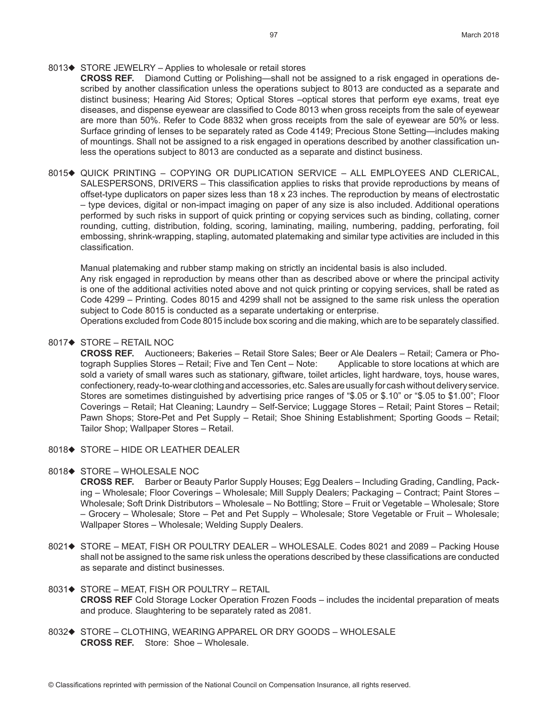#### 8013 $\blacklozenge$  STORE JEWELRY – Applies to wholesale or retail stores

- **CROSS REF.** Diamond Cutting or Polishing—shall not be assigned to a risk engaged in operations described by another classification unless the operations subject to 8013 are conducted as a separate and distinct business; Hearing Aid Stores; Optical Stores –optical stores that perform eye exams, treat eye diseases, and dispense eyewear are classified to Code 8013 when gross receipts from the sale of eyewear are more than 50%. Refer to Code 8832 when gross receipts from the sale of eyewear are 50% or less. Surface grinding of lenses to be separately rated as Code 4149; Precious Stone Setting—includes making of mountings. Shall not be assigned to a risk engaged in operations described by another classification unless the operations subject to 8013 are conducted as a separate and distinct business.
- 8015 $\blacklozenge$  QUICK PRINTING COPYING OR DUPLICATION SERVICE ALL EMPLOYEES AND CLERICAL, SALESPERSONS, DRIVERS – This classification applies to risks that provide reproductions by means of offset-type duplicators on paper sizes less than 18 x 23 inches. The reproduction by means of electrostatic – type devices, digital or non-impact imaging on paper of any size is also included. Additional operations performed by such risks in support of quick printing or copying services such as binding, collating, corner rounding, cutting, distribution, folding, scoring, laminating, mailing, numbering, padding, perforating, foil embossing, shrink-wrapping, stapling, automated platemaking and similar type activities are included in this classification.

Manual platemaking and rubber stamp making on strictly an incidental basis is also included. Any risk engaged in reproduction by means other than as described above or where the principal activity is one of the additional activities noted above and not quick printing or copying services, shall be rated as Code 4299 – Printing. Codes 8015 and 4299 shall not be assigned to the same risk unless the operation subject to Code 8015 is conducted as a separate undertaking or enterprise.

Operations excluded from Code 8015 include box scoring and die making, which are to be separately classified.

# 8017 $\blacklozenge$  STORE – RETAIL NOC

**CROSS REF.** Auctioneers; Bakeries – Retail Store Sales; Beer or Ale Dealers – Retail; Camera or Photograph Supplies Stores – Retail; Five and Ten Cent – Note: Applicable to store locations at which are sold a variety of small wares such as stationary, giftware, toilet articles, light hardware, toys, house wares, confectionery, ready-to-wear clothing and accessories, etc. Sales are usually for cash without delivery service. Stores are sometimes distinguished by advertising price ranges of "\$.05 or \$.10" or "\$.05 to \$1.00"; Floor Coverings – Retail; Hat Cleaning; Laundry – Self-Service; Luggage Stores – Retail; Paint Stores – Retail; Pawn Shops; Store-Pet and Pet Supply – Retail; Shoe Shining Establishment; Sporting Goods – Retail; Tailor Shop; Wallpaper Stores – Retail.

8018 $\blacklozenge$  STORE – HIDE OR LEATHER DEALER

#### 8018♦ STORE – WHOLESALE NOC

**CROSS REF.** Barber or Beauty Parlor Supply Houses; Egg Dealers – Including Grading, Candling, Packing – Wholesale; Floor Coverings – Wholesale; Mill Supply Dealers; Packaging – Contract; Paint Stores – Wholesale; Soft Drink Distributors – Wholesale – No Bottling; Store – Fruit or Vegetable – Wholesale; Store – Grocery – Wholesale; Store – Pet and Pet Supply – Wholesale; Store Vegetable or Fruit – Wholesale; Wallpaper Stores – Wholesale; Welding Supply Dealers.

- 8021♦ STORE MEAT, FISH OR POULTRY DEALER WHOLESALE. Codes 8021 and 2089 Packing House shall not be assigned to the same risk unless the operations described by these classifications are conducted as separate and distinct businesses.
- 8031 $\blacklozenge$  STORE MEAT, FISH OR POULTRY RETAIL **CROSS REF** Cold Storage Locker Operation Frozen Foods – includes the incidental preparation of meats and produce. Slaughtering to be separately rated as 2081.
- 8032◆ STORE CLOTHING, WEARING APPAREL OR DRY GOODS WHOLESALE **CROSS REF.** Store: Shoe – Wholesale.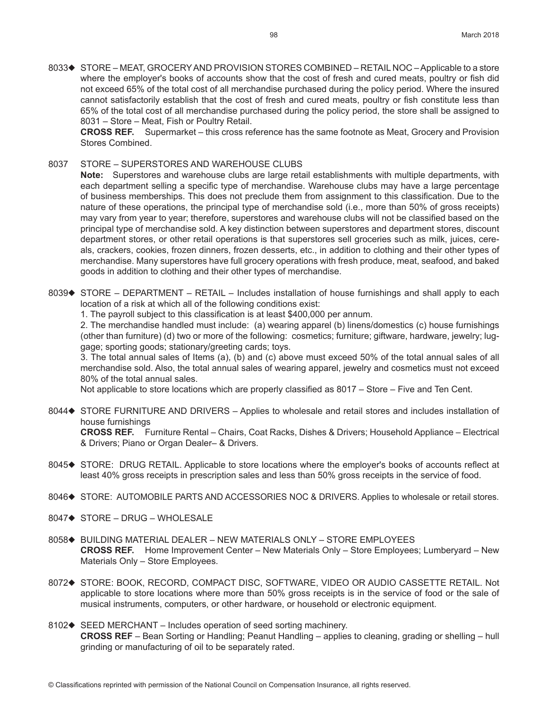8033◆ STORE – MEAT, GROCERY AND PROVISION STORES COMBINED – RETAIL NOC – Applicable to a store where the employer's books of accounts show that the cost of fresh and cured meats, poultry or fish did not exceed 65% of the total cost of all merchandise purchased during the policy period. Where the insured cannot satisfactorily establish that the cost of fresh and cured meats, poultry or fish constitute less than 65% of the total cost of all merchandise purchased during the policy period, the store shall be assigned to 8031 – Store – Meat, Fish or Poultry Retail.

**CROSS REF.** Supermarket – this cross reference has the same footnote as Meat, Grocery and Provision Stores Combined.

8037 STORE – SUPERSTORES AND WAREHOUSE CLUBS

**Note:** Superstores and warehouse clubs are large retail establishments with multiple departments, with each department selling a specific type of merchandise. Warehouse clubs may have a large percentage of business memberships. This does not preclude them from assignment to this classification. Due to the nature of these operations, the principal type of merchandise sold (i.e., more than 50% of gross receipts) may vary from year to year; therefore, superstores and warehouse clubs will not be classified based on the principal type of merchandise sold. A key distinction between superstores and department stores, discount department stores, or other retail operations is that superstores sell groceries such as milk, juices, cereals, crackers, cookies, frozen dinners, frozen desserts, etc., in addition to clothing and their other types of merchandise. Many superstores have full grocery operations with fresh produce, meat, seafood, and baked goods in addition to clothing and their other types of merchandise.

8039 STORE – DEPARTMENT – RETAIL – Includes installation of house furnishings and shall apply to each location of a risk at which all of the following conditions exist:

1. The payroll subject to this classification is at least \$400,000 per annum.

2. The merchandise handled must include: (a) wearing apparel (b) linens/domestics (c) house furnishings (other than furniture) (d) two or more of the following: cosmetics; furniture; giftware, hardware, jewelry; luggage; sporting goods; stationary/greeting cards; toys.

3. The total annual sales of Items (a), (b) and (c) above must exceed 50% of the total annual sales of all merchandise sold. Also, the total annual sales of wearing apparel, jewelry and cosmetics must not exceed 80% of the total annual sales.

Not applicable to store locations which are properly classified as 8017 – Store – Five and Ten Cent.

- 8044 STORE FURNITURE AND DRIVERS Applies to wholesale and retail stores and includes installation of house furnishings **CROSS REF.** Furniture Rental – Chairs, Coat Racks, Dishes & Drivers; Household Appliance – Electrical & Drivers; Piano or Organ Dealer– & Drivers.
- 8045 $\blacklozenge$  STORE: DRUG RETAIL. Applicable to store locations where the employer's books of accounts reflect at least 40% gross receipts in prescription sales and less than 50% gross receipts in the service of food.
- 8046 STORE: AUTOMOBILE PARTS AND ACCESSORIES NOC & DRIVERS. Applies to wholesale or retail stores.
- $8047 \rightarrow$  STORE DRUG WHOLESALE
- 8058◆ BUILDING MATERIAL DEALER NEW MATERIALS ONLY STORE EMPLOYEES **CROSS REF.** Home Improvement Center – New Materials Only – Store Employees; Lumberyard – New Materials Only – Store Employees.
- 8072 $\blacklozenge$  STORE: BOOK, RECORD, COMPACT DISC, SOFTWARE, VIDEO OR AUDIO CASSETTE RETAIL. Not applicable to store locations where more than 50% gross receipts is in the service of food or the sale of musical instruments, computers, or other hardware, or household or electronic equipment.
- 8102 $\blacklozenge$  SEED MERCHANT Includes operation of seed sorting machinery. **CROSS REF** – Bean Sorting or Handling; Peanut Handling – applies to cleaning, grading or shelling – hull grinding or manufacturing of oil to be separately rated.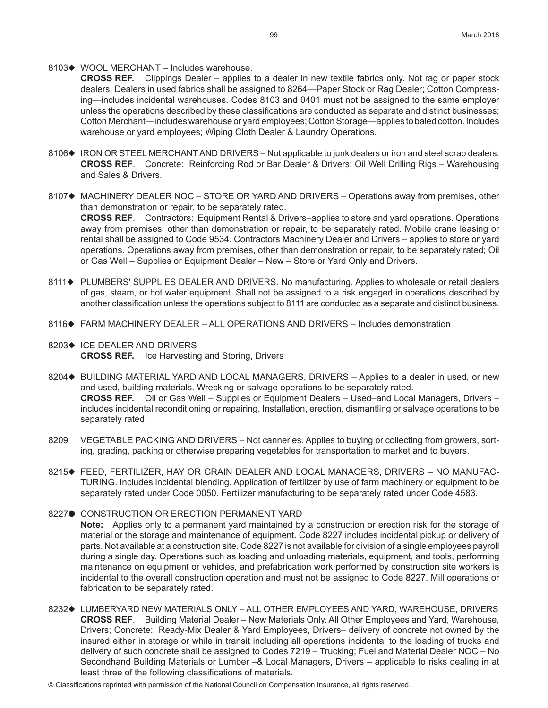#### 8103 $\blacklozenge$  WOOL MERCHANT – Includes warehouse.

**CROSS REF.** Clippings Dealer – applies to a dealer in new textile fabrics only. Not rag or paper stock dealers. Dealers in used fabrics shall be assigned to 8264—Paper Stock or Rag Dealer; Cotton Compressing—includes incidental warehouses. Codes 8103 and 0401 must not be assigned to the same employer unless the operations described by these classifications are conducted as separate and distinct businesses; Cotton Merchant—includes warehouse or yard employees; Cotton Storage—applies to baled cotton. Includes warehouse or yard employees; Wiping Cloth Dealer & Laundry Operations.

- 8106 IRON OR STEEL MERCHANT AND DRIVERS Not applicable to junk dealers or iron and steel scrap dealers. **CROSS REF**. Concrete: Reinforcing Rod or Bar Dealer & Drivers; Oil Well Drilling Rigs – Warehousing and Sales & Drivers.
- 8107 $\blacklozenge$  MACHINERY DEALER NOC STORE OR YARD AND DRIVERS Operations away from premises, other than demonstration or repair, to be separately rated. **CROSS REF**. Contractors: Equipment Rental & Drivers–applies to store and yard operations. Operations away from premises, other than demonstration or repair, to be separately rated. Mobile crane leasing or rental shall be assigned to Code 9534. Contractors Machinery Dealer and Drivers – applies to store or yard operations. Operations away from premises, other than demonstration or repair, to be separately rated; Oil or Gas Well – Supplies or Equipment Dealer – New – Store or Yard Only and Drivers.
- 8111 $\blacklozenge$  PLUMBERS' SUPPLIES DEALER AND DRIVERS. No manufacturing. Applies to wholesale or retail dealers of gas, steam, or hot water equipment. Shall not be assigned to a risk engaged in operations described by another classification unless the operations subject to 8111 are conducted as a separate and distinct business.
- 8116♦ FARM MACHINERY DEALER ALL OPERATIONS AND DRIVERS Includes demonstration
- 8203♦ ICE DEALER AND DRIVERS **CROSS REF.** Ice Harvesting and Storing, Drivers
- 8204♦ BUILDING MATERIAL YARD AND LOCAL MANAGERS, DRIVERS Applies to a dealer in used, or new and used, building materials. Wrecking or salvage operations to be separately rated. **CROSS REF.** Oil or Gas Well – Supplies or Equipment Dealers – Used–and Local Managers, Drivers – includes incidental reconditioning or repairing. Installation, erection, dismantling or salvage operations to be separately rated.
- 8209 VEGETABLE PACKING AND DRIVERS Not canneries. Applies to buying or collecting from growers, sorting, grading, packing or otherwise preparing vegetables for transportation to market and to buyers.
- 8215◆ FEED, FERTILIZER, HAY OR GRAIN DEALER AND LOCAL MANAGERS, DRIVERS NO MANUFAC-TURING. Includes incidental blending. Application of fertilizer by use of farm machinery or equipment to be separately rated under Code 0050. Fertilizer manufacturing to be separately rated under Code 4583.

#### 8227<sup>.</sup> CONSTRUCTION OR ERECTION PERMANENT YARD

**Note:** Applies only to a permanent yard maintained by a construction or erection risk for the storage of material or the storage and maintenance of equipment. Code 8227 includes incidental pickup or delivery of parts. Not available at a construction site. Code 8227 is not available for division of a single employees payroll during a single day. Operations such as loading and unloading materials, equipment, and tools, performing maintenance on equipment or vehicles, and prefabrication work performed by construction site workers is incidental to the overall construction operation and must not be assigned to Code 8227. Mill operations or fabrication to be separately rated.

- 8232◆ LUMBERYARD NEW MATERIALS ONLY ALL OTHER EMPLOYEES AND YARD, WAREHOUSE, DRIVERS **CROSS REF**. Building Material Dealer – New Materials Only. All Other Employees and Yard, Warehouse, Drivers; Concrete: Ready-Mix Dealer & Yard Employees, Drivers– delivery of concrete not owned by the insured either in storage or while in transit including all operations incidental to the loading of trucks and delivery of such concrete shall be assigned to Codes 7219 – Trucking; Fuel and Material Dealer NOC – No Secondhand Building Materials or Lumber –& Local Managers, Drivers – applicable to risks dealing in at least three of the following classifications of materials.
- © Classifications reprinted with permission of the National Council on Compensation Insurance, all rights reserved.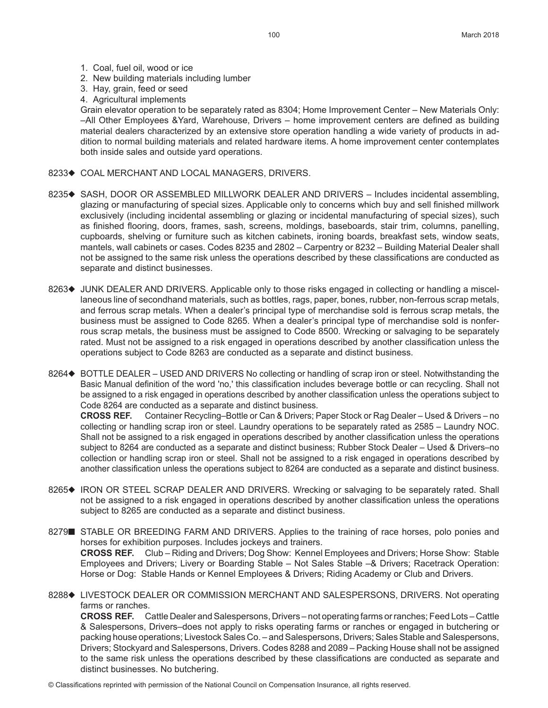- 1. Coal, fuel oil, wood or ice
- 2. New building materials including lumber
- 3. Hay, grain, feed or seed
- 4. Agricultural implements

Grain elevator operation to be separately rated as 8304; Home Improvement Center – New Materials Only: –All Other Employees &Yard, Warehouse, Drivers – home improvement centers are defined as building material dealers characterized by an extensive store operation handling a wide variety of products in addition to normal building materials and related hardware items. A home improvement center contemplates both inside sales and outside yard operations.

- 8233<sup>+</sup> COAL MERCHANT AND LOCAL MANAGERS, DRIVERS.
- 8235 $\bullet$  SASH, DOOR OR ASSEMBLED MILLWORK DEALER AND DRIVERS Includes incidental assembling, glazing or manufacturing of special sizes. Applicable only to concerns which buy and sell finished millwork exclusively (including incidental assembling or glazing or incidental manufacturing of special sizes), such as finished flooring, doors, frames, sash, screens, moldings, baseboards, stair trim, columns, panelling, cupboards, shelving or furniture such as kitchen cabinets, ironing boards, breakfast sets, window seats, mantels, wall cabinets or cases. Codes 8235 and 2802 – Carpentry or 8232 – Building Material Dealer shall not be assigned to the same risk unless the operations described by these classifications are conducted as separate and distinct businesses.
- 8263<sup>+</sup> JUNK DEALER AND DRIVERS. Applicable only to those risks engaged in collecting or handling a miscellaneous line of secondhand materials, such as bottles, rags, paper, bones, rubber, non-ferrous scrap metals, and ferrous scrap metals. When a dealer's principal type of merchandise sold is ferrous scrap metals, the business must be assigned to Code 8265. When a dealer's principal type of merchandise sold is nonferrous scrap metals, the business must be assigned to Code 8500. Wrecking or salvaging to be separately rated. Must not be assigned to a risk engaged in operations described by another classification unless the operations subject to Code 8263 are conducted as a separate and distinct business.
- 8264♦ BOTTLE DEALER USED AND DRIVERS No collecting or handling of scrap iron or steel. Notwithstanding the Basic Manual definition of the word 'no,' this classification includes beverage bottle or can recycling. Shall not be assigned to a risk engaged in operations described by another classification unless the operations subject to Code 8264 are conducted as a separate and distinct business.

**CROSS REF.** Container Recycling–Bottle or Can & Drivers; Paper Stock or Rag Dealer – Used & Drivers – no collecting or handling scrap iron or steel. Laundry operations to be separately rated as 2585 – Laundry NOC. Shall not be assigned to a risk engaged in operations described by another classification unless the operations subject to 8264 are conducted as a separate and distinct business; Rubber Stock Dealer – Used & Drivers–no collection or handling scrap iron or steel. Shall not be assigned to a risk engaged in operations described by another classification unless the operations subject to 8264 are conducted as a separate and distinct business.

- 8265 $\bullet$  IRON OR STEEL SCRAP DEALER AND DRIVERS. Wrecking or salvaging to be separately rated. Shall not be assigned to a risk engaged in operations described by another classification unless the operations subject to 8265 are conducted as a separate and distinct business.
- 8279 STABLE OR BREEDING FARM AND DRIVERS. Applies to the training of race horses, polo ponies and horses for exhibition purposes. Includes jockeys and trainers. **CROSS REF.** Club – Riding and Drivers; Dog Show: Kennel Employees and Drivers; Horse Show: Stable Employees and Drivers; Livery or Boarding Stable – Not Sales Stable –& Drivers; Racetrack Operation: Horse or Dog: Stable Hands or Kennel Employees & Drivers; Riding Academy or Club and Drivers.
- 8288♦ LIVESTOCK DEALER OR COMMISSION MERCHANT AND SALESPERSONS, DRIVERS. Not operating farms or ranches.

**CROSS REF.** Cattle Dealer and Salespersons, Drivers – not operating farms or ranches; Feed Lots – Cattle & Salespersons, Drivers–does not apply to risks operating farms or ranches or engaged in butchering or packing house operations; Livestock Sales Co. – and Salespersons, Drivers; Sales Stable and Salespersons, Drivers; Stockyard and Salespersons, Drivers. Codes 8288 and 2089 – Packing House shall not be assigned to the same risk unless the operations described by these classifications are conducted as separate and distinct businesses. No butchering.

© Classifications reprinted with permission of the National Council on Compensation Insurance, all rights reserved.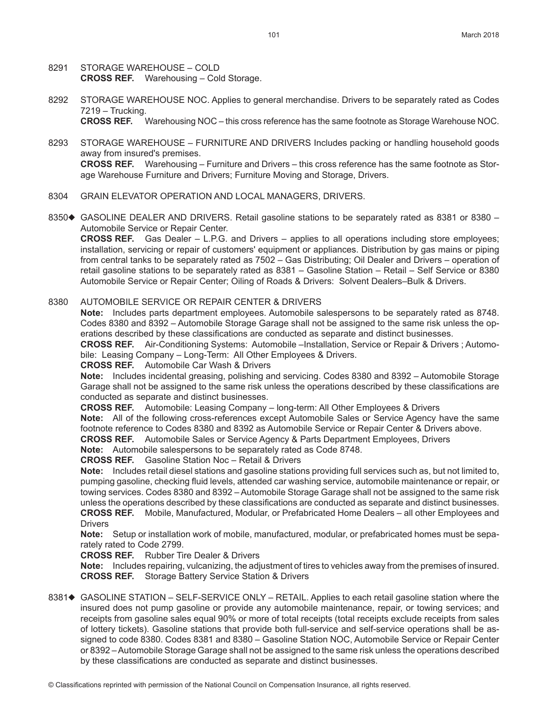- 8291 STORAGE WAREHOUSE COLD **CROSS REF.** Warehousing – Cold Storage.
- 8292 STORAGE WAREHOUSE NOC. Applies to general merchandise. Drivers to be separately rated as Codes 7219 – Trucking.

**CROSS REF.** Warehousing NOC – this cross reference has the same footnote as Storage Warehouse NOC.

- 8293 STORAGE WAREHOUSE FURNITURE AND DRIVERS Includes packing or handling household goods away from insured's premises. **CROSS REF.** Warehousing – Furniture and Drivers – this cross reference has the same footnote as Storage Warehouse Furniture and Drivers; Furniture Moving and Storage, Drivers.
- 8304 GRAIN ELEVATOR OPERATION AND LOCAL MANAGERS, DRIVERS.
- 8350 $\blacklozenge$  GASOLINE DEALER AND DRIVERS. Retail gasoline stations to be separately rated as 8381 or 8380 Automobile Service or Repair Center.

**CROSS REF.** Gas Dealer – L.P.G. and Drivers – applies to all operations including store employees; installation, servicing or repair of customers' equipment or appliances. Distribution by gas mains or piping from central tanks to be separately rated as 7502 – Gas Distributing; Oil Dealer and Drivers – operation of retail gasoline stations to be separately rated as 8381 – Gasoline Station – Retail – Self Service or 8380 Automobile Service or Repair Center; Oiling of Roads & Drivers: Solvent Dealers–Bulk & Drivers.

8380 AUTOMOBILE SERVICE OR REPAIR CENTER & DRIVERS

**Note:** Includes parts department employees. Automobile salespersons to be separately rated as 8748. Codes 8380 and 8392 – Automobile Storage Garage shall not be assigned to the same risk unless the operations described by these classifications are conducted as separate and distinct businesses.

**CROSS REF.** Air-Conditioning Systems: Automobile –Installation, Service or Repair & Drivers ; Automobile: Leasing Company – Long-Term: All Other Employees & Drivers.

#### **CROSS REF.** Automobile Car Wash & Drivers

**Note:** Includes incidental greasing, polishing and servicing. Codes 8380 and 8392 – Automobile Storage Garage shall not be assigned to the same risk unless the operations described by these classifications are conducted as separate and distinct businesses.

**CROSS REF.** Automobile: Leasing Company – long-term: All Other Employees & Drivers

**Note:** All of the following cross-references except Automobile Sales or Service Agency have the same footnote reference to Codes 8380 and 8392 as Automobile Service or Repair Center & Drivers above. **CROSS REF.** Automobile Sales or Service Agency & Parts Department Employees, Drivers

**Note:** Automobile salespersons to be separately rated as Code 8748.

**CROSS REF.** Gasoline Station Noc – Retail & Drivers

**Note:** Includes retail diesel stations and gasoline stations providing full services such as, but not limited to, pumping gasoline, checking fluid levels, attended car washing service, automobile maintenance or repair, or towing services. Codes 8380 and 8392 – Automobile Storage Garage shall not be assigned to the same risk unless the operations described by these classifications are conducted as separate and distinct businesses. **CROSS REF.** Mobile, Manufactured, Modular, or Prefabricated Home Dealers – all other Employees and Drivers

**Note:** Setup or installation work of mobile, manufactured, modular, or prefabricated homes must be separately rated to Code 2799.

**CROSS REF.** Rubber Tire Dealer & Drivers

**Note:** Includes repairing, vulcanizing, the adjustment of tires to vehicles away from the premises of insured. **CROSS REF.** Storage Battery Service Station & Drivers

8381<sup>+</sup> GASOLINE STATION – SELF-SERVICE ONLY – RETAIL. Applies to each retail gasoline station where the insured does not pump gasoline or provide any automobile maintenance, repair, or towing services; and receipts from gasoline sales equal 90% or more of total receipts (total receipts exclude receipts from sales of lottery tickets). Gasoline stations that provide both full-service and self-service operations shall be assigned to code 8380. Codes 8381 and 8380 – Gasoline Station NOC, Automobile Service or Repair Center or 8392 – Automobile Storage Garage shall not be assigned to the same risk unless the operations described by these classifications are conducted as separate and distinct businesses.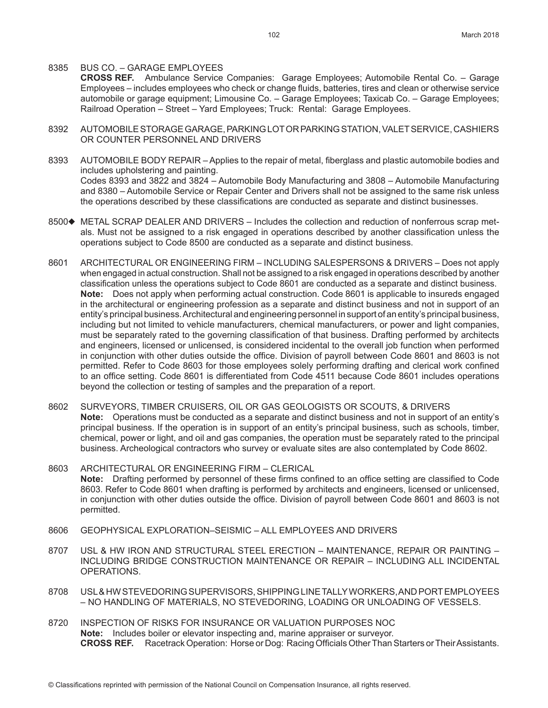#### 8385 BUS CO. – GARAGE EMPLOYEES

**CROSS REF.** Ambulance Service Companies: Garage Employees; Automobile Rental Co. – Garage Employees – includes employees who check or change fluids, batteries, tires and clean or otherwise service automobile or garage equipment; Limousine Co. – Garage Employees; Taxicab Co. – Garage Employees; Railroad Operation – Street – Yard Employees; Truck: Rental: Garage Employees.

- 8392 AUTOMOBILE STORAGE GARAGE, PARKING LOT OR PARKING STATION, VALET SERVICE, CASHIERS OR COUNTER PERSONNEL AND DRIVERS
- 8393 AUTOMOBILE BODY REPAIR Applies to the repair of metal, fiberglass and plastic automobile bodies and includes upholstering and painting. Codes 8393 and 3822 and 3824 – Automobile Body Manufacturing and 3808 – Automobile Manufacturing and 8380 – Automobile Service or Repair Center and Drivers shall not be assigned to the same risk unless the operations described by these classifications are conducted as separate and distinct businesses.
- 8500 $\blacklozenge$  METAL SCRAP DEALER AND DRIVERS Includes the collection and reduction of nonferrous scrap metals. Must not be assigned to a risk engaged in operations described by another classification unless the operations subject to Code 8500 are conducted as a separate and distinct business.
- 8601 ARCHITECTURAL OR ENGINEERING FIRM INCLUDING SALESPERSONS & DRIVERS Does not apply when engaged in actual construction. Shall not be assigned to a risk engaged in operations described by another classification unless the operations subject to Code 8601 are conducted as a separate and distinct business. **Note:** Does not apply when performing actual construction. Code 8601 is applicable to insureds engaged in the architectural or engineering profession as a separate and distinct business and not in support of an entity's principal business. Architectural and engineering personnel in support of an entity's principal business, including but not limited to vehicle manufacturers, chemical manufacturers, or power and light companies, must be separately rated to the governing classification of that business. Drafting performed by architects and engineers, licensed or unlicensed, is considered incidental to the overall job function when performed in conjunction with other duties outside the office. Division of payroll between Code 8601 and 8603 is not permitted. Refer to Code 8603 for those employees solely performing drafting and clerical work confined to an office setting. Code 8601 is differentiated from Code 4511 because Code 8601 includes operations beyond the collection or testing of samples and the preparation of a report.
- 8602 SURVEYORS, TIMBER CRUISERS, OIL OR GAS GEOLOGISTS OR SCOUTS, & DRIVERS **Note:** Operations must be conducted as a separate and distinct business and not in support of an entity's principal business. If the operation is in support of an entity's principal business, such as schools, timber, chemical, power or light, and oil and gas companies, the operation must be separately rated to the principal business. Archeological contractors who survey or evaluate sites are also contemplated by Code 8602.
- 8603 ARCHITECTURAL OR ENGINEERING FIRM CLERICAL **Note:** Drafting performed by personnel of these firms confined to an office setting are classified to Code 8603. Refer to Code 8601 when drafting is performed by architects and engineers, licensed or unlicensed, in conjunction with other duties outside the office. Division of payroll between Code 8601 and 8603 is not permitted.
- 8606 GEOPHYSICAL EXPLORATION–SEISMIC ALL EMPLOYEES AND DRIVERS
- 8707 USL & HW IRON AND STRUCTURAL STEEL ERECTION MAINTENANCE, REPAIR OR PAINTING INCLUDING BRIDGE CONSTRUCTION MAINTENANCE OR REPAIR – INCLUDING ALL INCIDENTAL OPERATIONS.
- 8708 USL & HW STEVEDORING SUPERVISORS, SHIPPING LINE TALLY WORKERS, AND PORT EMPLOYEES – NO HANDLING OF MATERIALS, NO STEVEDORING, LOADING OR UNLOADING OF VESSELS.
- 8720 INSPECTION OF RISKS FOR INSURANCE OR VALUATION PURPOSES NOC **Note:** Includes boiler or elevator inspecting and, marine appraiser or surveyor. **CROSS REF.** Racetrack Operation: Horse or Dog: Racing Officials Other Than Starters or Their Assistants.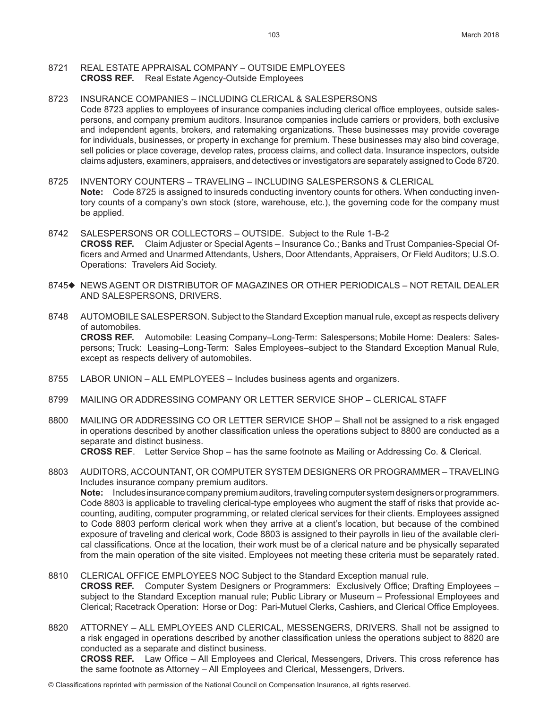#### 8721 REAL ESTATE APPRAISAL COMPANY – OUTSIDE EMPLOYEES **CROSS REF.** Real Estate Agency-Outside Employees

# 8723 INSURANCE COMPANIES – INCLUDING CLERICAL & SALESPERSONS Code 8723 applies to employees of insurance companies including clerical office employees, outside salespersons, and company premium auditors. Insurance companies include carriers or providers, both exclusive and independent agents, brokers, and ratemaking organizations. These businesses may provide coverage for individuals, businesses, or property in exchange for premium. These businesses may also bind coverage, sell policies or place coverage, develop rates, process claims, and collect data. Insurance inspectors, outside claims adjusters, examiners, appraisers, and detectives or investigators are separately assigned to Code 8720.

- 8725 INVENTORY COUNTERS TRAVELING INCLUDING SALESPERSONS & CLERICAL **Note:** Code 8725 is assigned to insureds conducting inventory counts for others. When conducting inventory counts of a company's own stock (store, warehouse, etc.), the governing code for the company must be applied.
- 8742 SALESPERSONS OR COLLECTORS OUTSIDE. Subject to the Rule 1-B-2 **CROSS REF.** Claim Adjuster or Special Agents – Insurance Co.; Banks and Trust Companies-Special Officers and Armed and Unarmed Attendants, Ushers, Door Attendants, Appraisers, Or Field Auditors; U.S.O. Operations: Travelers Aid Society.
- 8745◆ NEWS AGENT OR DISTRIBUTOR OF MAGAZINES OR OTHER PERIODICALS NOT RETAIL DEALER AND SALESPERSONS, DRIVERS.
- 8748 AUTOMOBILE SALESPERSON. Subject to the Standard Exception manual rule, except as respects delivery of automobiles.

**CROSS REF.** Automobile: Leasing Company–Long-Term: Salespersons; Mobile Home: Dealers: Salespersons; Truck: Leasing–Long-Term: Sales Employees–subject to the Standard Exception Manual Rule, except as respects delivery of automobiles.

- 8755 LABOR UNION ALL EMPLOYEES Includes business agents and organizers.
- 8799 MAILING OR ADDRESSING COMPANY OR LETTER SERVICE SHOP CLERICAL STAFF
- 8800 MAILING OR ADDRESSING CO OR LETTER SERVICE SHOP Shall not be assigned to a risk engaged in operations described by another classification unless the operations subject to 8800 are conducted as a separate and distinct business. **CROSS REF**. Letter Service Shop – has the same footnote as Mailing or Addressing Co. & Clerical.

8803 AUDITORS, ACCOUNTANT, OR COMPUTER SYSTEM DESIGNERS OR PROGRAMMER – TRAVELING Includes insurance company premium auditors. **Note:** Includes insurance company premium auditors, traveling computer system designers or programmers. Code 8803 is applicable to traveling clerical-type employees who augment the staff of risks that provide accounting, auditing, computer programming, or related clerical services for their clients. Employees assigned to Code 8803 perform clerical work when they arrive at a client's location, but because of the combined exposure of traveling and clerical work, Code 8803 is assigned to their payrolls in lieu of the available clerical classifications. Once at the location, their work must be of a clerical nature and be physically separated from the main operation of the site visited. Employees not meeting these criteria must be separately rated.

- 8810 CLERICAL OFFICE EMPLOYEES NOC Subject to the Standard Exception manual rule. **CROSS REF.** Computer System Designers or Programmers: Exclusively Office; Drafting Employees – subject to the Standard Exception manual rule; Public Library or Museum – Professional Employees and Clerical; Racetrack Operation: Horse or Dog: Pari-Mutuel Clerks, Cashiers, and Clerical Office Employees.
- 8820 ATTORNEY ALL EMPLOYEES AND CLERICAL, MESSENGERS, DRIVERS. Shall not be assigned to a risk engaged in operations described by another classification unless the operations subject to 8820 are conducted as a separate and distinct business. **CROSS REF.** Law Office – All Employees and Clerical, Messengers, Drivers. This cross reference has the same footnote as Attorney – All Employees and Clerical, Messengers, Drivers.
- © Classifications reprinted with permission of the National Council on Compensation Insurance, all rights reserved.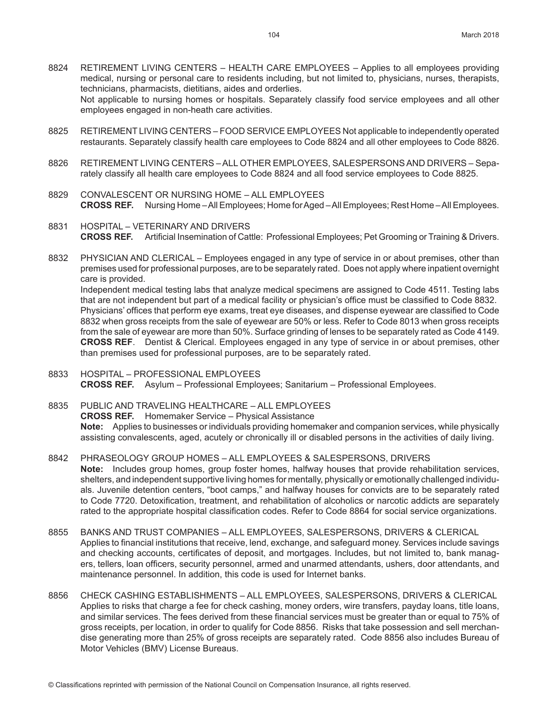- 8824 RETIREMENT LIVING CENTERS HEALTH CARE EMPLOYEES Applies to all employees providing medical, nursing or personal care to residents including, but not limited to, physicians, nurses, therapists, technicians, pharmacists, dietitians, aides and orderlies. Not applicable to nursing homes or hospitals. Separately classify food service employees and all other employees engaged in non-heath care activities.
- 8825 RETIREMENT LIVING CENTERS FOOD SERVICE EMPLOYEES Not applicable to independently operated restaurants. Separately classify health care employees to Code 8824 and all other employees to Code 8826.
- 8826 RETIREMENT LIVING CENTERS ALL OTHER EMPLOYEES, SALESPERSONS AND DRIVERS Separately classify all health care employees to Code 8824 and all food service employees to Code 8825.
- 8829 CONVALESCENT OR NURSING HOME ALL EMPLOYEES **CROSS REF.** Nursing Home – All Employees; Home for Aged – All Employees; Rest Home – All Employees.
- 8831 HOSPITAL VETERINARY AND DRIVERS **CROSS REF.** Artificial Insemination of Cattle: Professional Employees; Pet Grooming or Training & Drivers.
- 8832 PHYSICIAN AND CLERICAL Employees engaged in any type of service in or about premises, other than premises used for professional purposes, are to be separately rated. Does not apply where inpatient overnight care is provided.

Independent medical testing labs that analyze medical specimens are assigned to Code 4511. Testing labs that are not independent but part of a medical facility or physician's office must be classified to Code 8832. Physicians' offices that perform eye exams, treat eye diseases, and dispense eyewear are classified to Code 8832 when gross receipts from the sale of eyewear are 50% or less. Refer to Code 8013 when gross receipts from the sale of eyewear are more than 50%. Surface grinding of lenses to be separately rated as Code 4149. **CROSS REF**. Dentist & Clerical. Employees engaged in any type of service in or about premises, other than premises used for professional purposes, are to be separately rated.

- 8833 HOSPITAL PROFESSIONAL EMPLOYEES **CROSS REF.** Asylum – Professional Employees; Sanitarium – Professional Employees.
- 8835 PUBLIC AND TRAVELING HEALTHCARE ALL EMPLOYEES **CROSS REF.** Homemaker Service – Physical Assistance **Note:** Applies to businesses or individuals providing homemaker and companion services, while physically assisting convalescents, aged, acutely or chronically ill or disabled persons in the activities of daily living.
- 8842 PHRASEOLOGY GROUP HOMES ALL EMPLOYEES & SALESPERSONS, DRIVERS **Note:** Includes group homes, group foster homes, halfway houses that provide rehabilitation services, shelters, and independent supportive living homes for mentally, physically or emotionally challenged individuals. Juvenile detention centers, "boot camps," and halfway houses for convicts are to be separately rated to Code 7720. Detoxification, treatment, and rehabilitation of alcoholics or narcotic addicts are separately rated to the appropriate hospital classification codes. Refer to Code 8864 for social service organizations.
- 8855 BANKS AND TRUST COMPANIES ALL EMPLOYEES, SALESPERSONS, DRIVERS & CLERICAL Applies to financial institutions that receive, lend, exchange, and safeguard money. Services include savings and checking accounts, certificates of deposit, and mortgages. Includes, but not limited to, bank managers, tellers, loan officers, security personnel, armed and unarmed attendants, ushers, door attendants, and maintenance personnel. In addition, this code is used for Internet banks.
- 8856 CHECK CASHING ESTABLISHMENTS ALL EMPLOYEES, SALESPERSONS, DRIVERS & CLERICAL Applies to risks that charge a fee for check cashing, money orders, wire transfers, payday loans, title loans, and similar services. The fees derived from these financial services must be greater than or equal to 75% of gross receipts, per location, in order to qualify for Code 8856. Risks that take possession and sell merchandise generating more than 25% of gross receipts are separately rated. Code 8856 also includes Bureau of Motor Vehicles (BMV) License Bureaus.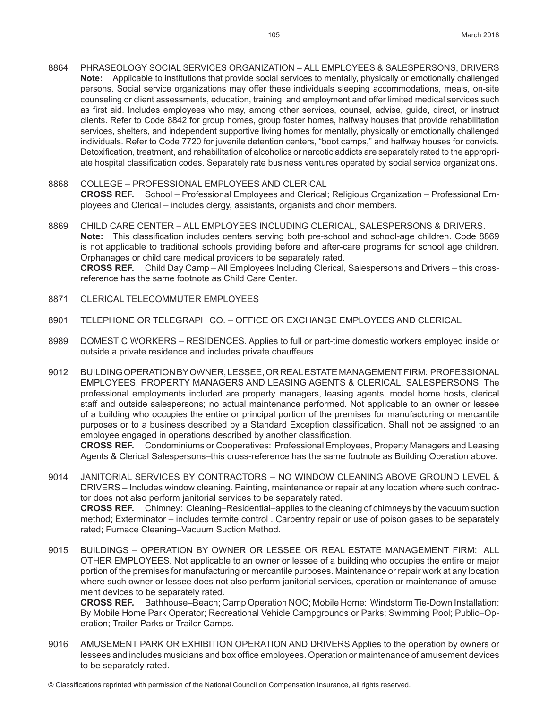- 8864 PHRASEOLOGY SOCIAL SERVICES ORGANIZATION ALL EMPLOYEES & SALESPERSONS, DRIVERS **Note:** Applicable to institutions that provide social services to mentally, physically or emotionally challenged persons. Social service organizations may offer these individuals sleeping accommodations, meals, on-site counseling or client assessments, education, training, and employment and offer limited medical services such as first aid. Includes employees who may, among other services, counsel, advise, guide, direct, or instruct clients. Refer to Code 8842 for group homes, group foster homes, halfway houses that provide rehabilitation services, shelters, and independent supportive living homes for mentally, physically or emotionally challenged individuals. Refer to Code 7720 for juvenile detention centers, "boot camps," and halfway houses for convicts. Detoxification, treatment, and rehabilitation of alcoholics or narcotic addicts are separately rated to the appropriate hospital classification codes. Separately rate business ventures operated by social service organizations.
- 8868 COLLEGE PROFESSIONAL EMPLOYEES AND CLERICAL **CROSS REF.** School – Professional Employees and Clerical; Religious Organization – Professional Employees and Clerical – includes clergy, assistants, organists and choir members.
- 8869 CHILD CARE CENTER ALL EMPLOYEES INCLUDING CLERICAL, SALESPERSONS & DRIVERS. **Note:** This classification includes centers serving both pre-school and school-age children. Code 8869 is not applicable to traditional schools providing before and after-care programs for school age children. Orphanages or child care medical providers to be separately rated. **CROSS REF.** Child Day Camp – All Employees Including Clerical, Salespersons and Drivers – this crossreference has the same footnote as Child Care Center.
- 8871 CLERICAL TELECOMMUTER EMPLOYEES
- 8901 TELEPHONE OR TELEGRAPH CO. OFFICE OR EXCHANGE EMPLOYEES AND CLERICAL
- 8989 DOMESTIC WORKERS RESIDENCES. Applies to full or part-time domestic workers employed inside or outside a private residence and includes private chauffeurs.
- 9012 BUILDING OPERATION BY OWNER, LESSEE, OR REAL ESTATE MANAGEMENT FIRM: PROFESSIONAL EMPLOYEES, PROPERTY MANAGERS AND LEASING AGENTS & CLERICAL, SALESPERSONS. The professional employments included are property managers, leasing agents, model home hosts, clerical staff and outside salespersons; no actual maintenance performed. Not applicable to an owner or lessee of a building who occupies the entire or principal portion of the premises for manufacturing or mercantile purposes or to a business described by a Standard Exception classification. Shall not be assigned to an employee engaged in operations described by another classification.

**CROSS REF.** Condominiums or Cooperatives: Professional Employees, Property Managers and Leasing Agents & Clerical Salespersons–this cross-reference has the same footnote as Building Operation above.

- 9014 JANITORIAL SERVICES BY CONTRACTORS NO WINDOW CLEANING ABOVE GROUND LEVEL & DRIVERS – Includes window cleaning. Painting, maintenance or repair at any location where such contractor does not also perform janitorial services to be separately rated. **CROSS REF.** Chimney: Cleaning–Residential–applies to the cleaning of chimneys by the vacuum suction method; Exterminator – includes termite control . Carpentry repair or use of poison gases to be separately rated; Furnace Cleaning–Vacuum Suction Method.
- 9015 BUILDINGS OPERATION BY OWNER OR LESSEE OR REAL ESTATE MANAGEMENT FIRM: ALL OTHER EMPLOYEES. Not applicable to an owner or lessee of a building who occupies the entire or major portion of the premises for manufacturing or mercantile purposes. Maintenance or repair work at any location where such owner or lessee does not also perform janitorial services, operation or maintenance of amusement devices to be separately rated.

**CROSS REF.** Bathhouse–Beach; Camp Operation NOC; Mobile Home: Windstorm Tie-Down Installation: By Mobile Home Park Operator; Recreational Vehicle Campgrounds or Parks; Swimming Pool; Public–Operation; Trailer Parks or Trailer Camps.

9016 AMUSEMENT PARK OR EXHIBITION OPERATION AND DRIVERS Applies to the operation by owners or lessees and includes musicians and box office employees. Operation or maintenance of amusement devices to be separately rated.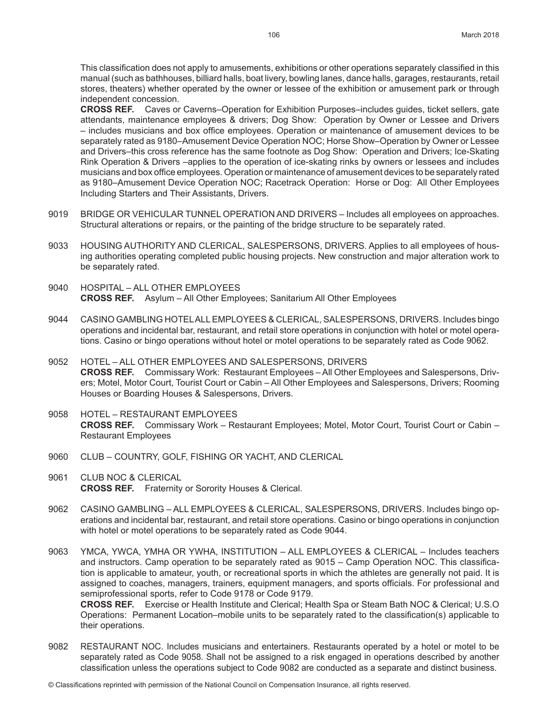This classification does not apply to amusements, exhibitions or other operations separately classified in this manual (such as bathhouses, billiard halls, boat livery, bowling lanes, dance halls, garages, restaurants, retail stores, theaters) whether operated by the owner or lessee of the exhibition or amusement park or through independent concession.

**CROSS REF.** Caves or Caverns–Operation for Exhibition Purposes–includes guides, ticket sellers, gate attendants, maintenance employees & drivers; Dog Show: Operation by Owner or Lessee and Drivers – includes musicians and box office employees. Operation or maintenance of amusement devices to be separately rated as 9180–Amusement Device Operation NOC; Horse Show–Operation by Owner or Lessee and Drivers–this cross reference has the same footnote as Dog Show: Operation and Drivers; Ice-Skating Rink Operation & Drivers –applies to the operation of ice-skating rinks by owners or lessees and includes musicians and box office employees. Operation or maintenance of amusement devices to be separately rated as 9180–Amusement Device Operation NOC; Racetrack Operation: Horse or Dog: All Other Employees Including Starters and Their Assistants, Drivers.

- 9019 BRIDGE OR VEHICULAR TUNNEL OPERATION AND DRIVERS Includes all employees on approaches. Structural alterations or repairs, or the painting of the bridge structure to be separately rated.
- 9033 HOUSING AUTHORITY AND CLERICAL, SALESPERSONS, DRIVERS. Applies to all employees of housing authorities operating completed public housing projects. New construction and major alteration work to be separately rated.
- 9040 HOSPITAL ALL OTHER EMPLOYEES **CROSS REF.** Asylum – All Other Employees; Sanitarium All Other Employees
- 9044 CASINO GAMBLING HOTEL ALL EMPLOYEES & CLERICAL, SALESPERSONS, DRIVERS. Includes bingo operations and incidental bar, restaurant, and retail store operations in conjunction with hotel or motel operations. Casino or bingo operations without hotel or motel operations to be separately rated as Code 9062.
- 9052 HOTEL ALL OTHER EMPLOYEES AND SALESPERSONS, DRIVERS **CROSS REF.** Commissary Work: Restaurant Employees – All Other Employees and Salespersons, Drivers; Motel, Motor Court, Tourist Court or Cabin – All Other Employees and Salespersons, Drivers; Rooming Houses or Boarding Houses & Salespersons, Drivers.
- 9058 HOTEL RESTAURANT EMPLOYEES **CROSS REF.** Commissary Work – Restaurant Employees; Motel, Motor Court, Tourist Court or Cabin – Restaurant Employees
- 9060 CLUB COUNTRY, GOLF, FISHING OR YACHT, AND CLERICAL
- 9061 CLUB NOC & CLERICAL **CROSS REF.** Fraternity or Sorority Houses & Clerical.
- 9062 CASINO GAMBLING ALL EMPLOYEES & CLERICAL, SALESPERSONS, DRIVERS. Includes bingo operations and incidental bar, restaurant, and retail store operations. Casino or bingo operations in conjunction with hotel or motel operations to be separately rated as Code 9044.
- 9063 YMCA, YWCA, YMHA OR YWHA, INSTITUTION ALL EMPLOYEES & CLERICAL Includes teachers and instructors. Camp operation to be separately rated as 9015 – Camp Operation NOC. This classification is applicable to amateur, youth, or recreational sports in which the athletes are generally not paid. It is assigned to coaches, managers, trainers, equipment managers, and sports officials. For professional and semiprofessional sports, refer to Code 9178 or Code 9179. **CROSS REF.** Exercise or Health Institute and Clerical; Health Spa or Steam Bath NOC & Clerical; U.S.O

Operations: Permanent Location–mobile units to be separately rated to the classification(s) applicable to their operations.

9082 RESTAURANT NOC. Includes musicians and entertainers. Restaurants operated by a hotel or motel to be separately rated as Code 9058. Shall not be assigned to a risk engaged in operations described by another classification unless the operations subject to Code 9082 are conducted as a separate and distinct business.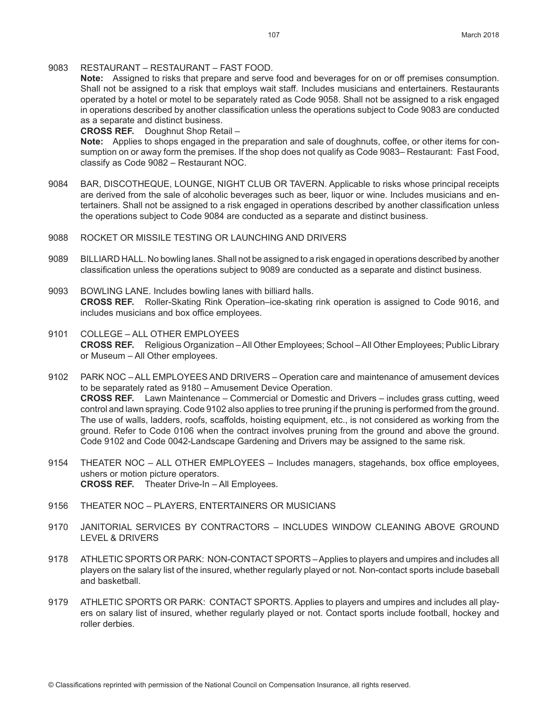9083 RESTAURANT – RESTAURANT – FAST FOOD.

**Note:** Assigned to risks that prepare and serve food and beverages for on or off premises consumption. Shall not be assigned to a risk that employs wait staff. Includes musicians and entertainers. Restaurants operated by a hotel or motel to be separately rated as Code 9058. Shall not be assigned to a risk engaged in operations described by another classification unless the operations subject to Code 9083 are conducted as a separate and distinct business.

**CROSS REF.** Doughnut Shop Retail –

**Note:** Applies to shops engaged in the preparation and sale of doughnuts, coffee, or other items for consumption on or away form the premises. If the shop does not qualify as Code 9083– Restaurant: Fast Food, classify as Code 9082 – Restaurant NOC.

- 9084 BAR, DISCOTHEQUE, LOUNGE, NIGHT CLUB OR TAVERN. Applicable to risks whose principal receipts are derived from the sale of alcoholic beverages such as beer, liquor or wine. Includes musicians and entertainers. Shall not be assigned to a risk engaged in operations described by another classification unless the operations subject to Code 9084 are conducted as a separate and distinct business.
- 9088 ROCKET OR MISSILE TESTING OR LAUNCHING AND DRIVERS
- 9089 BILLIARD HALL. No bowling lanes. Shall not be assigned to a risk engaged in operations described by another classification unless the operations subject to 9089 are conducted as a separate and distinct business.
- 9093 BOWLING LANE. Includes bowling lanes with billiard halls. **CROSS REF.** Roller-Skating Rink Operation–ice-skating rink operation is assigned to Code 9016, and includes musicians and box office employees.
- 9101 COLLEGE ALL OTHER EMPLOYEES **CROSS REF.** Religious Organization – All Other Employees; School – All Other Employees; Public Library or Museum – All Other employees.

9102 PARK NOC – ALL EMPLOYEES AND DRIVERS – Operation care and maintenance of amusement devices to be separately rated as 9180 – Amusement Device Operation. **CROSS REF.** Lawn Maintenance – Commercial or Domestic and Drivers – includes grass cutting, weed control and lawn spraying. Code 9102 also applies to tree pruning if the pruning is performed from the ground. The use of walls, ladders, roofs, scaffolds, hoisting equipment, etc., is not considered as working from the ground. Refer to Code 0106 when the contract involves pruning from the ground and above the ground. Code 9102 and Code 0042-Landscape Gardening and Drivers may be assigned to the same risk.

- 9154 THEATER NOC ALL OTHER EMPLOYEES Includes managers, stagehands, box office employees, ushers or motion picture operators. **CROSS REF.** Theater Drive-In – All Employees.
- 9156 THEATER NOC PLAYERS, ENTERTAINERS OR MUSICIANS
- 9170 JANITORIAL SERVICES BY CONTRACTORS INCLUDES WINDOW CLEANING ABOVE GROUND LEVEL & DRIVERS
- 9178 ATHLETIC SPORTS OR PARK: NON-CONTACT SPORTS Applies to players and umpires and includes all players on the salary list of the insured, whether regularly played or not. Non-contact sports include baseball and basketball.
- 9179 ATHLETIC SPORTS OR PARK: CONTACT SPORTS. Applies to players and umpires and includes all players on salary list of insured, whether regularly played or not. Contact sports include football, hockey and roller derbies.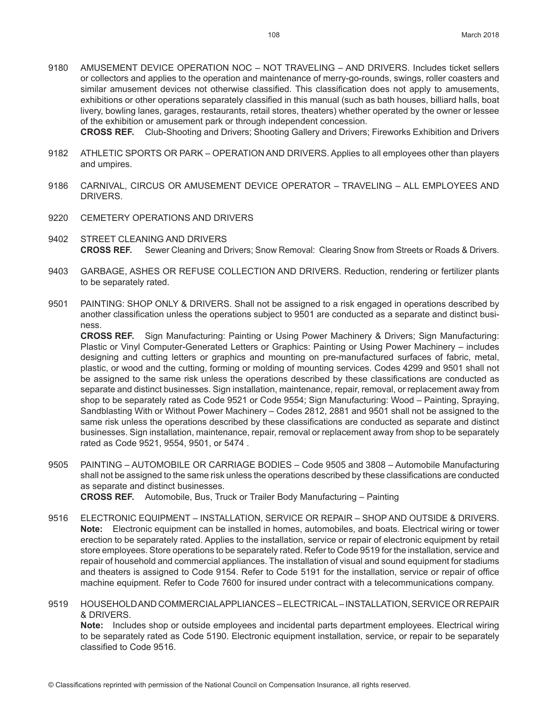9180 AMUSEMENT DEVICE OPERATION NOC – NOT TRAVELING – AND DRIVERS. Includes ticket sellers or collectors and applies to the operation and maintenance of merry-go-rounds, swings, roller coasters and similar amusement devices not otherwise classified. This classification does not apply to amusements, exhibitions or other operations separately classified in this manual (such as bath houses, billiard halls, boat livery, bowling lanes, garages, restaurants, retail stores, theaters) whether operated by the owner or lessee of the exhibition or amusement park or through independent concession.

**CROSS REF.** Club-Shooting and Drivers; Shooting Gallery and Drivers; Fireworks Exhibition and Drivers

- 9182 ATHLETIC SPORTS OR PARK OPERATION AND DRIVERS. Applies to all employees other than players and umpires.
- 9186 CARNIVAL, CIRCUS OR AMUSEMENT DEVICE OPERATOR TRAVELING ALL EMPLOYEES AND DRIVERS.
- 9220 CEMETERY OPERATIONS AND DRIVERS
- 9402 STREET CLEANING AND DRIVERS **CROSS REF.** Sewer Cleaning and Drivers; Snow Removal: Clearing Snow from Streets or Roads & Drivers.
- 9403 GARBAGE, ASHES OR REFUSE COLLECTION AND DRIVERS. Reduction, rendering or fertilizer plants to be separately rated.
- 9501 PAINTING: SHOP ONLY & DRIVERS. Shall not be assigned to a risk engaged in operations described by another classification unless the operations subject to 9501 are conducted as a separate and distinct business.

**CROSS REF.** Sign Manufacturing: Painting or Using Power Machinery & Drivers; Sign Manufacturing: Plastic or Vinyl Computer-Generated Letters or Graphics: Painting or Using Power Machinery – includes designing and cutting letters or graphics and mounting on pre-manufactured surfaces of fabric, metal, plastic, or wood and the cutting, forming or molding of mounting services. Codes 4299 and 9501 shall not be assigned to the same risk unless the operations described by these classifications are conducted as separate and distinct businesses. Sign installation, maintenance, repair, removal, or replacement away from shop to be separately rated as Code 9521 or Code 9554; Sign Manufacturing: Wood – Painting, Spraying, Sandblasting With or Without Power Machinery – Codes 2812, 2881 and 9501 shall not be assigned to the same risk unless the operations described by these classifications are conducted as separate and distinct businesses. Sign installation, maintenance, repair, removal or replacement away from shop to be separately rated as Code 9521, 9554, 9501, or 5474 .

9505 PAINTING – AUTOMOBILE OR CARRIAGE BODIES – Code 9505 and 3808 – Automobile Manufacturing shall not be assigned to the same risk unless the operations described by these classifications are conducted as separate and distinct businesses.

**CROSS REF.** Automobile, Bus, Truck or Trailer Body Manufacturing – Painting

- 9516 ELECTRONIC EQUIPMENT INSTALLATION, SERVICE OR REPAIR SHOP AND OUTSIDE & DRIVERS. **Note:** Electronic equipment can be installed in homes, automobiles, and boats. Electrical wiring or tower erection to be separately rated. Applies to the installation, service or repair of electronic equipment by retail store employees. Store operations to be separately rated. Refer to Code 9519 for the installation, service and repair of household and commercial appliances. The installation of visual and sound equipment for stadiums and theaters is assigned to Code 9154. Refer to Code 5191 for the installation, service or repair of office machine equipment. Refer to Code 7600 for insured under contract with a telecommunications company.
- 9519 HOUSEHOLD AND COMMERCIAL APPLIANCES ELECTRICAL INSTALLATION, SERVICE OR REPAIR & DRIVERS.

**Note:** Includes shop or outside employees and incidental parts department employees. Electrical wiring to be separately rated as Code 5190. Electronic equipment installation, service, or repair to be separately classified to Code 9516.